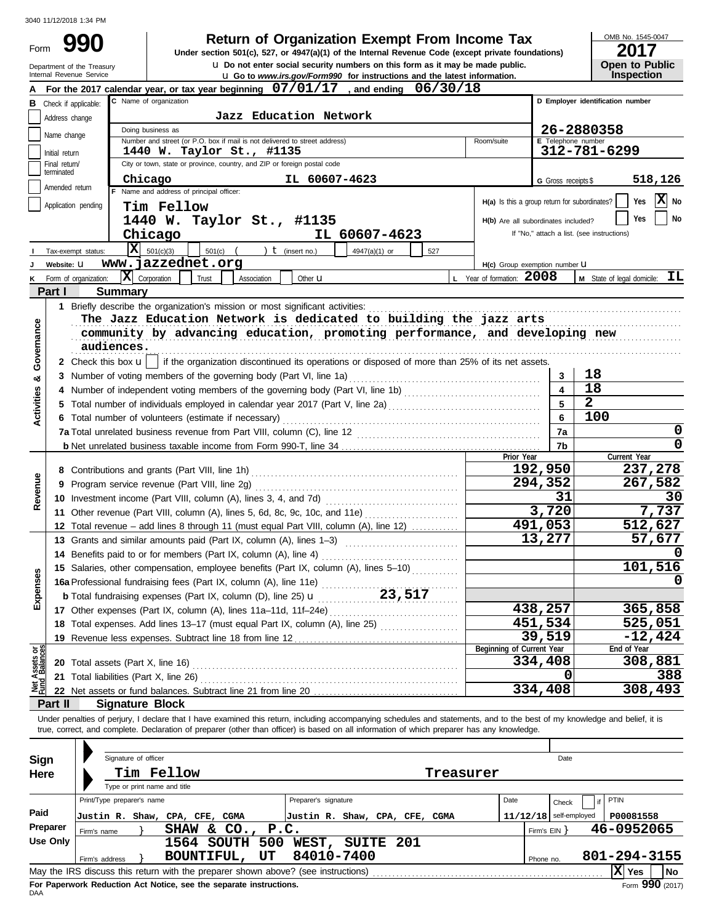Form

**u** Do not enter social security numbers on this form as it may be made public. **990 1990 2017 2018 Depend of Organization Exempt From Income Tax 1947(a)(1)** of the Internal Revenue Code (except private foundations)

OMB No. 1545-0047

| <b>2017</b>           |
|-----------------------|
| <b>Open to Public</b> |
| <b>Inspection</b>     |

|                                | Department of the Treasury<br>Internal Revenue Service | <b>u</b> Do not enter social security numbers on this form as it may be made public.<br><b>u</b> Go to www.irs.gov/Form990 for instructions and the latest information.    |                                      |                     | <b>Open to Public</b><br><b>Inspection</b>                   |  |  |  |  |  |  |  |  |
|--------------------------------|--------------------------------------------------------|----------------------------------------------------------------------------------------------------------------------------------------------------------------------------|--------------------------------------|---------------------|--------------------------------------------------------------|--|--|--|--|--|--|--|--|
|                                |                                                        | For the 2017 calendar year, or tax year beginning $07/01/17$ , and ending<br>06/30/18                                                                                      |                                      |                     |                                                              |  |  |  |  |  |  |  |  |
| В                              | Check if applicable:                                   | C Name of organization                                                                                                                                                     |                                      |                     | D Employer identification number                             |  |  |  |  |  |  |  |  |
|                                | Address change                                         | Jazz Education Network                                                                                                                                                     |                                      |                     |                                                              |  |  |  |  |  |  |  |  |
|                                | Name change                                            | Doing business as                                                                                                                                                          |                                      |                     | 26-2880358                                                   |  |  |  |  |  |  |  |  |
|                                |                                                        | Number and street (or P.O. box if mail is not delivered to street address)<br>Room/suite                                                                                   |                                      | E Telephone number  |                                                              |  |  |  |  |  |  |  |  |
|                                | Initial return                                         | 1440 W. Taylor St., #1135<br>City or town, state or province, country, and ZIP or foreign postal code                                                                      |                                      |                     | 312-781-6299                                                 |  |  |  |  |  |  |  |  |
|                                | Final return/<br>terminated                            |                                                                                                                                                                            |                                      |                     |                                                              |  |  |  |  |  |  |  |  |
|                                | Amended return                                         | Chicago<br>IL 60607-4623<br>F Name and address of principal officer:                                                                                                       |                                      | G Gross receipts \$ | 518,126                                                      |  |  |  |  |  |  |  |  |
|                                | Application pending                                    | Tim Fellow                                                                                                                                                                 |                                      |                     | X No<br>Yes<br>H(a) Is this a group return for subordinates? |  |  |  |  |  |  |  |  |
|                                |                                                        | 1440 W. Taylor St., #1135                                                                                                                                                  | H(b) Are all subordinates included?  |                     | Yes<br>No                                                    |  |  |  |  |  |  |  |  |
|                                |                                                        | IL 60607-4623<br>Chicago                                                                                                                                                   |                                      |                     | If "No," attach a list. (see instructions)                   |  |  |  |  |  |  |  |  |
|                                |                                                        | $ \mathbf{X} $ 501(c)(3)                                                                                                                                                   |                                      |                     |                                                              |  |  |  |  |  |  |  |  |
|                                | Tax-exempt status:                                     | $501(c)$ (<br>) $t$ (insert no.)<br>4947(a)(1) or<br>527<br>www.jazzednet.org                                                                                              |                                      |                     |                                                              |  |  |  |  |  |  |  |  |
| κ                              | Website: U<br>Form of organization:                    | $ \mathbf{X} $ Corporation<br>L Year of formation: 2008<br>Trust<br>Association<br>Other <b>u</b>                                                                          | H(c) Group exemption number <b>U</b> |                     | <b>M</b> State of legal domicile: $TL$                       |  |  |  |  |  |  |  |  |
|                                | Part I                                                 | <b>Summary</b>                                                                                                                                                             |                                      |                     |                                                              |  |  |  |  |  |  |  |  |
|                                |                                                        | 1 Briefly describe the organization's mission or most significant activities:                                                                                              |                                      |                     |                                                              |  |  |  |  |  |  |  |  |
|                                |                                                        | The Jazz Education Network is dedicated to building the jazz arts                                                                                                          |                                      |                     |                                                              |  |  |  |  |  |  |  |  |
|                                |                                                        |                                                                                                                                                                            |                                      |                     |                                                              |  |  |  |  |  |  |  |  |
| Governance                     |                                                        | community by advancing education, promoting performance, and developing new<br>audiences.                                                                                  |                                      |                     |                                                              |  |  |  |  |  |  |  |  |
|                                |                                                        | 2 Check this box u    if the organization discontinued its operations or disposed of more than 25% of its net assets.                                                      |                                      |                     |                                                              |  |  |  |  |  |  |  |  |
|                                |                                                        |                                                                                                                                                                            |                                      | 3                   | 18                                                           |  |  |  |  |  |  |  |  |
| œ                              |                                                        | 3 Number of voting members of the governing body (Part VI, line 1a)                                                                                                        |                                      | $\blacktriangle$    | 18                                                           |  |  |  |  |  |  |  |  |
| Activities                     |                                                        |                                                                                                                                                                            |                                      | 5                   | $\overline{2}$                                               |  |  |  |  |  |  |  |  |
|                                |                                                        | Total number of individuals employed in calendar year 2017 (Part V, line 2a) [[[[[[[[[[[[[[[[[[[[[[[[[[[[[[[[                                                              |                                      | 6                   | 100                                                          |  |  |  |  |  |  |  |  |
|                                |                                                        | 6 Total number of volunteers (estimate if necessary)                                                                                                                       |                                      |                     | 0                                                            |  |  |  |  |  |  |  |  |
|                                |                                                        |                                                                                                                                                                            |                                      | 7a                  | 0                                                            |  |  |  |  |  |  |  |  |
|                                |                                                        |                                                                                                                                                                            | Prior Year                           | 7b                  | Current Year                                                 |  |  |  |  |  |  |  |  |
|                                |                                                        |                                                                                                                                                                            | 192,950                              |                     | 237,278                                                      |  |  |  |  |  |  |  |  |
|                                | 9                                                      | Program service revenue (Part VIII, line 2g)                                                                                                                               |                                      | 294,352             | 267,582                                                      |  |  |  |  |  |  |  |  |
| Revenue                        |                                                        |                                                                                                                                                                            |                                      | 31                  | 30                                                           |  |  |  |  |  |  |  |  |
|                                |                                                        | 11 Other revenue (Part VIII, column (A), lines 5, 6d, 8c, 9c, 10c, and 11e)                                                                                                |                                      | 3,720               | 7,737                                                        |  |  |  |  |  |  |  |  |
|                                |                                                        | 12 Total revenue - add lines 8 through 11 (must equal Part VIII, column (A), line 12)                                                                                      |                                      | 491,053             | 512,627                                                      |  |  |  |  |  |  |  |  |
|                                |                                                        | 13 Grants and similar amounts paid (Part IX, column (A), lines 1-3)                                                                                                        |                                      | 13,277              | 57,677                                                       |  |  |  |  |  |  |  |  |
|                                |                                                        | 14 Benefits paid to or for members (Part IX, column (A), line 4)                                                                                                           |                                      |                     |                                                              |  |  |  |  |  |  |  |  |
|                                |                                                        | 15 Salaries, other compensation, employee benefits (Part IX, column (A), lines 5-10)                                                                                       |                                      |                     | 101,516                                                      |  |  |  |  |  |  |  |  |
| Ses                            |                                                        | 16a Professional fundraising fees (Part IX, column (A), line 11e)                                                                                                          |                                      |                     |                                                              |  |  |  |  |  |  |  |  |
| Expen                          |                                                        | <b>b</b> Total fundraising expenses (Part IX, column (D), line 25) $\mathbf{u}$ 23, 517                                                                                    |                                      |                     |                                                              |  |  |  |  |  |  |  |  |
|                                |                                                        |                                                                                                                                                                            | 438,257                              |                     | 365,858                                                      |  |  |  |  |  |  |  |  |
|                                |                                                        | 18 Total expenses. Add lines 13-17 (must equal Part IX, column (A), line 25)                                                                                               | 451,534                              |                     | 525,051                                                      |  |  |  |  |  |  |  |  |
|                                |                                                        | 19 Revenue less expenses. Subtract line 18 from line 12                                                                                                                    |                                      | 39,519              | $-12,424$                                                    |  |  |  |  |  |  |  |  |
|                                |                                                        |                                                                                                                                                                            | Beginning of Current Year            |                     | End of Year                                                  |  |  |  |  |  |  |  |  |
|                                |                                                        | <b>20</b> Total assets (Part X, line 16)                                                                                                                                   | 334,408                              |                     | 308,881                                                      |  |  |  |  |  |  |  |  |
| Net Assets or<br>Fund Balances |                                                        | 21 Total liabilities (Part X, line 26)                                                                                                                                     |                                      | 0                   | 388                                                          |  |  |  |  |  |  |  |  |
|                                |                                                        |                                                                                                                                                                            | 334,408                              |                     | 308,493                                                      |  |  |  |  |  |  |  |  |
|                                | Part II                                                | <b>Signature Block</b>                                                                                                                                                     |                                      |                     |                                                              |  |  |  |  |  |  |  |  |
|                                |                                                        | Under penalties of perjury, I declare that I have examined this return, including accompanying schedules and statements, and to the best of my knowledge and belief, it is |                                      |                     |                                                              |  |  |  |  |  |  |  |  |
|                                |                                                        | true, correct, and complete. Declaration of preparer (other than officer) is based on all information of which preparer has any knowledge.                                 |                                      |                     |                                                              |  |  |  |  |  |  |  |  |
|                                |                                                        |                                                                                                                                                                            |                                      |                     |                                                              |  |  |  |  |  |  |  |  |
| Sign                           |                                                        | Signature of officer                                                                                                                                                       |                                      | Date                |                                                              |  |  |  |  |  |  |  |  |
| Here                           |                                                        | Tim Fellow<br>Treasurer                                                                                                                                                    |                                      |                     |                                                              |  |  |  |  |  |  |  |  |
|                                |                                                        | Type or print name and title                                                                                                                                               |                                      |                     |                                                              |  |  |  |  |  |  |  |  |
|                                |                                                        | Print/Type preparer's name<br>Preparer's signature                                                                                                                         | Date                                 | Check               | PTIN                                                         |  |  |  |  |  |  |  |  |
| Paid                           |                                                        | Justin R. Shaw, CPA, CFE, CGMA<br>Justin R. Shaw, CPA, CFE, CGMA                                                                                                           | $11/12/18$ self-employed             |                     | P00081558                                                    |  |  |  |  |  |  |  |  |
|                                | Preparer<br>Firm's name                                | P.C.<br>SHAW & $CO1$ ,                                                                                                                                                     |                                      | Firm's $EIN$ }      | 46-0952065                                                   |  |  |  |  |  |  |  |  |
|                                | <b>Use Only</b>                                        | 1564 SOUTH 500 WEST, SUITE 201                                                                                                                                             |                                      |                     |                                                              |  |  |  |  |  |  |  |  |
|                                | Firm's address                                         | 84010-7400<br>UT<br>BOUNTIFUL,                                                                                                                                             |                                      | Phone no.           | 801-294-3155                                                 |  |  |  |  |  |  |  |  |
|                                |                                                        | May the IRS discuss this return with the preparer shown above? (see instructions)                                                                                          |                                      |                     | $ \mathbf{X} $ Yes<br>No                                     |  |  |  |  |  |  |  |  |

| Sign     |                                                                                   | Signature of officer |                              |                       |    |                                |                  |           |      |              | Date                     |              |                                   |  |
|----------|-----------------------------------------------------------------------------------|----------------------|------------------------------|-----------------------|----|--------------------------------|------------------|-----------|------|--------------|--------------------------|--------------|-----------------------------------|--|
| Here     |                                                                                   |                      | Tim Fellow                   |                       |    |                                |                  | Treasurer |      |              |                          |              |                                   |  |
|          |                                                                                   |                      | Type or print name and title |                       |    |                                |                  |           |      |              |                          |              |                                   |  |
|          | Print/Type preparer's name                                                        |                      |                              |                       |    | Preparer's signature           |                  |           | Date |              | Check                    | PTIN         |                                   |  |
| Paid     | Justin R. Shaw, CPA, CFE, CGMA                                                    |                      |                              |                       |    | Justin R. Shaw, CPA, CFE, CGMA |                  |           |      |              | $11/12/18$ self-employed | P00081558    |                                   |  |
| Preparer | Firm's name                                                                       |                      |                              | SHAW & CO., P.C.      |    |                                |                  |           |      | Firm's $EIN$ |                          | 46-0952065   |                                   |  |
| Use Only |                                                                                   |                      |                              | <b>1564 SOUTH 500</b> |    | <b>WEST,</b>                   | <b>SUITE 201</b> |           |      |              |                          |              |                                   |  |
|          | Firm's address                                                                    |                      | <b>BOUNTIFUL,</b>            |                       | UT | 84010-7400                     |                  |           |      | Phone no.    |                          | 801-294-3155 |                                   |  |
|          | May the IRS discuss this return with the preparer shown above? (see instructions) |                      |                              |                       |    |                                |                  |           |      |              |                          | ΙxΙ<br>Yes   | No                                |  |
|          | For Donoruork Reduction Act Notice, can the conorate instructions                 |                      |                              |                       |    |                                |                  |           |      |              |                          |              | $\overline{a}$ 000 $\overline{a}$ |  |

**For Paperwork Reduction Act Notice, see the separate instructions.**<br>DAA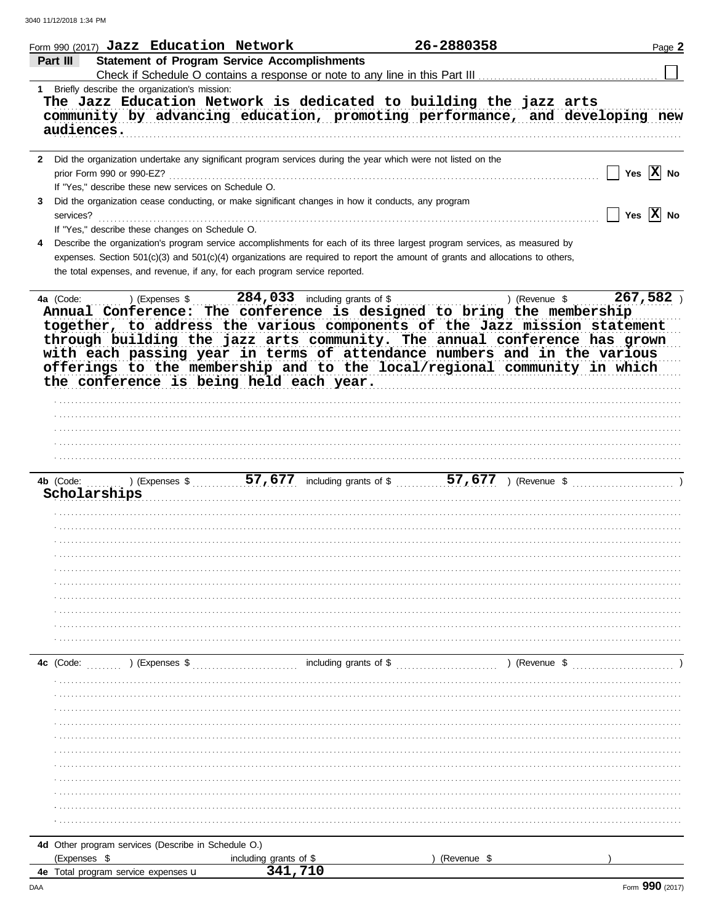| Part III<br>audiences.    | <b>Statement of Program Service Accomplishments</b><br>1 Briefly describe the organization's mission: |                        |                                                                                                                                                                                                                                                              |                                                                                                                                                                                                                                                                                                                                                                                                                                                        |                                       |
|---------------------------|-------------------------------------------------------------------------------------------------------|------------------------|--------------------------------------------------------------------------------------------------------------------------------------------------------------------------------------------------------------------------------------------------------------|--------------------------------------------------------------------------------------------------------------------------------------------------------------------------------------------------------------------------------------------------------------------------------------------------------------------------------------------------------------------------------------------------------------------------------------------------------|---------------------------------------|
|                           |                                                                                                       |                        |                                                                                                                                                                                                                                                              |                                                                                                                                                                                                                                                                                                                                                                                                                                                        |                                       |
|                           |                                                                                                       |                        |                                                                                                                                                                                                                                                              |                                                                                                                                                                                                                                                                                                                                                                                                                                                        |                                       |
|                           |                                                                                                       |                        |                                                                                                                                                                                                                                                              | The Jazz Education Network is dedicated to building the jazz arts<br>community by advancing education, promoting performance, and developing new                                                                                                                                                                                                                                                                                                       |                                       |
|                           |                                                                                                       |                        | 2 Did the organization undertake any significant program services during the year which were not listed on the                                                                                                                                               |                                                                                                                                                                                                                                                                                                                                                                                                                                                        |                                       |
| prior Form 990 or 990-EZ? | If "Yes," describe these new services on Schedule O.                                                  |                        |                                                                                                                                                                                                                                                              |                                                                                                                                                                                                                                                                                                                                                                                                                                                        | Yes $ \mathbf{X} $ No<br>$\mathbf{I}$ |
| services?                 | If "Yes," describe these changes on Schedule O.                                                       |                        | Did the organization cease conducting, or make significant changes in how it conducts, any program                                                                                                                                                           |                                                                                                                                                                                                                                                                                                                                                                                                                                                        | $\Box$ Yes $\boxed{\mathbf{X}}$ No    |
|                           | the total expenses, and revenue, if any, for each program service reported.                           |                        | Describe the organization's program service accomplishments for each of its three largest program services, as measured by<br>expenses. Section 501(c)(3) and 501(c)(4) organizations are required to report the amount of grants and allocations to others, |                                                                                                                                                                                                                                                                                                                                                                                                                                                        |                                       |
| 4a (Code:                 | the conference is being held each year.                                                               |                        |                                                                                                                                                                                                                                                              | a (Code: ) (Expenses \$284,033 including grants of \$1,000) (Expenses \$284,033 including grants of \$1,000 including the membership<br>together, to address the various components of the Jazz mission statement<br>through building the jazz arts community. The annual conference has grown<br>with each passing year in terms of attendance numbers and in the various<br>offerings to the membership and to the local/regional community in which | 267,582)                              |
| 4b (Code:<br>Scholarships |                                                                                                       |                        |                                                                                                                                                                                                                                                              | ) (Expenses $\frac{1}{2}$ , $\frac{57}{677}$ including grants of $\frac{1}{2}$ , $\frac{57}{677}$ ) (Revenue $\frac{1}{2}$ , $\frac{1}{2}$ )                                                                                                                                                                                                                                                                                                           |                                       |
|                           |                                                                                                       |                        |                                                                                                                                                                                                                                                              |                                                                                                                                                                                                                                                                                                                                                                                                                                                        |                                       |
|                           |                                                                                                       |                        |                                                                                                                                                                                                                                                              |                                                                                                                                                                                                                                                                                                                                                                                                                                                        |                                       |
| 4c (Code:                 | ) (Expenses \$                                                                                        |                        | including grants of $\$\ldots$ .                                                                                                                                                                                                                             | (Revenue \$                                                                                                                                                                                                                                                                                                                                                                                                                                            |                                       |
|                           |                                                                                                       |                        |                                                                                                                                                                                                                                                              |                                                                                                                                                                                                                                                                                                                                                                                                                                                        |                                       |
|                           |                                                                                                       |                        |                                                                                                                                                                                                                                                              |                                                                                                                                                                                                                                                                                                                                                                                                                                                        |                                       |
|                           |                                                                                                       |                        |                                                                                                                                                                                                                                                              |                                                                                                                                                                                                                                                                                                                                                                                                                                                        |                                       |
|                           |                                                                                                       |                        |                                                                                                                                                                                                                                                              |                                                                                                                                                                                                                                                                                                                                                                                                                                                        |                                       |
|                           |                                                                                                       |                        |                                                                                                                                                                                                                                                              |                                                                                                                                                                                                                                                                                                                                                                                                                                                        |                                       |
| (Expenses \$              | 4d Other program services (Describe in Schedule O.)                                                   | including grants of \$ | (Revenue \$                                                                                                                                                                                                                                                  |                                                                                                                                                                                                                                                                                                                                                                                                                                                        |                                       |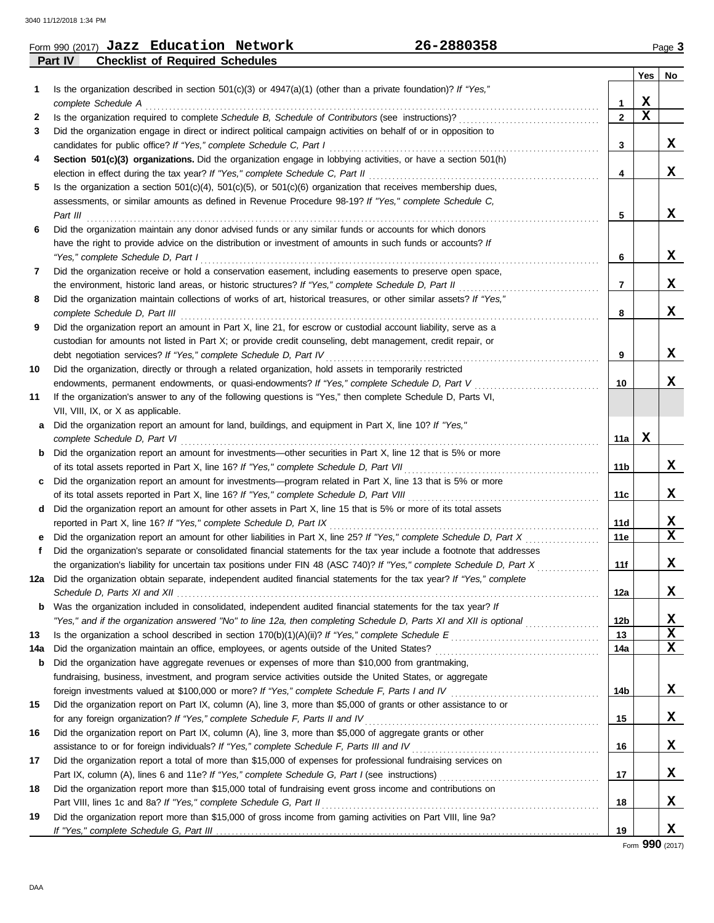|         | Form 990 (2017) Jazz Education Network |  | 26-2880358 |     | Page 3 |
|---------|----------------------------------------|--|------------|-----|--------|
| Part IV | <b>Checklist of Required Schedules</b> |  |            |     |        |
|         |                                        |  |            | Yes | No     |
|         | .                                      |  | .          |     |        |

|              |                                                                                                                                                                                                               |                 | <b>Yes</b>                   | No               |
|--------------|---------------------------------------------------------------------------------------------------------------------------------------------------------------------------------------------------------------|-----------------|------------------------------|------------------|
| 1            | Is the organization described in section $501(c)(3)$ or $4947(a)(1)$ (other than a private foundation)? If "Yes,"                                                                                             |                 |                              |                  |
|              | complete Schedule A                                                                                                                                                                                           | 1               | X<br>$\overline{\mathbf{x}}$ |                  |
| $\mathbf{2}$ |                                                                                                                                                                                                               | $\overline{2}$  |                              |                  |
| 3            | Did the organization engage in direct or indirect political campaign activities on behalf of or in opposition to                                                                                              |                 |                              | X                |
|              | candidates for public office? If "Yes," complete Schedule C, Part I                                                                                                                                           | 3               |                              |                  |
| 4            | Section 501(c)(3) organizations. Did the organization engage in lobbying activities, or have a section 501(h)                                                                                                 |                 |                              | X                |
|              |                                                                                                                                                                                                               | 4               |                              |                  |
| 5            | Is the organization a section $501(c)(4)$ , $501(c)(5)$ , or $501(c)(6)$ organization that receives membership dues,                                                                                          |                 |                              |                  |
|              | assessments, or similar amounts as defined in Revenue Procedure 98-19? If "Yes," complete Schedule C,<br>Part III                                                                                             | 5               |                              | X                |
| 6            | Did the organization maintain any donor advised funds or any similar funds or accounts for which donors                                                                                                       |                 |                              |                  |
|              | have the right to provide advice on the distribution or investment of amounts in such funds or accounts? If                                                                                                   |                 |                              |                  |
|              | "Yes," complete Schedule D, Part I                                                                                                                                                                            | 6               |                              | X                |
| 7            | Did the organization receive or hold a conservation easement, including easements to preserve open space,                                                                                                     |                 |                              |                  |
|              | the environment, historic land areas, or historic structures? If "Yes," complete Schedule D, Part II                                                                                                          | $\mathbf{7}$    |                              | X                |
| 8            | Did the organization maintain collections of works of art, historical treasures, or other similar assets? If "Yes,"                                                                                           |                 |                              |                  |
|              | complete Schedule D, Part III                                                                                                                                                                                 | 8               |                              | X                |
| 9            | Did the organization report an amount in Part X, line 21, for escrow or custodial account liability, serve as a                                                                                               |                 |                              |                  |
|              | custodian for amounts not listed in Part X; or provide credit counseling, debt management, credit repair, or                                                                                                  |                 |                              |                  |
|              | debt negotiation services? If "Yes," complete Schedule D, Part IV                                                                                                                                             | 9               |                              | x                |
| 10           | Did the organization, directly or through a related organization, hold assets in temporarily restricted                                                                                                       |                 |                              |                  |
|              | endowments, permanent endowments, or quasi-endowments? If "Yes," complete Schedule D, Part V                                                                                                                  | 10              |                              | x                |
| 11           | If the organization's answer to any of the following questions is "Yes," then complete Schedule D, Parts VI,                                                                                                  |                 |                              |                  |
|              | VII, VIII, IX, or X as applicable.                                                                                                                                                                            |                 |                              |                  |
| a            | Did the organization report an amount for land, buildings, and equipment in Part X, line 10? If "Yes,"                                                                                                        |                 |                              |                  |
|              | complete Schedule D, Part VI                                                                                                                                                                                  | 11a             | X                            |                  |
| b            | Did the organization report an amount for investments—other securities in Part X, line 12 that is 5% or more                                                                                                  |                 |                              |                  |
|              |                                                                                                                                                                                                               | 11 <sub>b</sub> |                              | X                |
| c            | Did the organization report an amount for investments—program related in Part X, line 13 that is 5% or more                                                                                                   |                 |                              |                  |
|              |                                                                                                                                                                                                               | 11c             |                              | X                |
| d            | Did the organization report an amount for other assets in Part X, line 15 that is 5% or more of its total assets                                                                                              |                 |                              |                  |
|              | reported in Part X, line 16? If "Yes," complete Schedule D, Part IX                                                                                                                                           | 11d             |                              | X                |
|              | Did the organization report an amount for other liabilities in Part X, line 25? If "Yes," complete Schedule D, Part X                                                                                         | 11e             |                              | $\mathbf{x}$     |
| f            | Did the organization's separate or consolidated financial statements for the tax year include a footnote that addresses                                                                                       |                 |                              |                  |
|              | the organization's liability for uncertain tax positions under FIN 48 (ASC 740)? If "Yes," complete Schedule D, Part X                                                                                        | 11f             |                              | X                |
|              | 12a Did the organization obtain separate, independent audited financial statements for the tax year? If "Yes," complete                                                                                       |                 |                              |                  |
|              |                                                                                                                                                                                                               | 12a             |                              | X.               |
|              | <b>b</b> Was the organization included in consolidated, independent audited financial statements for the tax year? If                                                                                         |                 |                              |                  |
|              | "Yes," and if the organization answered "No" to line 12a, then completing Schedule D, Parts XI and XII is optional                                                                                            | 12b             |                              | x<br>$\mathbf x$ |
| 13           |                                                                                                                                                                                                               | 13              |                              | X                |
| 14a          |                                                                                                                                                                                                               | 14a             |                              |                  |
| b            | Did the organization have aggregate revenues or expenses of more than \$10,000 from grantmaking,<br>fundraising, business, investment, and program service activities outside the United States, or aggregate |                 |                              |                  |
|              |                                                                                                                                                                                                               | 14b             |                              | x                |
| 15           | Did the organization report on Part IX, column (A), line 3, more than \$5,000 of grants or other assistance to or                                                                                             |                 |                              |                  |
|              | for any foreign organization? If "Yes," complete Schedule F, Parts II and IV                                                                                                                                  | 15              |                              | x                |
| 16           | Did the organization report on Part IX, column (A), line 3, more than \$5,000 of aggregate grants or other                                                                                                    |                 |                              |                  |
|              | assistance to or for foreign individuals? If "Yes," complete Schedule F, Parts III and IV [[[[[[[[[[[[[[[[[[[                                                                                                 | 16              |                              | x                |
| 17           | Did the organization report a total of more than \$15,000 of expenses for professional fundraising services on                                                                                                |                 |                              |                  |
|              |                                                                                                                                                                                                               | 17              |                              | X                |
| 18           | Did the organization report more than \$15,000 total of fundraising event gross income and contributions on                                                                                                   |                 |                              |                  |
|              |                                                                                                                                                                                                               | 18              |                              | X                |
| 19           | Did the organization report more than \$15,000 of gross income from gaming activities on Part VIII, line 9a?                                                                                                  |                 |                              |                  |
|              |                                                                                                                                                                                                               | 19              |                              | X                |

Form **990** (2017)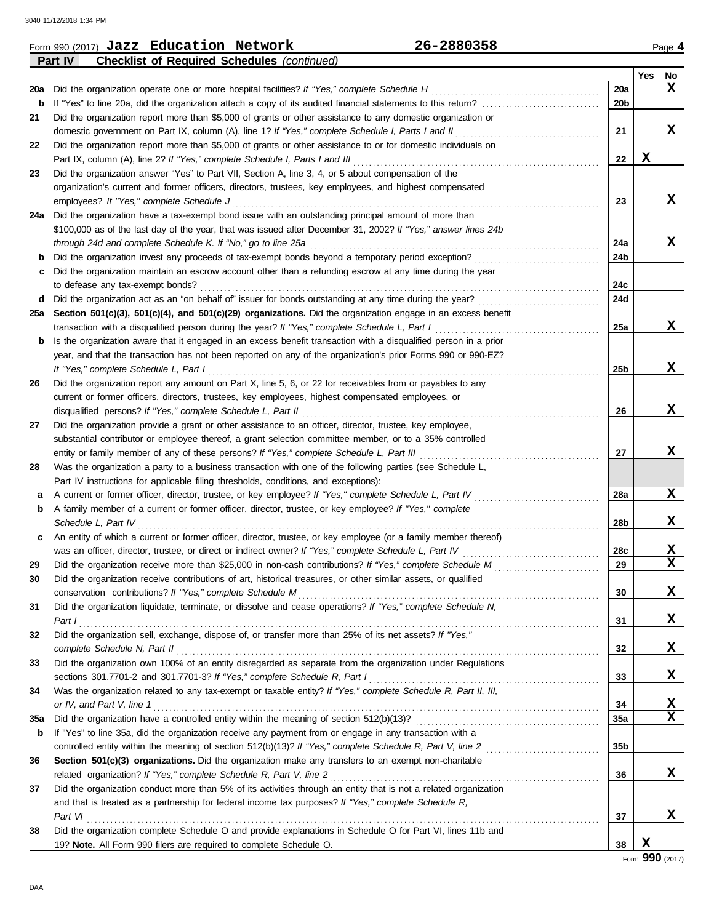|     | 26-2880358<br>Form 990 (2017) Jazz Education Network                                                             |                                                            |     | Page 4                  |
|-----|------------------------------------------------------------------------------------------------------------------|------------------------------------------------------------|-----|-------------------------|
|     | Part IV<br><b>Checklist of Required Schedules (continued)</b>                                                    |                                                            |     |                         |
|     |                                                                                                                  |                                                            | Yes | No                      |
|     | 20a Did the organization operate one or more hospital facilities? If "Yes," complete Schedule H                  | 20a                                                        |     | X                       |
| b   |                                                                                                                  | 20 <sub>b</sub>                                            |     |                         |
| 21  | Did the organization report more than \$5,000 of grants or other assistance to any domestic organization or      |                                                            |     |                         |
|     | domestic government on Part IX, column (A), line 1? If "Yes," complete Schedule I, Parts I and II                | 21                                                         |     | x                       |
| 22  | Did the organization report more than \$5,000 of grants or other assistance to or for domestic individuals on    |                                                            |     |                         |
|     | Part IX, column (A), line 2? If "Yes," complete Schedule I, Parts I and III                                      | 22                                                         | X   |                         |
| 23  | Did the organization answer "Yes" to Part VII, Section A, line 3, 4, or 5 about compensation of the              |                                                            |     |                         |
|     | organization's current and former officers, directors, trustees, key employees, and highest compensated          |                                                            |     |                         |
|     | employees? If "Yes," complete Schedule J                                                                         | 23                                                         |     | x                       |
|     | 24a Did the organization have a tax-exempt bond issue with an outstanding principal amount of more than          |                                                            |     |                         |
|     | \$100,000 as of the last day of the year, that was issued after December 31, 2002? If "Yes," answer lines 24b    |                                                            |     |                         |
|     | through 24d and complete Schedule K. If "No," go to line 25a                                                     | 24a                                                        |     | x                       |
| b   | Did the organization invest any proceeds of tax-exempt bonds beyond a temporary period exception?                | 24b                                                        |     |                         |
|     | Did the organization maintain an escrow account other than a refunding escrow at any time during the year        |                                                            |     |                         |
| C   | to defease any tax-exempt bonds?                                                                                 | 24c                                                        |     |                         |
|     |                                                                                                                  |                                                            |     |                         |
|     | d Did the organization act as an "on behalf of" issuer for bonds outstanding at any time during the year?        | 24d                                                        |     |                         |
|     | 25a Section 501(c)(3), 501(c)(4), and 501(c)(29) organizations. Did the organization engage in an excess benefit |                                                            |     |                         |
|     | transaction with a disqualified person during the year? If "Yes," complete Schedule L, Part I                    | 25a                                                        |     | x                       |
| b   | Is the organization aware that it engaged in an excess benefit transaction with a disqualified person in a prior |                                                            |     |                         |
|     | year, and that the transaction has not been reported on any of the organization's prior Forms 990 or 990-EZ?     |                                                            |     |                         |
|     | If "Yes," complete Schedule L, Part I                                                                            | 25b                                                        |     | x                       |
| 26  | Did the organization report any amount on Part X, line 5, 6, or 22 for receivables from or payables to any       |                                                            |     |                         |
|     | current or former officers, directors, trustees, key employees, highest compensated employees, or                |                                                            |     |                         |
|     | disqualified persons? If "Yes," complete Schedule L, Part II                                                     | 26                                                         |     | X                       |
| 27  | Did the organization provide a grant or other assistance to an officer, director, trustee, key employee,         |                                                            |     |                         |
|     | substantial contributor or employee thereof, a grant selection committee member, or to a 35% controlled          |                                                            |     |                         |
|     | entity or family member of any of these persons? If "Yes," complete Schedule L, Part III                         | 27                                                         |     | x                       |
| 28  | Was the organization a party to a business transaction with one of the following parties (see Schedule L,        |                                                            |     |                         |
|     | Part IV instructions for applicable filing thresholds, conditions, and exceptions):                              |                                                            |     |                         |
| а   | A current or former officer, director, trustee, or key employee? If "Yes," complete Schedule L, Part IV          | 28a                                                        |     | X                       |
| b   | A family member of a current or former officer, director, trustee, or key employee? If "Yes," complete           |                                                            |     |                         |
|     | Schedule L, Part IV                                                                                              | 28b                                                        |     | x                       |
| C   | An entity of which a current or former officer, director, trustee, or key employee (or a family member thereof)  |                                                            |     |                         |
|     | was an officer, director, trustee, or direct or indirect owner? If "Yes," complete Schedule L, Part IV           | 28c                                                        |     | X                       |
|     | Did the organization receive more than \$25,000 in non-cash contributions? If "Yes," complete Schedule M         | 29<br><u> 1986 - Johann Stoff, Amerikaansk politiker (</u> |     | $\overline{\mathbf{x}}$ |
| 30  | Did the organization receive contributions of art, historical treasures, or other similar assets, or qualified   |                                                            |     |                         |
|     | conservation contributions? If "Yes," complete Schedule M                                                        | 30                                                         |     | X                       |
| 31  | Did the organization liquidate, terminate, or dissolve and cease operations? If "Yes," complete Schedule N,      |                                                            |     |                         |
|     | Part I                                                                                                           | 31                                                         |     | X                       |
| 32  | Did the organization sell, exchange, dispose of, or transfer more than 25% of its net assets? If "Yes,"          |                                                            |     |                         |
|     | complete Schedule N, Part II                                                                                     | 32                                                         |     | X                       |
| 33  | Did the organization own 100% of an entity disregarded as separate from the organization under Regulations       |                                                            |     |                         |
|     | sections 301.7701-2 and 301.7701-3? If "Yes," complete Schedule R, Part I                                        | 33                                                         |     | X                       |
|     |                                                                                                                  |                                                            |     |                         |
| 34  | Was the organization related to any tax-exempt or taxable entity? If "Yes," complete Schedule R, Part II, III,   |                                                            |     |                         |
|     | or IV, and Part V, line 1                                                                                        | 34                                                         |     | X                       |
| 35a | Did the organization have a controlled entity within the meaning of section 512(b)(13)?                          | 35a                                                        |     | X                       |
| b   | If "Yes" to line 35a, did the organization receive any payment from or engage in any transaction with a          |                                                            |     |                         |
|     |                                                                                                                  | 35 <sub>b</sub>                                            |     |                         |
| 36  | Section 501(c)(3) organizations. Did the organization make any transfers to an exempt non-charitable             |                                                            |     |                         |
|     | related organization? If "Yes," complete Schedule R, Part V, line 2                                              | 36                                                         |     | X                       |
| 37  | Did the organization conduct more than 5% of its activities through an entity that is not a related organization |                                                            |     |                         |
|     | and that is treated as a partnership for federal income tax purposes? If "Yes," complete Schedule R,             |                                                            |     |                         |
|     | Part VI                                                                                                          | 37                                                         |     | X                       |
| 38  | Did the organization complete Schedule O and provide explanations in Schedule O for Part VI, lines 11b and       |                                                            |     |                         |
|     | 19? Note. All Form 990 filers are required to complete Schedule O.                                               | 38                                                         | X   |                         |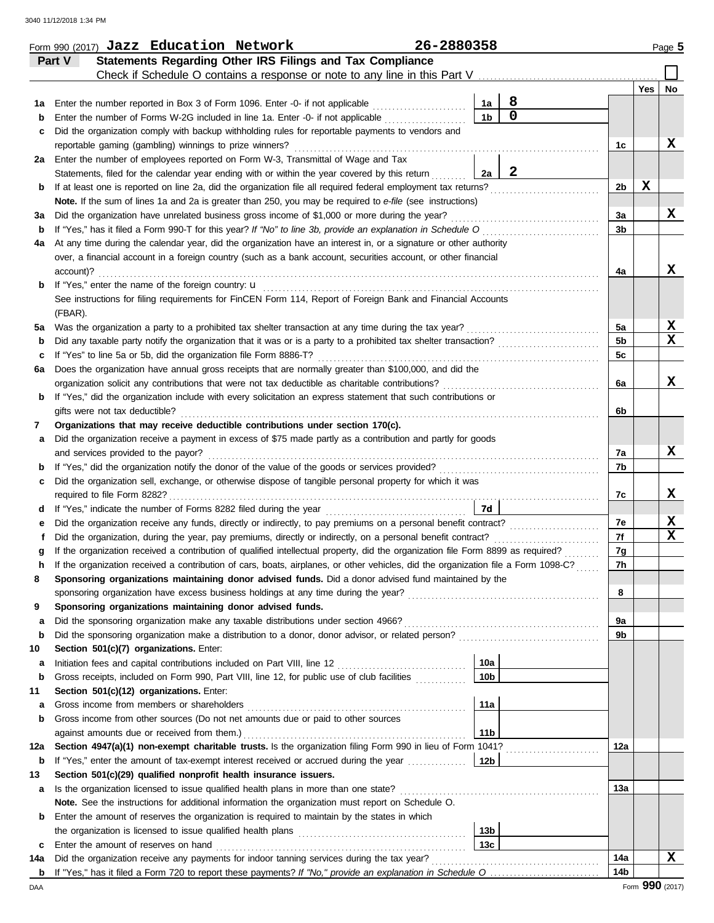|     | Form 990 (2017) Jazz Education Network                                                                                                                                                                                                     | 26-2880358 |                 |              |                |     | Page 5      |
|-----|--------------------------------------------------------------------------------------------------------------------------------------------------------------------------------------------------------------------------------------------|------------|-----------------|--------------|----------------|-----|-------------|
|     | Statements Regarding Other IRS Filings and Tax Compliance<br>Part V                                                                                                                                                                        |            |                 |              |                |     |             |
|     | Check if Schedule O contains a response or note to any line in this Part V                                                                                                                                                                 |            |                 |              |                |     |             |
|     |                                                                                                                                                                                                                                            |            |                 |              |                | Yes | No          |
| 1а  | Enter the number reported in Box 3 of Form 1096. Enter -0- if not applicable                                                                                                                                                               |            | 1a              | 8            |                |     |             |
| b   | Enter the number of Forms W-2G included in line 1a. Enter -0- if not applicable                                                                                                                                                            |            | 1 <sub>b</sub>  | $\mathbf 0$  |                |     |             |
| c   | Did the organization comply with backup withholding rules for reportable payments to vendors and                                                                                                                                           |            |                 |              |                |     | X           |
|     | reportable gaming (gambling) winnings to prize winners?                                                                                                                                                                                    |            |                 |              | 1c             |     |             |
|     | 2a Enter the number of employees reported on Form W-3, Transmittal of Wage and Tax                                                                                                                                                         |            |                 | $\mathbf{2}$ |                |     |             |
|     | Statements, filed for the calendar year ending with or within the year covered by this return<br>If at least one is reported on line 2a, did the organization file all required federal employment tax returns?                            |            | 2a              |              | 2b             | X   |             |
| b   | Note. If the sum of lines 1a and 2a is greater than 250, you may be required to e-file (see instructions)                                                                                                                                  |            |                 |              |                |     |             |
| За  | Did the organization have unrelated business gross income of \$1,000 or more during the year?                                                                                                                                              |            |                 |              | За             |     | x           |
| b   | If "Yes," has it filed a Form 990-T for this year? If "No" to line 3b, provide an explanation in Schedule O                                                                                                                                |            |                 |              | 3b             |     |             |
| 4a  | At any time during the calendar year, did the organization have an interest in, or a signature or other authority                                                                                                                          |            |                 |              |                |     |             |
|     | over, a financial account in a foreign country (such as a bank account, securities account, or other financial                                                                                                                             |            |                 |              |                |     |             |
|     | account)?                                                                                                                                                                                                                                  |            |                 |              | 4a             |     | X           |
| b   | If "Yes," enter the name of the foreign country: <b>u</b>                                                                                                                                                                                  |            |                 |              |                |     |             |
|     | See instructions for filing requirements for FinCEN Form 114, Report of Foreign Bank and Financial Accounts                                                                                                                                |            |                 |              |                |     |             |
|     | (FBAR).                                                                                                                                                                                                                                    |            |                 |              |                |     |             |
| 5a  | Was the organization a party to a prohibited tax shelter transaction at any time during the tax year?                                                                                                                                      |            |                 |              | 5a             |     | X           |
| b   | Did any taxable party notify the organization that it was or is a party to a prohibited tax shelter transaction?                                                                                                                           |            |                 |              | 5 <sub>b</sub> |     | $\mathbf x$ |
| c   | If "Yes" to line 5a or 5b, did the organization file Form 8886-T?                                                                                                                                                                          |            |                 |              | 5c             |     |             |
| 6a  | Does the organization have annual gross receipts that are normally greater than \$100,000, and did the                                                                                                                                     |            |                 |              |                |     |             |
|     | organization solicit any contributions that were not tax deductible as charitable contributions?                                                                                                                                           |            |                 |              | 6a             |     | x           |
| b   | If "Yes," did the organization include with every solicitation an express statement that such contributions or                                                                                                                             |            |                 |              |                |     |             |
|     | gifts were not tax deductible?                                                                                                                                                                                                             |            |                 |              | 6b             |     |             |
| 7   | Organizations that may receive deductible contributions under section 170(c).                                                                                                                                                              |            |                 |              |                |     |             |
| а   | Did the organization receive a payment in excess of \$75 made partly as a contribution and partly for goods                                                                                                                                |            |                 |              |                |     |             |
|     | and services provided to the payor?                                                                                                                                                                                                        |            |                 |              | 7a             |     | x           |
| b   |                                                                                                                                                                                                                                            |            |                 |              | 7b             |     |             |
| c   | Did the organization sell, exchange, or otherwise dispose of tangible personal property for which it was                                                                                                                                   |            |                 |              |                |     |             |
|     | required to file Form 8282?                                                                                                                                                                                                                |            |                 |              | 7c             |     | x           |
| d   |                                                                                                                                                                                                                                            |            | 7d              |              |                |     |             |
| е   | Did the organization receive any funds, directly or indirectly, to pay premiums on a personal benefit contract?                                                                                                                            |            |                 |              | 7e             |     | X           |
|     | Did the organization, during the year, pay premiums, directly or indirectly, on a personal benefit contract?                                                                                                                               |            |                 |              | 7f             |     | x           |
|     | If the organization received a contribution of qualified intellectual property, did the organization file Form 8899 as required?                                                                                                           |            |                 |              | 7g<br>7h       |     |             |
|     | If the organization received a contribution of cars, boats, airplanes, or other vehicles, did the organization file a Form 1098-C?<br>Sponsoring organizations maintaining donor advised funds. Did a donor advised fund maintained by the |            |                 |              |                |     |             |
| 8   | sponsoring organization have excess business holdings at any time during the year?                                                                                                                                                         |            |                 |              | 8              |     |             |
| 9   | Sponsoring organizations maintaining donor advised funds.                                                                                                                                                                                  |            |                 |              |                |     |             |
| a   | Did the sponsoring organization make any taxable distributions under section 4966?                                                                                                                                                         |            |                 |              | 9a             |     |             |
| b   | Did the sponsoring organization make a distribution to a donor, donor advisor, or related person?                                                                                                                                          |            |                 |              | 9b             |     |             |
| 10  | Section 501(c)(7) organizations. Enter:                                                                                                                                                                                                    |            |                 |              |                |     |             |
| а   |                                                                                                                                                                                                                                            |            | 10a             |              |                |     |             |
| b   | Gross receipts, included on Form 990, Part VIII, line 12, for public use of club facilities                                                                                                                                                |            | 10 <sub>b</sub> |              |                |     |             |
| 11  | Section 501(c)(12) organizations. Enter:                                                                                                                                                                                                   |            |                 |              |                |     |             |
| а   | Gross income from members or shareholders                                                                                                                                                                                                  |            | 11a             |              |                |     |             |
| b   | Gross income from other sources (Do not net amounts due or paid to other sources                                                                                                                                                           |            |                 |              |                |     |             |
|     | against amounts due or received from them.)                                                                                                                                                                                                |            | 11 <sub>b</sub> |              |                |     |             |
| 12a | Section 4947(a)(1) non-exempt charitable trusts. Is the organization filing Form 990 in lieu of Form 1041?                                                                                                                                 |            |                 |              | 12a            |     |             |
| b   | If "Yes," enter the amount of tax-exempt interest received or accrued during the year <i>[[COSTERRY]</i>                                                                                                                                   |            | 12b             |              |                |     |             |
| 13  | Section 501(c)(29) qualified nonprofit health insurance issuers.                                                                                                                                                                           |            |                 |              |                |     |             |
| a   | Is the organization licensed to issue qualified health plans in more than one state?                                                                                                                                                       |            |                 |              | 13a            |     |             |
|     | Note. See the instructions for additional information the organization must report on Schedule O.                                                                                                                                          |            |                 |              |                |     |             |
| b   | Enter the amount of reserves the organization is required to maintain by the states in which                                                                                                                                               |            |                 |              |                |     |             |
|     |                                                                                                                                                                                                                                            |            | 13b             |              |                |     |             |
| c   | Enter the amount of reserves on hand                                                                                                                                                                                                       |            | 13 <sub>c</sub> |              |                |     |             |
| 14a | Did the organization receive any payments for indoor tanning services during the tax year?                                                                                                                                                 |            |                 |              | 14a            |     | x           |
|     |                                                                                                                                                                                                                                            |            |                 |              | 14b            |     |             |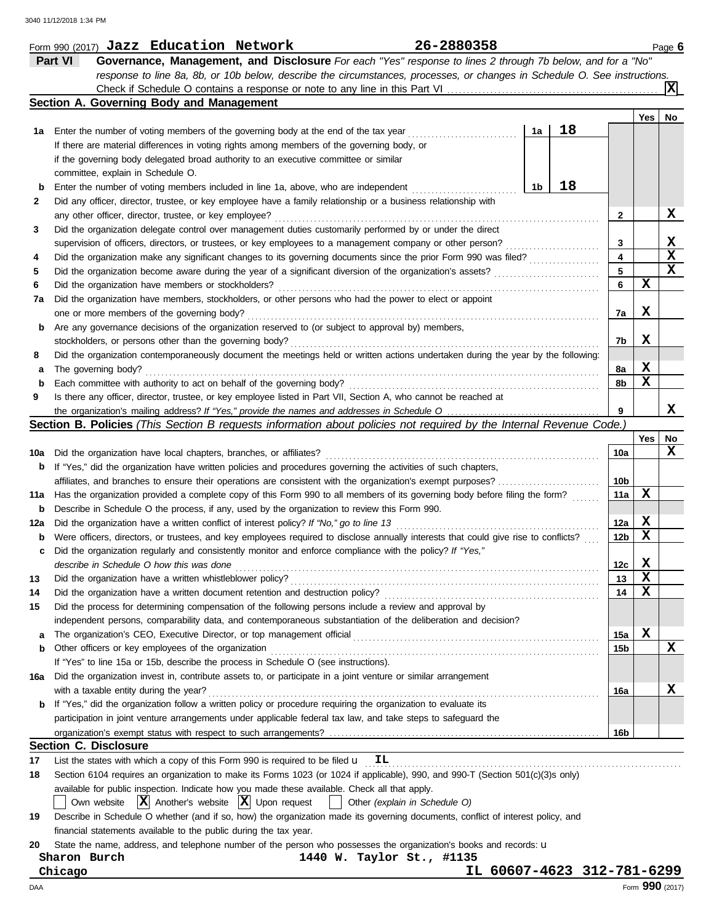|     | 26-2880358<br>Form 990 (2017) Jazz Education Network                                                                                |                 |     | Page 6          |
|-----|-------------------------------------------------------------------------------------------------------------------------------------|-----------------|-----|-----------------|
|     | Part VI<br>Governance, Management, and Disclosure For each "Yes" response to lines 2 through 7b below, and for a "No"               |                 |     |                 |
|     | response to line 8a, 8b, or 10b below, describe the circumstances, processes, or changes in Schedule O. See instructions.           |                 |     |                 |
|     |                                                                                                                                     |                 |     |                 |
|     | Section A. Governing Body and Management                                                                                            |                 |     |                 |
|     |                                                                                                                                     |                 | Yes | No              |
| 1а  | 18<br>1a<br>Enter the number of voting members of the governing body at the end of the tax year                                     |                 |     |                 |
|     | If there are material differences in voting rights among members of the governing body, or                                          |                 |     |                 |
|     | if the governing body delegated broad authority to an executive committee or similar                                                |                 |     |                 |
|     | committee, explain in Schedule O.                                                                                                   |                 |     |                 |
| b   | 18<br>1b<br>Enter the number of voting members included in line 1a, above, who are independent                                      |                 |     |                 |
| 2   | Did any officer, director, trustee, or key employee have a family relationship or a business relationship with                      |                 |     |                 |
|     | any other officer, director, trustee, or key employee?                                                                              | 2               |     | х               |
| 3   | Did the organization delegate control over management duties customarily performed by or under the direct                           |                 |     |                 |
|     | supervision of officers, directors, or trustees, or key employees to a management company or other person?                          | 3               |     | X               |
| 4   | Did the organization make any significant changes to its governing documents since the prior Form 990 was filed?                    | 4               |     | $\mathbf x$     |
| 5   | Did the organization become aware during the year of a significant diversion of the organization's assets?                          | 5               |     | $\mathbf x$     |
| 6   | Did the organization have members or stockholders?                                                                                  | 6               | X   |                 |
| 7a  | Did the organization have members, stockholders, or other persons who had the power to elect or appoint                             |                 |     |                 |
|     | one or more members of the governing body?                                                                                          | 7a              | X   |                 |
|     |                                                                                                                                     |                 |     |                 |
| b   | Are any governance decisions of the organization reserved to (or subject to approval by) members,                                   |                 | X   |                 |
|     | stockholders, or persons other than the governing body?                                                                             | 7b              |     |                 |
| 8   | Did the organization contemporaneously document the meetings held or written actions undertaken during the year by the following:   |                 | X   |                 |
| а   | The governing body?                                                                                                                 | 8a              | X   |                 |
| b   | Each committee with authority to act on behalf of the governing body?                                                               | 8b              |     |                 |
| 9   | Is there any officer, director, trustee, or key employee listed in Part VII, Section A, who cannot be reached at                    |                 |     |                 |
|     |                                                                                                                                     | 9               |     | x               |
|     | <b>Section B. Policies</b> (This Section B requests information about policies not required by the Internal Revenue Code.)          |                 |     |                 |
|     |                                                                                                                                     |                 | Yes | No              |
| 10a | Did the organization have local chapters, branches, or affiliates?                                                                  | 10a             |     | x               |
| b   | If "Yes," did the organization have written policies and procedures governing the activities of such chapters,                      |                 |     |                 |
|     | affiliates, and branches to ensure their operations are consistent with the organization's exempt purposes?                         | 10b             |     |                 |
| 11a | Has the organization provided a complete copy of this Form 990 to all members of its governing body before filing the form?         | 11a             | X   |                 |
| b   | Describe in Schedule O the process, if any, used by the organization to review this Form 990.                                       |                 |     |                 |
| 12a | Did the organization have a written conflict of interest policy? If "No," go to line 13                                             | 12a             | X   |                 |
| b   | Were officers, directors, or trustees, and key employees required to disclose annually interests that could give rise to conflicts? | 12 <sub>b</sub> | X   |                 |
| с   | Did the organization regularly and consistently monitor and enforce compliance with the policy? If "Yes,"                           |                 |     |                 |
|     | describe in Schedule O how this was done                                                                                            | 12 <sub>c</sub> | X   |                 |
| 13  | Did the organization have a written whistleblower policy?                                                                           | 13              | X   |                 |
| 14  | Did the organization have a written document retention and destruction policy?                                                      | 14              | х   |                 |
| 15  | Did the process for determining compensation of the following persons include a review and approval by                              |                 |     |                 |
|     | independent persons, comparability data, and contemporaneous substantiation of the deliberation and decision?                       |                 |     |                 |
| a   |                                                                                                                                     | 15a             | X   |                 |
| b   | Other officers or key employees of the organization                                                                                 | 15 <sub>b</sub> |     | X               |
|     | If "Yes" to line 15a or 15b, describe the process in Schedule O (see instructions).                                                 |                 |     |                 |
| 16a | Did the organization invest in, contribute assets to, or participate in a joint venture or similar arrangement                      |                 |     |                 |
|     | with a taxable entity during the year?                                                                                              | 16a             |     | x               |
| b   | If "Yes," did the organization follow a written policy or procedure requiring the organization to evaluate its                      |                 |     |                 |
|     | participation in joint venture arrangements under applicable federal tax law, and take steps to safeguard the                       |                 |     |                 |
|     |                                                                                                                                     | 16b             |     |                 |
|     | <b>Section C. Disclosure</b>                                                                                                        |                 |     |                 |
| 17  | List the states with which a copy of this Form 990 is required to be filed u<br>IL                                                  |                 |     |                 |
| 18  | Section 6104 requires an organization to make its Forms 1023 (or 1024 if applicable), 990, and 990-T (Section 501(c)(3)s only)      |                 |     |                 |
|     | available for public inspection. Indicate how you made these available. Check all that apply.                                       |                 |     |                 |
|     | Own website $ \mathbf{X} $ Another's website $ \mathbf{X} $ Upon request<br>Other (explain in Schedule O)                           |                 |     |                 |
| 19  | Describe in Schedule O whether (and if so, how) the organization made its governing documents, conflict of interest policy, and     |                 |     |                 |
|     | financial statements available to the public during the tax year.                                                                   |                 |     |                 |
| 20  | State the name, address, and telephone number of the person who possesses the organization's books and records: u                   |                 |     |                 |
|     | Sharon Burch<br>1440 W. Taylor St., #1135                                                                                           |                 |     |                 |
|     | IL 60607-4623 312-781-6299<br>Chicago                                                                                               |                 |     |                 |
| DAA |                                                                                                                                     |                 |     | Form 990 (2017) |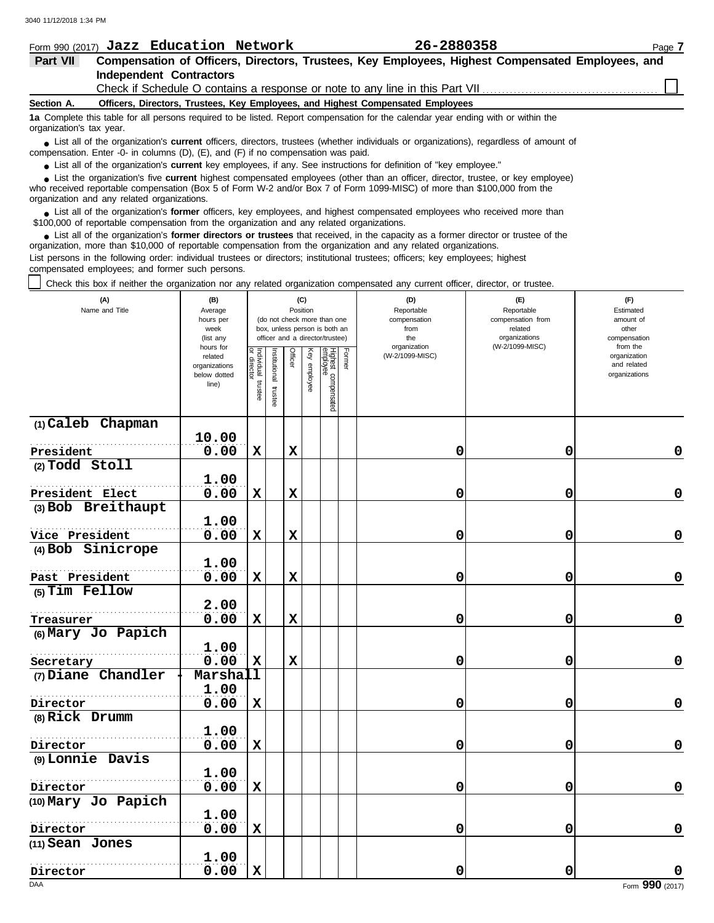|                                                                                                                                                                                                                             |                                                                                 | Form 990 (2017) Jazz Education Network |  | 26-2880358                                                                                       | Page 7 |  |  |  |  |  |
|-----------------------------------------------------------------------------------------------------------------------------------------------------------------------------------------------------------------------------|---------------------------------------------------------------------------------|----------------------------------------|--|--------------------------------------------------------------------------------------------------|--------|--|--|--|--|--|
| Part VII                                                                                                                                                                                                                    |                                                                                 |                                        |  | Compensation of Officers, Directors, Trustees, Key Employees, Highest Compensated Employees, and |        |  |  |  |  |  |
|                                                                                                                                                                                                                             |                                                                                 | Independent Contractors                |  |                                                                                                  |        |  |  |  |  |  |
|                                                                                                                                                                                                                             |                                                                                 |                                        |  |                                                                                                  |        |  |  |  |  |  |
| Section A.                                                                                                                                                                                                                  | Officers, Directors, Trustees, Key Employees, and Highest Compensated Employees |                                        |  |                                                                                                  |        |  |  |  |  |  |
| 1a Complete this table for all persons required to be listed. Report compensation for the calendar year ending with or within the<br>organization's tax year.                                                               |                                                                                 |                                        |  |                                                                                                  |        |  |  |  |  |  |
| • List all of the organization's current officers, directors, trustees (whether individuals or organizations), regardless of amount of<br>compensation. Enter -0- in columns (D), (E), and (F) if no compensation was paid. |                                                                                 |                                        |  |                                                                                                  |        |  |  |  |  |  |

● List all of the organization's **current** key employees, if any. See instructions for definition of "key employee."

who received reportable compensation (Box 5 of Form W-2 and/or Box 7 of Form 1099-MISC) of more than \$100,000 from the organization and any related organizations. ■ List the organization's five **current** highest compensated employees (other than an officer, director, trustee, or key employee)<br> **•** Preceived reportable compensation (Box 5 of Form W.2 and/or Box 7 of Form 1000 MISC)

■ List all of the organization's **former** officers, key employees, and highest compensated employees who received more than<br> **•** 00,000 of reportable compensation from the ergonization and any related ergonizations \$100,000 of reportable compensation from the organization and any related organizations.

■ List all of the organization's **former directors or trustees** that received, in the capacity as a former director or trustee of the<br>paization, more than \$10,000 of reportable compensation from the organization and any r organization, more than \$10,000 of reportable compensation from the organization and any related organizations. List persons in the following order: individual trustees or directors; institutional trustees; officers; key employees; highest

compensated employees; and former such persons.

Check this box if neither the organization nor any related organization compensated any current officer, director, or trustee.

| (A)<br>Name and Title           | (B)<br>Average<br>hours per<br>week<br>(list any               | (C)<br>Position<br>(do not check more than one<br>box, unless person is both an<br>officer and a director/trustee) |                          |             |              |                                 |        | (D)<br>Reportable<br>compensation<br>from<br>the | (E)<br>Reportable<br>compensation from<br>related<br>organizations | (F)<br>Estimated<br>amount of<br>other<br>compensation   |
|---------------------------------|----------------------------------------------------------------|--------------------------------------------------------------------------------------------------------------------|--------------------------|-------------|--------------|---------------------------------|--------|--------------------------------------------------|--------------------------------------------------------------------|----------------------------------------------------------|
|                                 | hours for<br>related<br>organizations<br>below dotted<br>line) | Individual trustee<br>or director                                                                                  | Institutional<br>trustee | Officer     | Key employee | Highest compensated<br>employee | Former | organization<br>(W-2/1099-MISC)                  | (W-2/1099-MISC)                                                    | from the<br>organization<br>and related<br>organizations |
| (1) Caleb Chapman               |                                                                |                                                                                                                    |                          |             |              |                                 |        |                                                  |                                                                    |                                                          |
| President                       | 10.00<br>0.00                                                  | $\mathbf x$                                                                                                        |                          | $\mathbf x$ |              |                                 |        | 0                                                | 0                                                                  | $\mathbf 0$                                              |
| (2) Todd Stoll                  |                                                                |                                                                                                                    |                          |             |              |                                 |        |                                                  |                                                                    |                                                          |
|                                 | 1.00                                                           |                                                                                                                    |                          |             |              |                                 |        |                                                  |                                                                    |                                                          |
| President Elect                 | 0.00                                                           | $\mathbf x$                                                                                                        |                          | $\mathbf x$ |              |                                 |        | 0                                                | 0                                                                  | 0                                                        |
| (3) Bob Breithaupt              |                                                                |                                                                                                                    |                          |             |              |                                 |        |                                                  |                                                                    |                                                          |
|                                 | 1.00                                                           |                                                                                                                    |                          |             |              |                                 |        |                                                  |                                                                    |                                                          |
| Vice President                  | 0.00                                                           | $\mathbf x$                                                                                                        |                          | $\mathbf x$ |              |                                 |        | 0                                                | 0                                                                  | $\mathbf 0$                                              |
| (4) Bob Sinicrope               |                                                                |                                                                                                                    |                          |             |              |                                 |        |                                                  |                                                                    |                                                          |
|                                 | 1.00                                                           |                                                                                                                    |                          |             |              |                                 |        |                                                  |                                                                    |                                                          |
| Past President                  | 0.00                                                           | $\mathbf x$                                                                                                        |                          | $\mathbf x$ |              |                                 |        | 0                                                | 0                                                                  | 0                                                        |
| (5) Tim Fellow                  | 2.00                                                           |                                                                                                                    |                          |             |              |                                 |        |                                                  |                                                                    |                                                          |
| Treasurer                       | 0.00                                                           | $\mathbf x$                                                                                                        |                          | $\mathbf x$ |              |                                 |        | 0                                                | 0                                                                  | $\mathbf 0$                                              |
| (6) Mary Jo Papich              |                                                                |                                                                                                                    |                          |             |              |                                 |        |                                                  |                                                                    |                                                          |
|                                 | 1.00                                                           |                                                                                                                    |                          |             |              |                                 |        |                                                  |                                                                    |                                                          |
| Secretary                       | 0.00                                                           | X                                                                                                                  |                          | X           |              |                                 |        | 0                                                | 0                                                                  | $\mathbf 0$                                              |
| (7) Diane Chandler              | Marshall                                                       |                                                                                                                    |                          |             |              |                                 |        |                                                  |                                                                    |                                                          |
|                                 | 1.00                                                           |                                                                                                                    |                          |             |              |                                 |        |                                                  |                                                                    |                                                          |
| Director                        | 0.00                                                           | $\mathbf x$                                                                                                        |                          |             |              |                                 |        | 0                                                | 0                                                                  | $\pmb{0}$                                                |
| (8) Rick Drumm                  |                                                                |                                                                                                                    |                          |             |              |                                 |        |                                                  |                                                                    |                                                          |
|                                 | 1.00                                                           |                                                                                                                    |                          |             |              |                                 |        |                                                  |                                                                    |                                                          |
| Director                        | 0.00                                                           | $\mathbf x$                                                                                                        |                          |             |              |                                 |        | 0                                                | 0                                                                  | $\mathbf 0$                                              |
| (9) Lonnie Davis                |                                                                |                                                                                                                    |                          |             |              |                                 |        |                                                  |                                                                    |                                                          |
|                                 | 1.00                                                           |                                                                                                                    |                          |             |              |                                 |        |                                                  |                                                                    |                                                          |
| Director<br>(10) Mary Jo Papich | 0.00                                                           | $\mathbf x$                                                                                                        |                          |             |              |                                 |        | 0                                                | 0                                                                  | $\mathbf 0$                                              |
|                                 | 1.00                                                           |                                                                                                                    |                          |             |              |                                 |        |                                                  |                                                                    |                                                          |
| Director                        | 0.00                                                           | $\mathbf x$                                                                                                        |                          |             |              |                                 |        | 0                                                | 0                                                                  | 0                                                        |
| (11) Sean Jones                 |                                                                |                                                                                                                    |                          |             |              |                                 |        |                                                  |                                                                    |                                                          |
|                                 | 1.00                                                           |                                                                                                                    |                          |             |              |                                 |        |                                                  |                                                                    |                                                          |
| Director                        | 0.00                                                           | $\mathbf x$                                                                                                        |                          |             |              |                                 |        | 0                                                | 0                                                                  | 0                                                        |
| <b>DAA</b>                      |                                                                |                                                                                                                    |                          |             |              |                                 |        |                                                  |                                                                    | Form 990 (2017)                                          |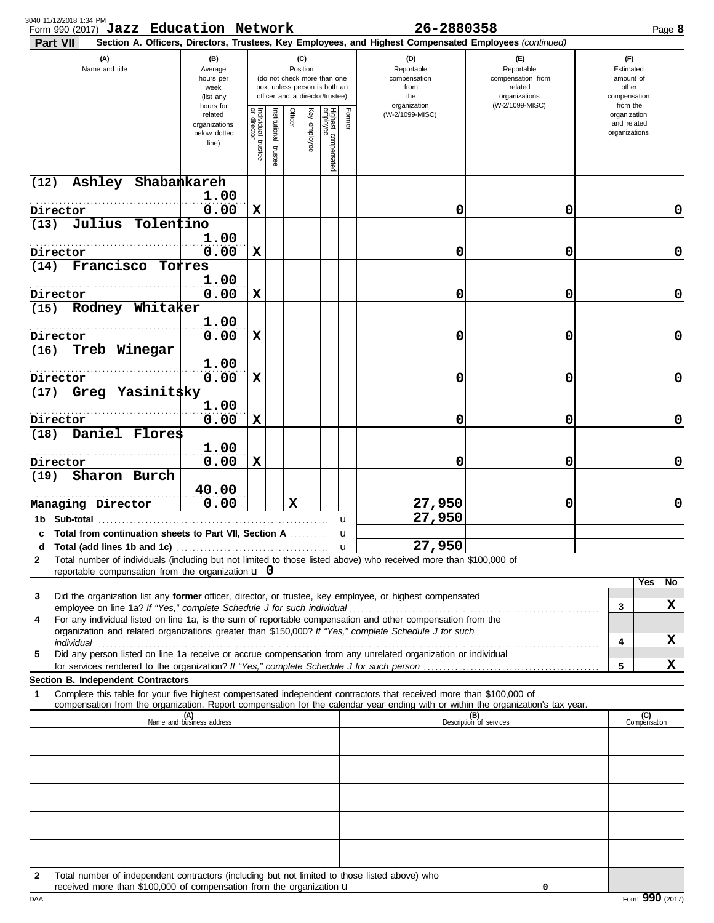| Section A. Officers, Directors, Trustees, Key Employees, and Highest Compensated Employees (continued)<br>Part VII<br>(A)<br>(B)<br>(F)<br>(C)<br>(D)<br>$(\mathsf{F})$<br>Name and title<br>Position<br>Reportable<br>Average<br>Reportable<br>Estimated<br>(do not check more than one<br>compensation<br>compensation from<br>amount of<br>hours per<br>box, unless person is both an<br>from<br>related<br>other<br>week<br>officer and a director/trustee)<br>the<br>organizations<br>compensation<br>(list any<br>(W-2/1099-MISC)<br>organization<br>from the<br>hours for<br>Individual 1<br>or director<br>Officer<br>Key employee<br>Highest compensated<br>employee<br>Former<br>nstitutional trustee<br>(W-2/1099-MISC)<br>organization<br>related<br>and related<br>organizations<br>organizations<br>below dotted<br>trustee<br>line)<br>Ashley Shabankareh<br>(12)<br>1.00<br>0.00<br>$\mathbf x$<br>Director<br>0<br>0<br>Julius Tolentino<br>(13)<br>1.00<br>.<br>$\mathbf x$<br>0.00<br>0<br>0<br>Director<br>Francisco Torres<br>(14)<br>1.00<br>$\mathbf x$<br>0<br>0<br>0.00<br>Director<br>Rodney Whitaker<br>(15)<br>1.00<br>0.00<br>0<br>0<br>X<br>Director<br>Treb Winegar<br>(16)<br>1.00<br>0.00<br>$\mathbf x$<br>0<br>0<br>Director<br>Greg Yasinit\$ky<br>(17)<br>1.00<br>0.00<br>0<br>0<br>X<br>Director<br>Daniel Flores<br>(18)<br>1.00<br>0.00<br>0<br>X<br>0<br>Director<br>Sharon Burch<br>(19)<br>40.00<br>0.00<br>$\mathbf x$<br>27,950<br>0<br>Managing Director<br>27,950<br>u<br>c Total from continuation sheets to Part VII, Section A<br>27,950<br>d<br>Total number of individuals (including but not limited to those listed above) who received more than \$100,000 of<br>2<br>reportable compensation from the organization $\mathbf u$ 0<br>Did the organization list any former officer, director, or trustee, key employee, or highest compensated<br>3<br>3<br>For any individual listed on line 1a, is the sum of reportable compensation and other compensation from the<br>4<br>organization and related organizations greater than \$150,000? If "Yes," complete Schedule J for such<br>4<br>individual commutation and contact the contract of the contract of the contract of the contract of the contract of the contract of the contract of the contract of the contract of the contract of the contract of the contrac<br>Did any person listed on line 1a receive or accrue compensation from any unrelated organization or individual<br>5<br>5<br>Section B. Independent Contractors<br>Complete this table for your five highest compensated independent contractors that received more than \$100,000 of<br>1<br>compensation from the organization. Report compensation for the calendar year ending with or within the organization's tax year.<br>(B)<br>Description of services<br>(A)<br>Name and business address | Page 8              |
|------------------------------------------------------------------------------------------------------------------------------------------------------------------------------------------------------------------------------------------------------------------------------------------------------------------------------------------------------------------------------------------------------------------------------------------------------------------------------------------------------------------------------------------------------------------------------------------------------------------------------------------------------------------------------------------------------------------------------------------------------------------------------------------------------------------------------------------------------------------------------------------------------------------------------------------------------------------------------------------------------------------------------------------------------------------------------------------------------------------------------------------------------------------------------------------------------------------------------------------------------------------------------------------------------------------------------------------------------------------------------------------------------------------------------------------------------------------------------------------------------------------------------------------------------------------------------------------------------------------------------------------------------------------------------------------------------------------------------------------------------------------------------------------------------------------------------------------------------------------------------------------------------------------------------------------------------------------------------------------------------------------------------------------------------------------------------------------------------------------------------------------------------------------------------------------------------------------------------------------------------------------------------------------------------------------------------------------------------------------------------------------------------------------------------------------------------------------------------------------------------------------------------------------------------------------------------------------------------------------------------------------------------------------------------------------------------------------------------------------------------------------------------------------------------------------------------------------------------------------------------------------|---------------------|
|                                                                                                                                                                                                                                                                                                                                                                                                                                                                                                                                                                                                                                                                                                                                                                                                                                                                                                                                                                                                                                                                                                                                                                                                                                                                                                                                                                                                                                                                                                                                                                                                                                                                                                                                                                                                                                                                                                                                                                                                                                                                                                                                                                                                                                                                                                                                                                                                                                                                                                                                                                                                                                                                                                                                                                                                                                                                                          |                     |
|                                                                                                                                                                                                                                                                                                                                                                                                                                                                                                                                                                                                                                                                                                                                                                                                                                                                                                                                                                                                                                                                                                                                                                                                                                                                                                                                                                                                                                                                                                                                                                                                                                                                                                                                                                                                                                                                                                                                                                                                                                                                                                                                                                                                                                                                                                                                                                                                                                                                                                                                                                                                                                                                                                                                                                                                                                                                                          |                     |
|                                                                                                                                                                                                                                                                                                                                                                                                                                                                                                                                                                                                                                                                                                                                                                                                                                                                                                                                                                                                                                                                                                                                                                                                                                                                                                                                                                                                                                                                                                                                                                                                                                                                                                                                                                                                                                                                                                                                                                                                                                                                                                                                                                                                                                                                                                                                                                                                                                                                                                                                                                                                                                                                                                                                                                                                                                                                                          |                     |
|                                                                                                                                                                                                                                                                                                                                                                                                                                                                                                                                                                                                                                                                                                                                                                                                                                                                                                                                                                                                                                                                                                                                                                                                                                                                                                                                                                                                                                                                                                                                                                                                                                                                                                                                                                                                                                                                                                                                                                                                                                                                                                                                                                                                                                                                                                                                                                                                                                                                                                                                                                                                                                                                                                                                                                                                                                                                                          | 0                   |
|                                                                                                                                                                                                                                                                                                                                                                                                                                                                                                                                                                                                                                                                                                                                                                                                                                                                                                                                                                                                                                                                                                                                                                                                                                                                                                                                                                                                                                                                                                                                                                                                                                                                                                                                                                                                                                                                                                                                                                                                                                                                                                                                                                                                                                                                                                                                                                                                                                                                                                                                                                                                                                                                                                                                                                                                                                                                                          |                     |
|                                                                                                                                                                                                                                                                                                                                                                                                                                                                                                                                                                                                                                                                                                                                                                                                                                                                                                                                                                                                                                                                                                                                                                                                                                                                                                                                                                                                                                                                                                                                                                                                                                                                                                                                                                                                                                                                                                                                                                                                                                                                                                                                                                                                                                                                                                                                                                                                                                                                                                                                                                                                                                                                                                                                                                                                                                                                                          | 0                   |
|                                                                                                                                                                                                                                                                                                                                                                                                                                                                                                                                                                                                                                                                                                                                                                                                                                                                                                                                                                                                                                                                                                                                                                                                                                                                                                                                                                                                                                                                                                                                                                                                                                                                                                                                                                                                                                                                                                                                                                                                                                                                                                                                                                                                                                                                                                                                                                                                                                                                                                                                                                                                                                                                                                                                                                                                                                                                                          |                     |
|                                                                                                                                                                                                                                                                                                                                                                                                                                                                                                                                                                                                                                                                                                                                                                                                                                                                                                                                                                                                                                                                                                                                                                                                                                                                                                                                                                                                                                                                                                                                                                                                                                                                                                                                                                                                                                                                                                                                                                                                                                                                                                                                                                                                                                                                                                                                                                                                                                                                                                                                                                                                                                                                                                                                                                                                                                                                                          | 0                   |
|                                                                                                                                                                                                                                                                                                                                                                                                                                                                                                                                                                                                                                                                                                                                                                                                                                                                                                                                                                                                                                                                                                                                                                                                                                                                                                                                                                                                                                                                                                                                                                                                                                                                                                                                                                                                                                                                                                                                                                                                                                                                                                                                                                                                                                                                                                                                                                                                                                                                                                                                                                                                                                                                                                                                                                                                                                                                                          |                     |
|                                                                                                                                                                                                                                                                                                                                                                                                                                                                                                                                                                                                                                                                                                                                                                                                                                                                                                                                                                                                                                                                                                                                                                                                                                                                                                                                                                                                                                                                                                                                                                                                                                                                                                                                                                                                                                                                                                                                                                                                                                                                                                                                                                                                                                                                                                                                                                                                                                                                                                                                                                                                                                                                                                                                                                                                                                                                                          | 0                   |
|                                                                                                                                                                                                                                                                                                                                                                                                                                                                                                                                                                                                                                                                                                                                                                                                                                                                                                                                                                                                                                                                                                                                                                                                                                                                                                                                                                                                                                                                                                                                                                                                                                                                                                                                                                                                                                                                                                                                                                                                                                                                                                                                                                                                                                                                                                                                                                                                                                                                                                                                                                                                                                                                                                                                                                                                                                                                                          |                     |
|                                                                                                                                                                                                                                                                                                                                                                                                                                                                                                                                                                                                                                                                                                                                                                                                                                                                                                                                                                                                                                                                                                                                                                                                                                                                                                                                                                                                                                                                                                                                                                                                                                                                                                                                                                                                                                                                                                                                                                                                                                                                                                                                                                                                                                                                                                                                                                                                                                                                                                                                                                                                                                                                                                                                                                                                                                                                                          | 0                   |
|                                                                                                                                                                                                                                                                                                                                                                                                                                                                                                                                                                                                                                                                                                                                                                                                                                                                                                                                                                                                                                                                                                                                                                                                                                                                                                                                                                                                                                                                                                                                                                                                                                                                                                                                                                                                                                                                                                                                                                                                                                                                                                                                                                                                                                                                                                                                                                                                                                                                                                                                                                                                                                                                                                                                                                                                                                                                                          |                     |
|                                                                                                                                                                                                                                                                                                                                                                                                                                                                                                                                                                                                                                                                                                                                                                                                                                                                                                                                                                                                                                                                                                                                                                                                                                                                                                                                                                                                                                                                                                                                                                                                                                                                                                                                                                                                                                                                                                                                                                                                                                                                                                                                                                                                                                                                                                                                                                                                                                                                                                                                                                                                                                                                                                                                                                                                                                                                                          | 0                   |
|                                                                                                                                                                                                                                                                                                                                                                                                                                                                                                                                                                                                                                                                                                                                                                                                                                                                                                                                                                                                                                                                                                                                                                                                                                                                                                                                                                                                                                                                                                                                                                                                                                                                                                                                                                                                                                                                                                                                                                                                                                                                                                                                                                                                                                                                                                                                                                                                                                                                                                                                                                                                                                                                                                                                                                                                                                                                                          |                     |
|                                                                                                                                                                                                                                                                                                                                                                                                                                                                                                                                                                                                                                                                                                                                                                                                                                                                                                                                                                                                                                                                                                                                                                                                                                                                                                                                                                                                                                                                                                                                                                                                                                                                                                                                                                                                                                                                                                                                                                                                                                                                                                                                                                                                                                                                                                                                                                                                                                                                                                                                                                                                                                                                                                                                                                                                                                                                                          | 0                   |
|                                                                                                                                                                                                                                                                                                                                                                                                                                                                                                                                                                                                                                                                                                                                                                                                                                                                                                                                                                                                                                                                                                                                                                                                                                                                                                                                                                                                                                                                                                                                                                                                                                                                                                                                                                                                                                                                                                                                                                                                                                                                                                                                                                                                                                                                                                                                                                                                                                                                                                                                                                                                                                                                                                                                                                                                                                                                                          |                     |
|                                                                                                                                                                                                                                                                                                                                                                                                                                                                                                                                                                                                                                                                                                                                                                                                                                                                                                                                                                                                                                                                                                                                                                                                                                                                                                                                                                                                                                                                                                                                                                                                                                                                                                                                                                                                                                                                                                                                                                                                                                                                                                                                                                                                                                                                                                                                                                                                                                                                                                                                                                                                                                                                                                                                                                                                                                                                                          |                     |
|                                                                                                                                                                                                                                                                                                                                                                                                                                                                                                                                                                                                                                                                                                                                                                                                                                                                                                                                                                                                                                                                                                                                                                                                                                                                                                                                                                                                                                                                                                                                                                                                                                                                                                                                                                                                                                                                                                                                                                                                                                                                                                                                                                                                                                                                                                                                                                                                                                                                                                                                                                                                                                                                                                                                                                                                                                                                                          | 0                   |
|                                                                                                                                                                                                                                                                                                                                                                                                                                                                                                                                                                                                                                                                                                                                                                                                                                                                                                                                                                                                                                                                                                                                                                                                                                                                                                                                                                                                                                                                                                                                                                                                                                                                                                                                                                                                                                                                                                                                                                                                                                                                                                                                                                                                                                                                                                                                                                                                                                                                                                                                                                                                                                                                                                                                                                                                                                                                                          |                     |
|                                                                                                                                                                                                                                                                                                                                                                                                                                                                                                                                                                                                                                                                                                                                                                                                                                                                                                                                                                                                                                                                                                                                                                                                                                                                                                                                                                                                                                                                                                                                                                                                                                                                                                                                                                                                                                                                                                                                                                                                                                                                                                                                                                                                                                                                                                                                                                                                                                                                                                                                                                                                                                                                                                                                                                                                                                                                                          |                     |
|                                                                                                                                                                                                                                                                                                                                                                                                                                                                                                                                                                                                                                                                                                                                                                                                                                                                                                                                                                                                                                                                                                                                                                                                                                                                                                                                                                                                                                                                                                                                                                                                                                                                                                                                                                                                                                                                                                                                                                                                                                                                                                                                                                                                                                                                                                                                                                                                                                                                                                                                                                                                                                                                                                                                                                                                                                                                                          |                     |
|                                                                                                                                                                                                                                                                                                                                                                                                                                                                                                                                                                                                                                                                                                                                                                                                                                                                                                                                                                                                                                                                                                                                                                                                                                                                                                                                                                                                                                                                                                                                                                                                                                                                                                                                                                                                                                                                                                                                                                                                                                                                                                                                                                                                                                                                                                                                                                                                                                                                                                                                                                                                                                                                                                                                                                                                                                                                                          | Yes<br>No           |
|                                                                                                                                                                                                                                                                                                                                                                                                                                                                                                                                                                                                                                                                                                                                                                                                                                                                                                                                                                                                                                                                                                                                                                                                                                                                                                                                                                                                                                                                                                                                                                                                                                                                                                                                                                                                                                                                                                                                                                                                                                                                                                                                                                                                                                                                                                                                                                                                                                                                                                                                                                                                                                                                                                                                                                                                                                                                                          | X                   |
|                                                                                                                                                                                                                                                                                                                                                                                                                                                                                                                                                                                                                                                                                                                                                                                                                                                                                                                                                                                                                                                                                                                                                                                                                                                                                                                                                                                                                                                                                                                                                                                                                                                                                                                                                                                                                                                                                                                                                                                                                                                                                                                                                                                                                                                                                                                                                                                                                                                                                                                                                                                                                                                                                                                                                                                                                                                                                          |                     |
|                                                                                                                                                                                                                                                                                                                                                                                                                                                                                                                                                                                                                                                                                                                                                                                                                                                                                                                                                                                                                                                                                                                                                                                                                                                                                                                                                                                                                                                                                                                                                                                                                                                                                                                                                                                                                                                                                                                                                                                                                                                                                                                                                                                                                                                                                                                                                                                                                                                                                                                                                                                                                                                                                                                                                                                                                                                                                          | X                   |
|                                                                                                                                                                                                                                                                                                                                                                                                                                                                                                                                                                                                                                                                                                                                                                                                                                                                                                                                                                                                                                                                                                                                                                                                                                                                                                                                                                                                                                                                                                                                                                                                                                                                                                                                                                                                                                                                                                                                                                                                                                                                                                                                                                                                                                                                                                                                                                                                                                                                                                                                                                                                                                                                                                                                                                                                                                                                                          | x                   |
|                                                                                                                                                                                                                                                                                                                                                                                                                                                                                                                                                                                                                                                                                                                                                                                                                                                                                                                                                                                                                                                                                                                                                                                                                                                                                                                                                                                                                                                                                                                                                                                                                                                                                                                                                                                                                                                                                                                                                                                                                                                                                                                                                                                                                                                                                                                                                                                                                                                                                                                                                                                                                                                                                                                                                                                                                                                                                          |                     |
|                                                                                                                                                                                                                                                                                                                                                                                                                                                                                                                                                                                                                                                                                                                                                                                                                                                                                                                                                                                                                                                                                                                                                                                                                                                                                                                                                                                                                                                                                                                                                                                                                                                                                                                                                                                                                                                                                                                                                                                                                                                                                                                                                                                                                                                                                                                                                                                                                                                                                                                                                                                                                                                                                                                                                                                                                                                                                          |                     |
|                                                                                                                                                                                                                                                                                                                                                                                                                                                                                                                                                                                                                                                                                                                                                                                                                                                                                                                                                                                                                                                                                                                                                                                                                                                                                                                                                                                                                                                                                                                                                                                                                                                                                                                                                                                                                                                                                                                                                                                                                                                                                                                                                                                                                                                                                                                                                                                                                                                                                                                                                                                                                                                                                                                                                                                                                                                                                          | (C)<br>Compensation |
|                                                                                                                                                                                                                                                                                                                                                                                                                                                                                                                                                                                                                                                                                                                                                                                                                                                                                                                                                                                                                                                                                                                                                                                                                                                                                                                                                                                                                                                                                                                                                                                                                                                                                                                                                                                                                                                                                                                                                                                                                                                                                                                                                                                                                                                                                                                                                                                                                                                                                                                                                                                                                                                                                                                                                                                                                                                                                          |                     |
|                                                                                                                                                                                                                                                                                                                                                                                                                                                                                                                                                                                                                                                                                                                                                                                                                                                                                                                                                                                                                                                                                                                                                                                                                                                                                                                                                                                                                                                                                                                                                                                                                                                                                                                                                                                                                                                                                                                                                                                                                                                                                                                                                                                                                                                                                                                                                                                                                                                                                                                                                                                                                                                                                                                                                                                                                                                                                          |                     |
|                                                                                                                                                                                                                                                                                                                                                                                                                                                                                                                                                                                                                                                                                                                                                                                                                                                                                                                                                                                                                                                                                                                                                                                                                                                                                                                                                                                                                                                                                                                                                                                                                                                                                                                                                                                                                                                                                                                                                                                                                                                                                                                                                                                                                                                                                                                                                                                                                                                                                                                                                                                                                                                                                                                                                                                                                                                                                          |                     |
|                                                                                                                                                                                                                                                                                                                                                                                                                                                                                                                                                                                                                                                                                                                                                                                                                                                                                                                                                                                                                                                                                                                                                                                                                                                                                                                                                                                                                                                                                                                                                                                                                                                                                                                                                                                                                                                                                                                                                                                                                                                                                                                                                                                                                                                                                                                                                                                                                                                                                                                                                                                                                                                                                                                                                                                                                                                                                          |                     |
|                                                                                                                                                                                                                                                                                                                                                                                                                                                                                                                                                                                                                                                                                                                                                                                                                                                                                                                                                                                                                                                                                                                                                                                                                                                                                                                                                                                                                                                                                                                                                                                                                                                                                                                                                                                                                                                                                                                                                                                                                                                                                                                                                                                                                                                                                                                                                                                                                                                                                                                                                                                                                                                                                                                                                                                                                                                                                          |                     |
|                                                                                                                                                                                                                                                                                                                                                                                                                                                                                                                                                                                                                                                                                                                                                                                                                                                                                                                                                                                                                                                                                                                                                                                                                                                                                                                                                                                                                                                                                                                                                                                                                                                                                                                                                                                                                                                                                                                                                                                                                                                                                                                                                                                                                                                                                                                                                                                                                                                                                                                                                                                                                                                                                                                                                                                                                                                                                          |                     |
| Total number of independent contractors (including but not limited to those listed above) who<br>2                                                                                                                                                                                                                                                                                                                                                                                                                                                                                                                                                                                                                                                                                                                                                                                                                                                                                                                                                                                                                                                                                                                                                                                                                                                                                                                                                                                                                                                                                                                                                                                                                                                                                                                                                                                                                                                                                                                                                                                                                                                                                                                                                                                                                                                                                                                                                                                                                                                                                                                                                                                                                                                                                                                                                                                       |                     |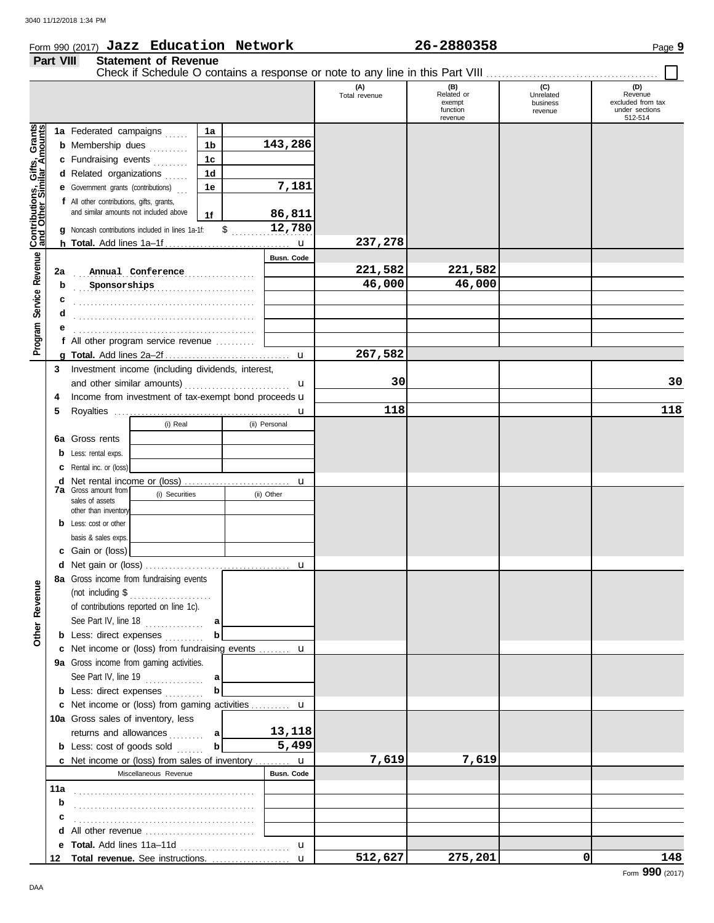## Form 990 (2017) Page **9 Jazz Education Network 26-2880358**

### **Part VIII Statement of Revenue**

|               |   | 20-2000330 |  |
|---------------|---|------------|--|
|               |   |            |  |
| $\sim$ $\sim$ | . |            |  |

|                                                           |     |                                                                                             |     |    |               | (A)<br>Total revenue | (B)<br>Related or<br>exempt<br>function<br>revenue | (C)<br>Unrelated<br>business<br>revenue | (D)<br>Revenue<br>excluded from tax<br>under sections<br>512-514 |
|-----------------------------------------------------------|-----|---------------------------------------------------------------------------------------------|-----|----|---------------|----------------------|----------------------------------------------------|-----------------------------------------|------------------------------------------------------------------|
|                                                           |     | 1a Federated campaigns                                                                      | 1a  |    |               |                      |                                                    |                                         |                                                                  |
| Contributions, Gifts, Grants<br>and Other Similar Amounts |     | <b>b</b> Membership dues                                                                    | 1b  |    | 143,286       |                      |                                                    |                                         |                                                                  |
|                                                           |     | c Fundraising events                                                                        | 1c  |    |               |                      |                                                    |                                         |                                                                  |
|                                                           |     | d Related organizations                                                                     | 1d  |    |               |                      |                                                    |                                         |                                                                  |
|                                                           |     |                                                                                             |     |    | 7,181         |                      |                                                    |                                         |                                                                  |
|                                                           |     | <b>e</b> Government grants (contributions)                                                  | 1e  |    |               |                      |                                                    |                                         |                                                                  |
|                                                           |     | f All other contributions, gifts, grants,<br>and similar amounts not included above         |     |    |               |                      |                                                    |                                         |                                                                  |
|                                                           |     |                                                                                             | 1f  |    | 86,811        |                      |                                                    |                                         |                                                                  |
|                                                           |     | Noncash contributions included in lines 1a-1f:                                              |     | \$ | 12,780        |                      |                                                    |                                         |                                                                  |
|                                                           |     |                                                                                             |     |    | u             | 237,278              |                                                    |                                         |                                                                  |
|                                                           |     |                                                                                             |     |    | Busn. Code    |                      |                                                    |                                         |                                                                  |
|                                                           | 2a  | Annual Conference                                                                           |     | .  |               | 221,582              | 221,582                                            |                                         |                                                                  |
|                                                           | b   | Sponsorships                                                                                |     |    |               | 46,000               | 46,000                                             |                                         |                                                                  |
|                                                           | c   |                                                                                             |     |    |               |                      |                                                    |                                         |                                                                  |
|                                                           | d   |                                                                                             |     |    |               |                      |                                                    |                                         |                                                                  |
|                                                           |     |                                                                                             |     |    |               |                      |                                                    |                                         |                                                                  |
| Program Service Revenue                                   |     | All other program service revenue                                                           |     |    |               |                      |                                                    |                                         |                                                                  |
|                                                           |     |                                                                                             |     |    | u             | 267,582              |                                                    |                                         |                                                                  |
|                                                           | 3   | Investment income (including dividends, interest,                                           |     |    |               |                      |                                                    |                                         |                                                                  |
|                                                           |     |                                                                                             |     |    | u             | 30                   |                                                    |                                         | 30                                                               |
|                                                           | 4   | Income from investment of tax-exempt bond proceeds u                                        |     |    |               |                      |                                                    |                                         |                                                                  |
|                                                           | 5   |                                                                                             |     |    | u             | 118                  |                                                    |                                         | 118                                                              |
|                                                           |     | (i) Real                                                                                    |     |    | (ii) Personal |                      |                                                    |                                         |                                                                  |
|                                                           |     | <b>6a</b> Gross rents                                                                       |     |    |               |                      |                                                    |                                         |                                                                  |
|                                                           | b   | Less: rental exps.                                                                          |     |    |               |                      |                                                    |                                         |                                                                  |
|                                                           |     | Rental inc. or (loss)                                                                       |     |    |               |                      |                                                    |                                         |                                                                  |
|                                                           | d   |                                                                                             |     |    | u             |                      |                                                    |                                         |                                                                  |
|                                                           |     | <b>7a</b> Gross amount from<br>(i) Securities                                               |     |    | (ii) Other    |                      |                                                    |                                         |                                                                  |
|                                                           |     | sales of assets<br>other than inventory                                                     |     |    |               |                      |                                                    |                                         |                                                                  |
|                                                           | b   | Less: cost or other                                                                         |     |    |               |                      |                                                    |                                         |                                                                  |
|                                                           |     | basis & sales exps                                                                          |     |    |               |                      |                                                    |                                         |                                                                  |
|                                                           | c   | Gain or (loss)                                                                              |     |    |               |                      |                                                    |                                         |                                                                  |
|                                                           |     |                                                                                             |     |    |               |                      |                                                    |                                         |                                                                  |
|                                                           |     | 8a Gross income from fundraising events                                                     |     |    |               |                      |                                                    |                                         |                                                                  |
| ٩                                                         |     |                                                                                             |     |    |               |                      |                                                    |                                         |                                                                  |
|                                                           |     | of contributions reported on line 1c).                                                      |     |    |               |                      |                                                    |                                         |                                                                  |
|                                                           |     | See Part IV, line 18                                                                        | a   |    |               |                      |                                                    |                                         |                                                                  |
| Other Reven                                               |     | <b>b</b> Less: direct expenses                                                              | b   |    |               |                      |                                                    |                                         |                                                                  |
|                                                           |     | c Net income or (loss) from fundraising events  u                                           |     |    |               |                      |                                                    |                                         |                                                                  |
|                                                           |     | 9a Gross income from gaming activities.                                                     |     |    |               |                      |                                                    |                                         |                                                                  |
|                                                           |     | See Part IV, line 19 $\ldots$                                                               | a   |    |               |                      |                                                    |                                         |                                                                  |
|                                                           |     | <b>b</b> Less: direct expenses                                                              | b   |    |               |                      |                                                    |                                         |                                                                  |
|                                                           |     | c Net income or (loss) from gaming activities  u                                            |     |    |               |                      |                                                    |                                         |                                                                  |
|                                                           |     | 10a Gross sales of inventory, less                                                          |     |    |               |                      |                                                    |                                         |                                                                  |
|                                                           |     | returns and allowances                                                                      | a l |    | 13,118        |                      |                                                    |                                         |                                                                  |
|                                                           |     | <b>b</b> Less: cost of goods sold                                                           | b   |    | 5,499         |                      |                                                    |                                         |                                                                  |
|                                                           |     |                                                                                             |     |    |               | 7,619                | 7,619                                              |                                         |                                                                  |
|                                                           |     | <b>c</b> Net income or (loss) from sales of inventory $\mathbf{u}$<br>Miscellaneous Revenue |     |    | Busn. Code    |                      |                                                    |                                         |                                                                  |
|                                                           |     |                                                                                             |     |    |               |                      |                                                    |                                         |                                                                  |
|                                                           | 11a |                                                                                             |     |    |               |                      |                                                    |                                         |                                                                  |
|                                                           | b   |                                                                                             |     |    |               |                      |                                                    |                                         |                                                                  |
|                                                           | с   |                                                                                             |     |    |               |                      |                                                    |                                         |                                                                  |
|                                                           | d   |                                                                                             |     |    |               |                      |                                                    |                                         |                                                                  |
|                                                           | е   |                                                                                             |     |    | u             |                      |                                                    |                                         |                                                                  |
|                                                           | 12  | Total revenue. See instructions.                                                            |     |    | $\mathbf{u}$  | 512,627              | 275,201                                            | 0                                       | 148                                                              |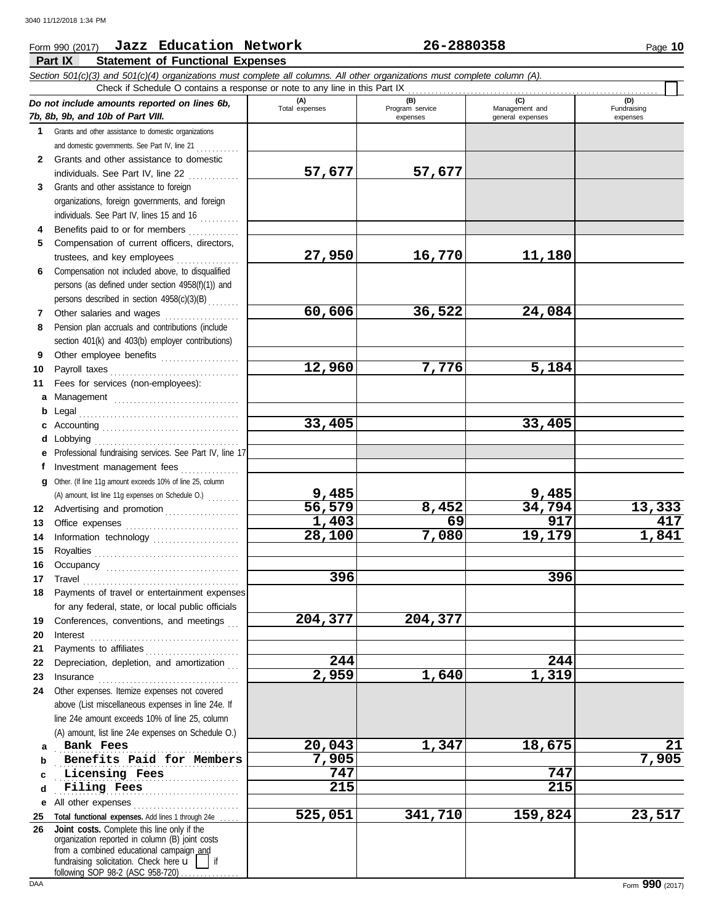#### Form 990 (2017) Page **10 Jazz Education Network 26-2880358** Г **Part IX Statement of Functional Expenses** *Section 501(c)(3) and 501(c)(4) organizations must complete all columns. All other organizations must complete column (A).* Check if Schedule O contains a response or note to any line in this Part IX (D)<br>Fundraising *Do not include amounts reported on lines 6b,* **(A) (B) (C) (D)** Total expenses Program service Management and expenses general expenses *7b, 8b, 9b, and 10b of Part VIII.* expenses **1** Grants and other assistance to domestic organizations

| 1            | Grants and other assistance to domestic organizations                                       |         |         |         |        |
|--------------|---------------------------------------------------------------------------------------------|---------|---------|---------|--------|
|              | and domestic governments. See Part IV, line 21                                              |         |         |         |        |
| $\mathbf{2}$ | Grants and other assistance to domestic                                                     |         |         |         |        |
|              | individuals. See Part IV, line 22                                                           | 57,677  | 57,677  |         |        |
| 3            | Grants and other assistance to foreign                                                      |         |         |         |        |
|              | organizations, foreign governments, and foreign                                             |         |         |         |        |
|              | individuals. See Part IV, lines 15 and 16                                                   |         |         |         |        |
| 4            | Benefits paid to or for members                                                             |         |         |         |        |
| 5            | Compensation of current officers, directors,                                                |         |         |         |        |
|              | trustees, and key employees                                                                 | 27,950  | 16,770  | 11,180  |        |
| 6.           | Compensation not included above, to disqualified                                            |         |         |         |        |
|              | persons (as defined under section 4958(f)(1)) and                                           |         |         |         |        |
|              | persons described in section 4958(c)(3)(B)                                                  |         |         |         |        |
| 7            | Other salaries and wages                                                                    | 60,606  | 36,522  | 24,084  |        |
| 8            | Pension plan accruals and contributions (include                                            |         |         |         |        |
|              | section 401(k) and 403(b) employer contributions)                                           |         |         |         |        |
| 9            | Other employee benefits                                                                     |         |         |         |        |
| 10           | Payroll taxes                                                                               | 12,960  | 7,776   | 5,184   |        |
| 11           | Fees for services (non-employees):                                                          |         |         |         |        |
|              | a Management                                                                                |         |         |         |        |
|              | <b>b</b> Legal                                                                              |         |         |         |        |
| c            |                                                                                             | 33,405  |         | 33,405  |        |
| d            |                                                                                             |         |         |         |        |
|              | Professional fundraising services. See Part IV, line 17                                     |         |         |         |        |
| f            | Investment management fees                                                                  |         |         |         |        |
| q            | Other. (If line 11g amount exceeds 10% of line 25, column                                   |         |         |         |        |
|              | (A) amount, list line 11g expenses on Schedule O.)                                          | 9,485   |         | 9,485   |        |
|              | 12 Advertising and promotion                                                                | 56,579  | 8,452   | 34,794  | 13,333 |
| 13           |                                                                                             | 1,403   | 69      | 917     | 417    |
| 14           | Information technology                                                                      | 28,100  | 7,080   | 19,179  | 1,841  |
| 15           |                                                                                             |         |         |         |        |
| 16           |                                                                                             |         |         |         |        |
| 17           | Travel                                                                                      | 396     |         | 396     |        |
| 18           | Payments of travel or entertainment expenses                                                |         |         |         |        |
|              | for any federal, state, or local public officials                                           |         |         |         |        |
| 19           | Conferences, conventions, and meetings                                                      | 204,377 | 204,377 |         |        |
| 20           | $Interest$                                                                                  |         |         |         |        |
| 21           | Payments to affiliates                                                                      |         |         |         |        |
| 22           | Depreciation, depletion, and amortization                                                   | 244     |         | 244     |        |
| 23           | Insurance                                                                                   | 2,959   | 1,640   | 1,319   |        |
| 24           | Other expenses. Itemize expenses not covered                                                |         |         |         |        |
|              | above (List miscellaneous expenses in line 24e. If                                          |         |         |         |        |
|              | line 24e amount exceeds 10% of line 25, column                                              |         |         |         |        |
|              | (A) amount, list line 24e expenses on Schedule O.)                                          |         |         |         |        |
| a            | Bank Fees                                                                                   | 20,043  | 1,347   | 18,675  | 21     |
| b            | Benefits Paid for Members                                                                   | 7,905   |         |         | 7,905  |
| c            | Licensing Fees                                                                              | 747     |         | 747     |        |
| d            | Filing Fees                                                                                 | 215     |         | 215     |        |
| е            | All other expenses                                                                          |         |         |         |        |
| 25           | Total functional expenses. Add lines 1 through 24e                                          | 525,051 | 341,710 | 159,824 | 23,517 |
| 26           | Joint costs. Complete this line only if the                                                 |         |         |         |        |
|              | organization reported in column (B) joint costs<br>from a combined educational campaign and |         |         |         |        |
|              | fundraising solicitation. Check here <b>u</b><br>if                                         |         |         |         |        |
|              | following SOP 98-2 (ASC 958-720).                                                           |         |         |         |        |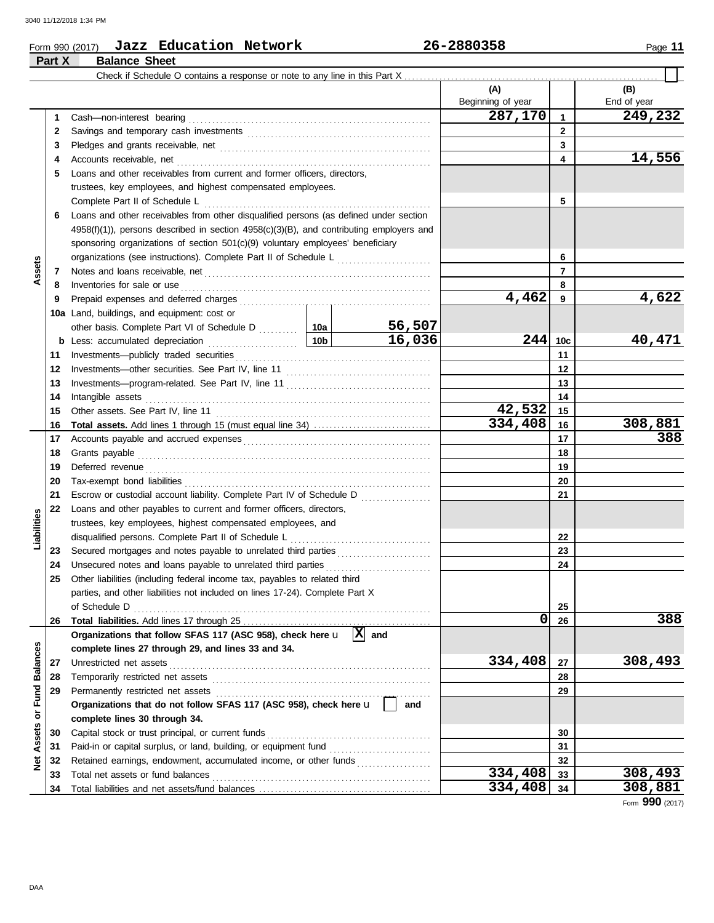**Part X Balance Sheet**

## Form 990 (2017) Page **11 Jazz Education Network 26-2880358**

| (A)<br>Beginning of year<br>287,170<br>Cash-non-interest bearing<br>$\mathbf{1}$<br>1.<br>$\mathbf{2}$<br>2<br>3<br>3<br>4<br>4<br>Loans and other receivables from current and former officers, directors,<br>5                              | (B)<br>End of year<br>249,232<br>14,556 |
|-----------------------------------------------------------------------------------------------------------------------------------------------------------------------------------------------------------------------------------------------|-----------------------------------------|
|                                                                                                                                                                                                                                               |                                         |
|                                                                                                                                                                                                                                               |                                         |
|                                                                                                                                                                                                                                               |                                         |
|                                                                                                                                                                                                                                               |                                         |
|                                                                                                                                                                                                                                               |                                         |
|                                                                                                                                                                                                                                               |                                         |
|                                                                                                                                                                                                                                               |                                         |
| trustees, key employees, and highest compensated employees.                                                                                                                                                                                   |                                         |
| Complete Part II of Schedule L<br>5                                                                                                                                                                                                           |                                         |
| Loans and other receivables from other disqualified persons (as defined under section<br>6                                                                                                                                                    |                                         |
| $4958(f)(1)$ ), persons described in section $4958(c)(3)(B)$ , and contributing employers and                                                                                                                                                 |                                         |
| sponsoring organizations of section 501(c)(9) voluntary employees' beneficiary                                                                                                                                                                |                                         |
| organizations (see instructions). Complete Part II of Schedule L [1111111111111111111111111111111111<br>6                                                                                                                                     |                                         |
| Assets<br>7<br>7                                                                                                                                                                                                                              |                                         |
| Inventories for sale or use <i>communication</i> and the state of the state of the state of the state of the state of the state of the state of the state of the state of the state of the state of the state of the state of the s<br>8<br>8 |                                         |
| 4,462<br>9<br>9                                                                                                                                                                                                                               | 4,622                                   |
| 10a Land, buildings, and equipment: cost or                                                                                                                                                                                                   |                                         |
| 56,507<br>other basis. Complete Part VI of Schedule D  10a                                                                                                                                                                                    |                                         |
| 16,036<br>244<br>10 <sub>c</sub>                                                                                                                                                                                                              | 40,471                                  |
| 11<br>11                                                                                                                                                                                                                                      |                                         |
| 12<br>12                                                                                                                                                                                                                                      |                                         |
| 13<br>13                                                                                                                                                                                                                                      |                                         |
| Intangible assets with a state of the contract of the state of the state of the state of the state of the state of the state of the state of the state of the state of the state of the state of the state of the state of the<br>14<br>14    |                                         |
| 42,532<br>15<br>15                                                                                                                                                                                                                            |                                         |
| 334,408<br>16<br>16                                                                                                                                                                                                                           | 308,881                                 |
| 17<br>17                                                                                                                                                                                                                                      | 388                                     |
| 18<br>18                                                                                                                                                                                                                                      |                                         |
| 19<br>19                                                                                                                                                                                                                                      |                                         |
| 20<br>20                                                                                                                                                                                                                                      |                                         |
| Escrow or custodial account liability. Complete Part IV of Schedule D<br>21<br>21                                                                                                                                                             |                                         |
| Loans and other payables to current and former officers, directors,<br>22                                                                                                                                                                     |                                         |
| Liabilities<br>trustees, key employees, highest compensated employees, and                                                                                                                                                                    |                                         |
| disqualified persons. Complete Part II of Schedule L<br>22                                                                                                                                                                                    |                                         |
| Secured mortgages and notes payable to unrelated third parties [[[[[[[[[[[[[[[[[[[[[[[[[[[[[]]]]]]]]<br>23<br>23                                                                                                                              |                                         |
| Unsecured notes and loans payable to unrelated third parties<br>24<br>24                                                                                                                                                                      |                                         |
| Other liabilities (including federal income tax, payables to related third<br>25                                                                                                                                                              |                                         |
| parties, and other liabilities not included on lines 17-24). Complete Part X                                                                                                                                                                  |                                         |
| of Schedule D<br>25                                                                                                                                                                                                                           |                                         |
| 0<br>26<br>26<br>$ X $ and                                                                                                                                                                                                                    | 388                                     |
| Organizations that follow SFAS 117 (ASC 958), check here u                                                                                                                                                                                    |                                         |
| complete lines 27 through 29, and lines 33 and 34.<br>334,408<br>Unrestricted net assets<br>27                                                                                                                                                | 308,493                                 |
| <b>Balances</b><br>27<br>28<br>28                                                                                                                                                                                                             |                                         |
| Permanently restricted net assets<br>29<br>29                                                                                                                                                                                                 |                                         |
| or Fund<br>Organizations that do not follow SFAS 117 (ASC 958), check here u<br>and                                                                                                                                                           |                                         |
| complete lines 30 through 34.                                                                                                                                                                                                                 |                                         |
| Capital stock or trust principal, or current funds<br>30<br>30                                                                                                                                                                                |                                         |
| Assets<br>Paid-in or capital surplus, or land, building, or equipment fund<br>31<br>31                                                                                                                                                        |                                         |
| Retained earnings, endowment, accumulated income, or other funds<br>32<br>32                                                                                                                                                                  |                                         |
| ğ<br>334,408<br>Total net assets or fund balances<br>33<br>33                                                                                                                                                                                 | 308,493                                 |
| 334,408<br>34<br>34                                                                                                                                                                                                                           | 308,881                                 |

Form **990** (2017)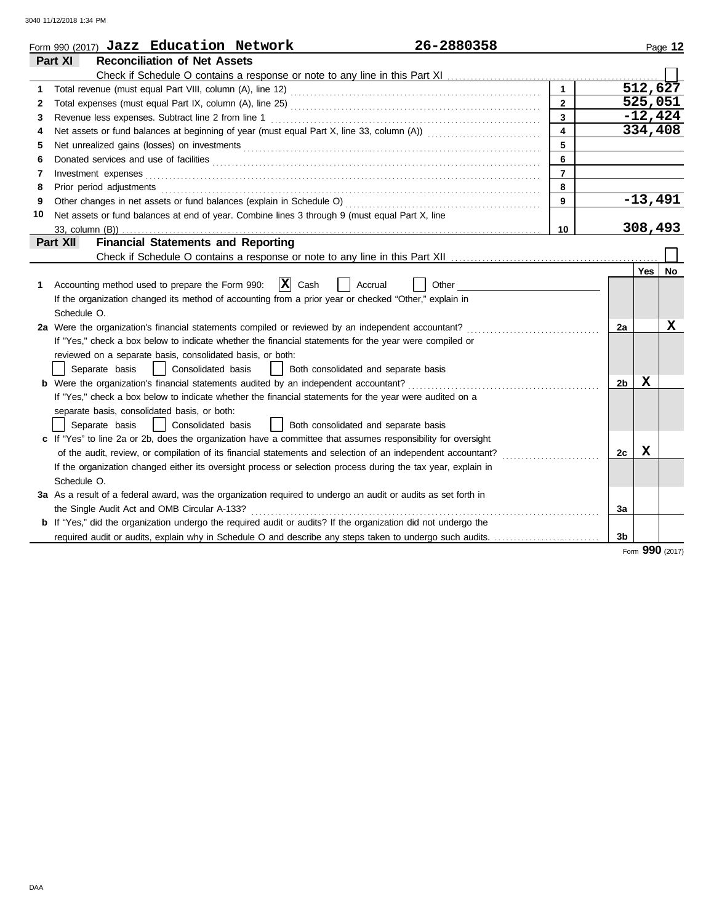| Part XI<br><b>Reconciliation of Net Assets</b><br>512,627<br>$\mathbf{1}$<br>1<br>525,051<br>$\overline{2}$<br>2<br>$-12,424$<br>$\mathbf{3}$<br>3<br>334,408<br>$\overline{\mathbf{4}}$<br>4<br>5<br>5<br>6<br>6<br>$\overline{7}$<br>7<br>Investment expenses <b>contract and the expenses</b><br>8<br>Prior period adjustments entertainments and adjustments and account of the contract of the contract of the contract of the contract of the contract of the contract of the contract of the contract of the contract of the con<br>8<br>$-13,491$<br>9<br>9<br>Net assets or fund balances at end of year. Combine lines 3 through 9 (must equal Part X, line<br>10<br>308,493<br>10<br><b>Financial Statements and Reporting</b><br>Part XII<br><b>Yes</b><br>$ \mathbf{X} $ Cash<br>Accounting method used to prepare the Form 990:<br>Other<br>Accrual<br>1<br>If the organization changed its method of accounting from a prior year or checked "Other," explain in<br>Schedule O.<br>2a Were the organization's financial statements compiled or reviewed by an independent accountant?<br>2a<br>If "Yes," check a box below to indicate whether the financial statements for the year were compiled or<br>reviewed on a separate basis, consolidated basis, or both:<br>Both consolidated and separate basis<br>Separate basis<br>Consolidated basis<br>$\perp$<br>x<br><b>b</b> Were the organization's financial statements audited by an independent accountant?<br>2b |    |
|-----------------------------------------------------------------------------------------------------------------------------------------------------------------------------------------------------------------------------------------------------------------------------------------------------------------------------------------------------------------------------------------------------------------------------------------------------------------------------------------------------------------------------------------------------------------------------------------------------------------------------------------------------------------------------------------------------------------------------------------------------------------------------------------------------------------------------------------------------------------------------------------------------------------------------------------------------------------------------------------------------------------------------------------------------------------------------------------------------------------------------------------------------------------------------------------------------------------------------------------------------------------------------------------------------------------------------------------------------------------------------------------------------------------------------------------------------------------------------------------|----|
|                                                                                                                                                                                                                                                                                                                                                                                                                                                                                                                                                                                                                                                                                                                                                                                                                                                                                                                                                                                                                                                                                                                                                                                                                                                                                                                                                                                                                                                                                         |    |
|                                                                                                                                                                                                                                                                                                                                                                                                                                                                                                                                                                                                                                                                                                                                                                                                                                                                                                                                                                                                                                                                                                                                                                                                                                                                                                                                                                                                                                                                                         |    |
|                                                                                                                                                                                                                                                                                                                                                                                                                                                                                                                                                                                                                                                                                                                                                                                                                                                                                                                                                                                                                                                                                                                                                                                                                                                                                                                                                                                                                                                                                         |    |
|                                                                                                                                                                                                                                                                                                                                                                                                                                                                                                                                                                                                                                                                                                                                                                                                                                                                                                                                                                                                                                                                                                                                                                                                                                                                                                                                                                                                                                                                                         |    |
|                                                                                                                                                                                                                                                                                                                                                                                                                                                                                                                                                                                                                                                                                                                                                                                                                                                                                                                                                                                                                                                                                                                                                                                                                                                                                                                                                                                                                                                                                         |    |
|                                                                                                                                                                                                                                                                                                                                                                                                                                                                                                                                                                                                                                                                                                                                                                                                                                                                                                                                                                                                                                                                                                                                                                                                                                                                                                                                                                                                                                                                                         |    |
|                                                                                                                                                                                                                                                                                                                                                                                                                                                                                                                                                                                                                                                                                                                                                                                                                                                                                                                                                                                                                                                                                                                                                                                                                                                                                                                                                                                                                                                                                         |    |
|                                                                                                                                                                                                                                                                                                                                                                                                                                                                                                                                                                                                                                                                                                                                                                                                                                                                                                                                                                                                                                                                                                                                                                                                                                                                                                                                                                                                                                                                                         |    |
|                                                                                                                                                                                                                                                                                                                                                                                                                                                                                                                                                                                                                                                                                                                                                                                                                                                                                                                                                                                                                                                                                                                                                                                                                                                                                                                                                                                                                                                                                         |    |
|                                                                                                                                                                                                                                                                                                                                                                                                                                                                                                                                                                                                                                                                                                                                                                                                                                                                                                                                                                                                                                                                                                                                                                                                                                                                                                                                                                                                                                                                                         |    |
|                                                                                                                                                                                                                                                                                                                                                                                                                                                                                                                                                                                                                                                                                                                                                                                                                                                                                                                                                                                                                                                                                                                                                                                                                                                                                                                                                                                                                                                                                         |    |
|                                                                                                                                                                                                                                                                                                                                                                                                                                                                                                                                                                                                                                                                                                                                                                                                                                                                                                                                                                                                                                                                                                                                                                                                                                                                                                                                                                                                                                                                                         |    |
|                                                                                                                                                                                                                                                                                                                                                                                                                                                                                                                                                                                                                                                                                                                                                                                                                                                                                                                                                                                                                                                                                                                                                                                                                                                                                                                                                                                                                                                                                         |    |
|                                                                                                                                                                                                                                                                                                                                                                                                                                                                                                                                                                                                                                                                                                                                                                                                                                                                                                                                                                                                                                                                                                                                                                                                                                                                                                                                                                                                                                                                                         |    |
|                                                                                                                                                                                                                                                                                                                                                                                                                                                                                                                                                                                                                                                                                                                                                                                                                                                                                                                                                                                                                                                                                                                                                                                                                                                                                                                                                                                                                                                                                         |    |
|                                                                                                                                                                                                                                                                                                                                                                                                                                                                                                                                                                                                                                                                                                                                                                                                                                                                                                                                                                                                                                                                                                                                                                                                                                                                                                                                                                                                                                                                                         | No |
|                                                                                                                                                                                                                                                                                                                                                                                                                                                                                                                                                                                                                                                                                                                                                                                                                                                                                                                                                                                                                                                                                                                                                                                                                                                                                                                                                                                                                                                                                         |    |
|                                                                                                                                                                                                                                                                                                                                                                                                                                                                                                                                                                                                                                                                                                                                                                                                                                                                                                                                                                                                                                                                                                                                                                                                                                                                                                                                                                                                                                                                                         |    |
|                                                                                                                                                                                                                                                                                                                                                                                                                                                                                                                                                                                                                                                                                                                                                                                                                                                                                                                                                                                                                                                                                                                                                                                                                                                                                                                                                                                                                                                                                         |    |
|                                                                                                                                                                                                                                                                                                                                                                                                                                                                                                                                                                                                                                                                                                                                                                                                                                                                                                                                                                                                                                                                                                                                                                                                                                                                                                                                                                                                                                                                                         | x  |
|                                                                                                                                                                                                                                                                                                                                                                                                                                                                                                                                                                                                                                                                                                                                                                                                                                                                                                                                                                                                                                                                                                                                                                                                                                                                                                                                                                                                                                                                                         |    |
|                                                                                                                                                                                                                                                                                                                                                                                                                                                                                                                                                                                                                                                                                                                                                                                                                                                                                                                                                                                                                                                                                                                                                                                                                                                                                                                                                                                                                                                                                         |    |
|                                                                                                                                                                                                                                                                                                                                                                                                                                                                                                                                                                                                                                                                                                                                                                                                                                                                                                                                                                                                                                                                                                                                                                                                                                                                                                                                                                                                                                                                                         |    |
|                                                                                                                                                                                                                                                                                                                                                                                                                                                                                                                                                                                                                                                                                                                                                                                                                                                                                                                                                                                                                                                                                                                                                                                                                                                                                                                                                                                                                                                                                         |    |
| If "Yes," check a box below to indicate whether the financial statements for the year were audited on a                                                                                                                                                                                                                                                                                                                                                                                                                                                                                                                                                                                                                                                                                                                                                                                                                                                                                                                                                                                                                                                                                                                                                                                                                                                                                                                                                                                 |    |
| separate basis, consolidated basis, or both:                                                                                                                                                                                                                                                                                                                                                                                                                                                                                                                                                                                                                                                                                                                                                                                                                                                                                                                                                                                                                                                                                                                                                                                                                                                                                                                                                                                                                                            |    |
| Separate basis<br>Consolidated basis<br>  Both consolidated and separate basis                                                                                                                                                                                                                                                                                                                                                                                                                                                                                                                                                                                                                                                                                                                                                                                                                                                                                                                                                                                                                                                                                                                                                                                                                                                                                                                                                                                                          |    |
| c If "Yes" to line 2a or 2b, does the organization have a committee that assumes responsibility for oversight                                                                                                                                                                                                                                                                                                                                                                                                                                                                                                                                                                                                                                                                                                                                                                                                                                                                                                                                                                                                                                                                                                                                                                                                                                                                                                                                                                           |    |
| X<br>of the audit, review, or compilation of its financial statements and selection of an independent accountant?<br>2c                                                                                                                                                                                                                                                                                                                                                                                                                                                                                                                                                                                                                                                                                                                                                                                                                                                                                                                                                                                                                                                                                                                                                                                                                                                                                                                                                                 |    |
| If the organization changed either its oversight process or selection process during the tax year, explain in                                                                                                                                                                                                                                                                                                                                                                                                                                                                                                                                                                                                                                                                                                                                                                                                                                                                                                                                                                                                                                                                                                                                                                                                                                                                                                                                                                           |    |
| Schedule O.                                                                                                                                                                                                                                                                                                                                                                                                                                                                                                                                                                                                                                                                                                                                                                                                                                                                                                                                                                                                                                                                                                                                                                                                                                                                                                                                                                                                                                                                             |    |
| 3a As a result of a federal award, was the organization required to undergo an audit or audits as set forth in                                                                                                                                                                                                                                                                                                                                                                                                                                                                                                                                                                                                                                                                                                                                                                                                                                                                                                                                                                                                                                                                                                                                                                                                                                                                                                                                                                          |    |
| the Single Audit Act and OMB Circular A-133?<br>Зa                                                                                                                                                                                                                                                                                                                                                                                                                                                                                                                                                                                                                                                                                                                                                                                                                                                                                                                                                                                                                                                                                                                                                                                                                                                                                                                                                                                                                                      |    |
| <b>b</b> If "Yes," did the organization undergo the required audit or audits? If the organization did not undergo the                                                                                                                                                                                                                                                                                                                                                                                                                                                                                                                                                                                                                                                                                                                                                                                                                                                                                                                                                                                                                                                                                                                                                                                                                                                                                                                                                                   |    |
| 3 <sub>b</sub>                                                                                                                                                                                                                                                                                                                                                                                                                                                                                                                                                                                                                                                                                                                                                                                                                                                                                                                                                                                                                                                                                                                                                                                                                                                                                                                                                                                                                                                                          |    |

Form **990** (2017)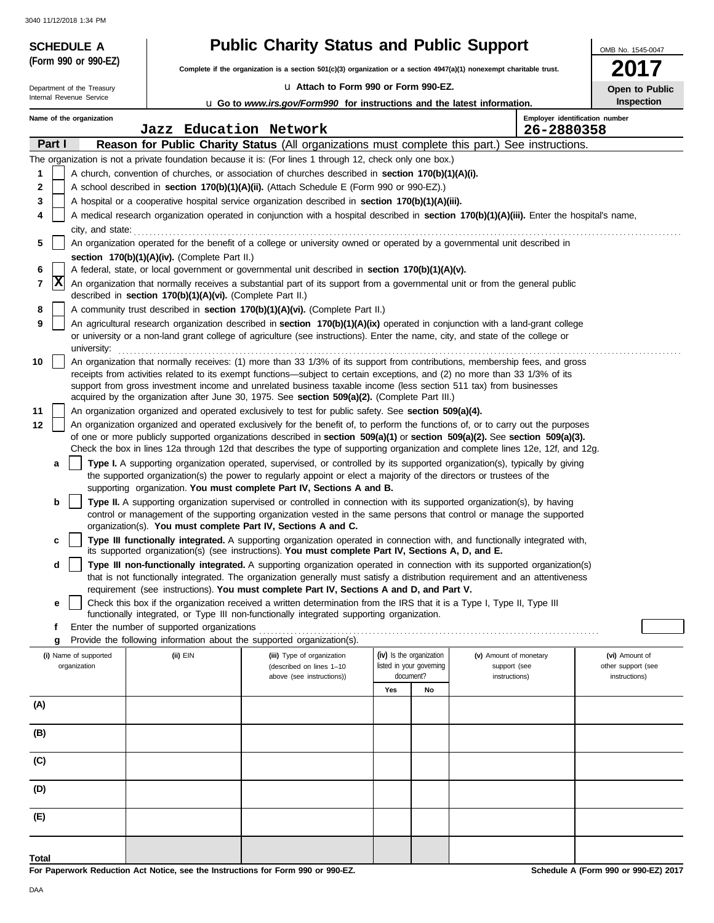| 3040 11/12/2018 1:34 PM<br><b>SCHEDULE A</b> |                                                            |                                                                                                                                                                                                                                                                 |                                                                                                                                                                         |                          |                                        | OMB No. 1545-0047                    |  |  |
|----------------------------------------------|------------------------------------------------------------|-----------------------------------------------------------------------------------------------------------------------------------------------------------------------------------------------------------------------------------------------------------------|-------------------------------------------------------------------------------------------------------------------------------------------------------------------------|--------------------------|----------------------------------------|--------------------------------------|--|--|
| (Form 990 or 990-EZ)                         |                                                            |                                                                                                                                                                                                                                                                 | <b>Public Charity Status and Public Support</b><br>Complete if the organization is a section 501(c)(3) organization or a section 4947(a)(1) nonexempt charitable trust. |                          |                                        |                                      |  |  |
| Department of the Treasury                   |                                                            | La Attach to Form 990 or Form 990-EZ.                                                                                                                                                                                                                           |                                                                                                                                                                         |                          |                                        | 2017<br>Open to Public               |  |  |
| Internal Revenue Service                     |                                                            | <b>u</b> Go to www.irs.gov/Form990 for instructions and the latest information.                                                                                                                                                                                 |                                                                                                                                                                         |                          |                                        | Inspection                           |  |  |
| Name of the organization                     |                                                            |                                                                                                                                                                                                                                                                 |                                                                                                                                                                         |                          | Employer identification number         |                                      |  |  |
|                                              | Jazz Education Network                                     |                                                                                                                                                                                                                                                                 |                                                                                                                                                                         |                          | 26-2880358                             |                                      |  |  |
| Part I                                       |                                                            | Reason for Public Charity Status (All organizations must complete this part.) See instructions.                                                                                                                                                                 |                                                                                                                                                                         |                          |                                        |                                      |  |  |
| 1                                            |                                                            | The organization is not a private foundation because it is: (For lines 1 through 12, check only one box.)<br>A church, convention of churches, or association of churches described in section 170(b)(1)(A)(i).                                                 |                                                                                                                                                                         |                          |                                        |                                      |  |  |
| 2                                            |                                                            | A school described in section 170(b)(1)(A)(ii). (Attach Schedule E (Form 990 or 990-EZ).)                                                                                                                                                                       |                                                                                                                                                                         |                          |                                        |                                      |  |  |
| 3                                            |                                                            | A hospital or a cooperative hospital service organization described in section 170(b)(1)(A)(iii).                                                                                                                                                               |                                                                                                                                                                         |                          |                                        |                                      |  |  |
| 4                                            |                                                            | A medical research organization operated in conjunction with a hospital described in section 170(b)(1)(A)(iii). Enter the hospital's name,                                                                                                                      |                                                                                                                                                                         |                          |                                        |                                      |  |  |
| city, and state:<br>5                        |                                                            | An organization operated for the benefit of a college or university owned or operated by a governmental unit described in                                                                                                                                       |                                                                                                                                                                         |                          |                                        |                                      |  |  |
|                                              | section 170(b)(1)(A)(iv). (Complete Part II.)              |                                                                                                                                                                                                                                                                 |                                                                                                                                                                         |                          |                                        |                                      |  |  |
| 6<br>$ {\bf x} $                             |                                                            | A federal, state, or local government or governmental unit described in section 170(b)(1)(A)(v).                                                                                                                                                                |                                                                                                                                                                         |                          |                                        |                                      |  |  |
| 7                                            | described in section 170(b)(1)(A)(vi). (Complete Part II.) | An organization that normally receives a substantial part of its support from a governmental unit or from the general public                                                                                                                                    |                                                                                                                                                                         |                          |                                        |                                      |  |  |
| 8                                            |                                                            | A community trust described in section 170(b)(1)(A)(vi). (Complete Part II.)                                                                                                                                                                                    |                                                                                                                                                                         |                          |                                        |                                      |  |  |
| 9<br>university:                             |                                                            | An agricultural research organization described in section 170(b)(1)(A)(ix) operated in conjunction with a land-grant college<br>or university or a non-land grant college of agriculture (see instructions). Enter the name, city, and state of the college or |                                                                                                                                                                         |                          |                                        |                                      |  |  |
| 10                                           |                                                            | An organization that normally receives: (1) more than 33 1/3% of its support from contributions, membership fees, and gross                                                                                                                                     |                                                                                                                                                                         |                          |                                        |                                      |  |  |
|                                              |                                                            | receipts from activities related to its exempt functions—subject to certain exceptions, and (2) no more than 33 1/3% of its<br>support from gross investment income and unrelated business taxable income (less section 511 tax) from businesses                |                                                                                                                                                                         |                          |                                        |                                      |  |  |
|                                              |                                                            | acquired by the organization after June 30, 1975. See section 509(a)(2). (Complete Part III.)                                                                                                                                                                   |                                                                                                                                                                         |                          |                                        |                                      |  |  |
| 11                                           |                                                            | An organization organized and operated exclusively to test for public safety. See section 509(a)(4).                                                                                                                                                            |                                                                                                                                                                         |                          |                                        |                                      |  |  |
| 12                                           |                                                            | An organization organized and operated exclusively for the benefit of, to perform the functions of, or to carry out the purposes                                                                                                                                |                                                                                                                                                                         |                          |                                        |                                      |  |  |
|                                              |                                                            | of one or more publicly supported organizations described in section 509(a)(1) or section 509(a)(2). See section 509(a)(3).<br>Check the box in lines 12a through 12d that describes the type of supporting organization and complete lines 12e, 12f, and 12g.  |                                                                                                                                                                         |                          |                                        |                                      |  |  |
| a                                            |                                                            | Type I. A supporting organization operated, supervised, or controlled by its supported organization(s), typically by giving                                                                                                                                     |                                                                                                                                                                         |                          |                                        |                                      |  |  |
|                                              |                                                            | the supported organization(s) the power to regularly appoint or elect a majority of the directors or trustees of the                                                                                                                                            |                                                                                                                                                                         |                          |                                        |                                      |  |  |
| b                                            |                                                            | supporting organization. You must complete Part IV, Sections A and B.<br>Type II. A supporting organization supervised or controlled in connection with its supported organization(s), by having                                                                |                                                                                                                                                                         |                          |                                        |                                      |  |  |
|                                              |                                                            | control or management of the supporting organization vested in the same persons that control or manage the supported                                                                                                                                            |                                                                                                                                                                         |                          |                                        |                                      |  |  |
|                                              |                                                            | organization(s). You must complete Part IV, Sections A and C.                                                                                                                                                                                                   |                                                                                                                                                                         |                          |                                        |                                      |  |  |
| c                                            |                                                            | Type III functionally integrated. A supporting organization operated in connection with, and functionally integrated with,<br>its supported organization(s) (see instructions). You must complete Part IV, Sections A, D, and E.                                |                                                                                                                                                                         |                          |                                        |                                      |  |  |
| d                                            |                                                            | Type III non-functionally integrated. A supporting organization operated in connection with its supported organization(s)<br>that is not functionally integrated. The organization generally must satisfy a distribution requirement and an attentiveness       |                                                                                                                                                                         |                          |                                        |                                      |  |  |
|                                              |                                                            | requirement (see instructions). You must complete Part IV, Sections A and D, and Part V.<br>Check this box if the organization received a written determination from the IRS that it is a Type I, Type II, Type III                                             |                                                                                                                                                                         |                          |                                        |                                      |  |  |
| е                                            |                                                            | functionally integrated, or Type III non-functionally integrated supporting organization.                                                                                                                                                                       |                                                                                                                                                                         |                          |                                        |                                      |  |  |
| f                                            | Enter the number of supported organizations                |                                                                                                                                                                                                                                                                 |                                                                                                                                                                         |                          |                                        |                                      |  |  |
| g                                            |                                                            | Provide the following information about the supported organization(s).                                                                                                                                                                                          |                                                                                                                                                                         |                          |                                        |                                      |  |  |
| (i) Name of supported<br>organization        | (ii) EIN                                                   | (iii) Type of organization<br>(described on lines 1-10                                                                                                                                                                                                          | (iv) Is the organization                                                                                                                                                | listed in your governing | (v) Amount of monetary<br>support (see | (vi) Amount of<br>other support (see |  |  |
|                                              |                                                            | above (see instructions))                                                                                                                                                                                                                                       | document?                                                                                                                                                               |                          | instructions)                          | instructions)                        |  |  |
|                                              |                                                            |                                                                                                                                                                                                                                                                 | Yes                                                                                                                                                                     | No                       |                                        |                                      |  |  |
| (A)                                          |                                                            |                                                                                                                                                                                                                                                                 |                                                                                                                                                                         |                          |                                        |                                      |  |  |
| (B)                                          |                                                            |                                                                                                                                                                                                                                                                 |                                                                                                                                                                         |                          |                                        |                                      |  |  |
| (C)                                          |                                                            |                                                                                                                                                                                                                                                                 |                                                                                                                                                                         |                          |                                        |                                      |  |  |
| (D)                                          |                                                            |                                                                                                                                                                                                                                                                 |                                                                                                                                                                         |                          |                                        |                                      |  |  |
| (E)                                          |                                                            |                                                                                                                                                                                                                                                                 |                                                                                                                                                                         |                          |                                        |                                      |  |  |
| Total                                        |                                                            |                                                                                                                                                                                                                                                                 |                                                                                                                                                                         |                          |                                        |                                      |  |  |

**For Paperwork Reduction Act Notice, see the Instructions for Form 990 or 990-EZ.**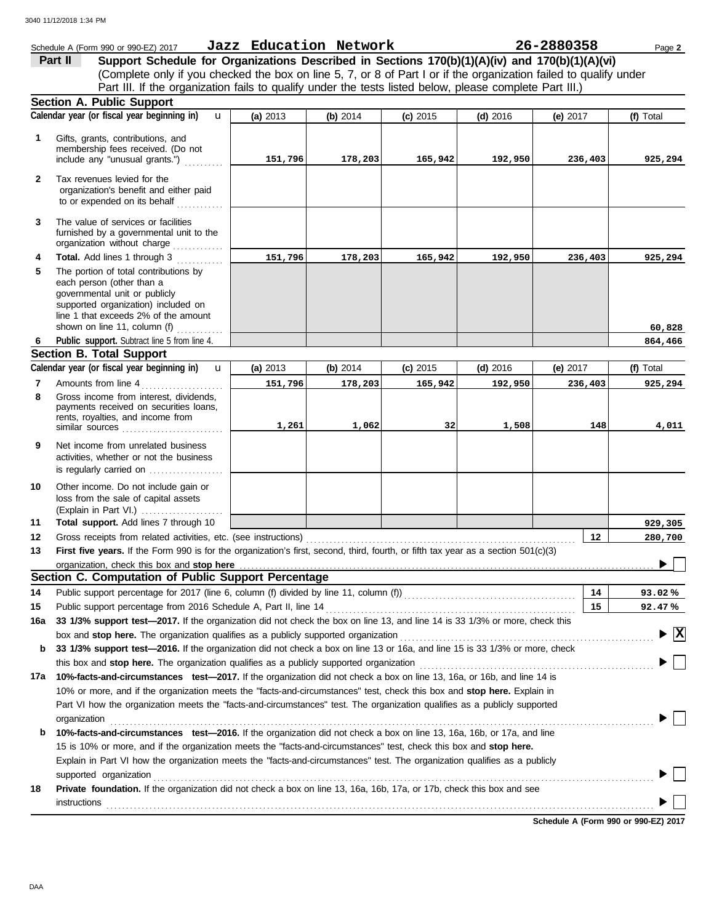|                | Schedule A (Form 990 or 990-EZ) 2017                                                                                                                                                                                                                  | Jazz Education Network |          |            |            | 26-2880358       | Page 2         |
|----------------|-------------------------------------------------------------------------------------------------------------------------------------------------------------------------------------------------------------------------------------------------------|------------------------|----------|------------|------------|------------------|----------------|
|                | Support Schedule for Organizations Described in Sections 170(b)(1)(A)(iv) and 170(b)(1)(A)(vi)<br>Part II                                                                                                                                             |                        |          |            |            |                  |                |
|                | (Complete only if you checked the box on line 5, 7, or 8 of Part I or if the organization failed to qualify under                                                                                                                                     |                        |          |            |            |                  |                |
|                | Part III. If the organization fails to qualify under the tests listed below, please complete Part III.)                                                                                                                                               |                        |          |            |            |                  |                |
|                | Section A. Public Support                                                                                                                                                                                                                             |                        |          |            |            |                  |                |
|                | Calendar year (or fiscal year beginning in)<br>$\mathbf{u}$                                                                                                                                                                                           | (a) 2013               | (b) 2014 | $(c)$ 2015 | $(d)$ 2016 | (e) $2017$       | (f) Total      |
| 1              | Gifts, grants, contributions, and                                                                                                                                                                                                                     |                        |          |            |            |                  |                |
|                | membership fees received. (Do not                                                                                                                                                                                                                     |                        |          |            |            |                  |                |
|                | include any "unusual grants.")                                                                                                                                                                                                                        | 151,796                | 178,203  | 165,942    | 192,950    | 236,403          | 925,294        |
| $\mathbf{2}$   | Tax revenues levied for the                                                                                                                                                                                                                           |                        |          |            |            |                  |                |
|                | organization's benefit and either paid                                                                                                                                                                                                                |                        |          |            |            |                  |                |
|                | to or expended on its behalf                                                                                                                                                                                                                          |                        |          |            |            |                  |                |
| 3              | The value of services or facilities                                                                                                                                                                                                                   |                        |          |            |            |                  |                |
|                | furnished by a governmental unit to the                                                                                                                                                                                                               |                        |          |            |            |                  |                |
|                | organization without charge                                                                                                                                                                                                                           |                        |          |            |            |                  |                |
| 4              | Total. Add lines 1 through 3                                                                                                                                                                                                                          | 151,796                | 178,203  | 165,942    | 192,950    | 236,403          | 925,294        |
| 5              | The portion of total contributions by                                                                                                                                                                                                                 |                        |          |            |            |                  |                |
|                | each person (other than a<br>governmental unit or publicly                                                                                                                                                                                            |                        |          |            |            |                  |                |
|                | supported organization) included on                                                                                                                                                                                                                   |                        |          |            |            |                  |                |
|                | line 1 that exceeds 2% of the amount                                                                                                                                                                                                                  |                        |          |            |            |                  |                |
|                | shown on line 11, column (f) $\ldots$                                                                                                                                                                                                                 |                        |          |            |            |                  | 60,828         |
| 6              | Public support. Subtract line 5 from line 4.                                                                                                                                                                                                          |                        |          |            |            |                  | 864,466        |
|                | <b>Section B. Total Support</b>                                                                                                                                                                                                                       |                        |          |            |            |                  | (f) Total      |
|                | Calendar year (or fiscal year beginning in)<br>$\mathbf{u}$<br>(a) 2013<br>(b) $2014$<br>$(c)$ 2015<br>$(d)$ 2016<br>(e) $2017$                                                                                                                       |                        |          |            |            |                  |                |
| $\overline{7}$ | Amounts from line 4                                                                                                                                                                                                                                   | 151,796                | 178,203  | 165,942    | 192,950    | 236,403          | 925,294        |
| 8              | Gross income from interest, dividends,<br>payments received on securities loans,                                                                                                                                                                      |                        |          |            |            |                  |                |
|                | rents, royalties, and income from                                                                                                                                                                                                                     |                        |          |            |            |                  |                |
|                | similar sources                                                                                                                                                                                                                                       | 1,261                  | 1,062    | 32         | 1,508      | 148              | 4,011          |
| 9              | Net income from unrelated business                                                                                                                                                                                                                    |                        |          |            |            |                  |                |
|                | activities, whether or not the business                                                                                                                                                                                                               |                        |          |            |            |                  |                |
|                | is regularly carried on                                                                                                                                                                                                                               |                        |          |            |            |                  |                |
| 10             | Other income. Do not include gain or                                                                                                                                                                                                                  |                        |          |            |            |                  |                |
|                | loss from the sale of capital assets                                                                                                                                                                                                                  |                        |          |            |            |                  |                |
| 11             | (Explain in Part VI.)<br>Total support. Add lines 7 through 10                                                                                                                                                                                        |                        |          |            |            |                  | 929,305        |
| 12             |                                                                                                                                                                                                                                                       |                        |          |            |            | 12 <sup>12</sup> | 280,700        |
| 13             | First five years. If the Form 990 is for the organization's first, second, third, fourth, or fifth tax year as a section 501(c)(3)                                                                                                                    |                        |          |            |            |                  |                |
|                | organization, check this box and stop here                                                                                                                                                                                                            |                        |          |            |            |                  | $\overline{ }$ |
|                | Section C. Computation of Public Support Percentage                                                                                                                                                                                                   |                        |          |            |            |                  |                |
| 14             | Public support percentage for 2017 (line 6, column (f) divided by line 11, column (f)) [[[[[[[[[[[[[[[[[[[[[[                                                                                                                                         |                        |          |            |            | 14               | 93.02%         |
| 15             |                                                                                                                                                                                                                                                       |                        |          |            |            | 15               | 92.47%         |
| 16a            | 33 1/3% support test-2017. If the organization did not check the box on line 13, and line 14 is 33 1/3% or more, check this                                                                                                                           |                        |          |            |            |                  |                |
|                | $\blacktriangleright$ $\boxed{\text{X}}$<br>box and stop here. The organization qualifies as a publicly supported organization [11] content content content or the content of the state of the state or and stop here. The organization [11] $\alpha$ |                        |          |            |            |                  |                |
| b              | 33 1/3% support test-2016. If the organization did not check a box on line 13 or 16a, and line 15 is 33 1/3% or more, check                                                                                                                           |                        |          |            |            |                  |                |
|                | this box and stop here. The organization qualifies as a publicly supported organization                                                                                                                                                               |                        |          |            |            |                  |                |
| 17a            | 10%-facts-and-circumstances test-2017. If the organization did not check a box on line 13, 16a, or 16b, and line 14 is                                                                                                                                |                        |          |            |            |                  |                |
|                | 10% or more, and if the organization meets the "facts-and-circumstances" test, check this box and stop here. Explain in                                                                                                                               |                        |          |            |            |                  |                |
|                | Part VI how the organization meets the "facts-and-circumstances" test. The organization qualifies as a publicly supported                                                                                                                             |                        |          |            |            |                  |                |
|                | organization                                                                                                                                                                                                                                          |                        |          |            |            |                  |                |
| b              | 10%-facts-and-circumstances test-2016. If the organization did not check a box on line 13, 16a, 16b, or 17a, and line                                                                                                                                 |                        |          |            |            |                  |                |
|                | 15 is 10% or more, and if the organization meets the "facts-and-circumstances" test, check this box and stop here.                                                                                                                                    |                        |          |            |            |                  |                |
|                | Explain in Part VI how the organization meets the "facts-and-circumstances" test. The organization qualifies as a publicly                                                                                                                            |                        |          |            |            |                  |                |
|                | supported organization                                                                                                                                                                                                                                |                        |          |            |            |                  |                |
| 18             | Private foundation. If the organization did not check a box on line 13, 16a, 16b, 17a, or 17b, check this box and see                                                                                                                                 |                        |          |            |            |                  |                |
|                | <b>instructions</b>                                                                                                                                                                                                                                   |                        |          |            |            |                  |                |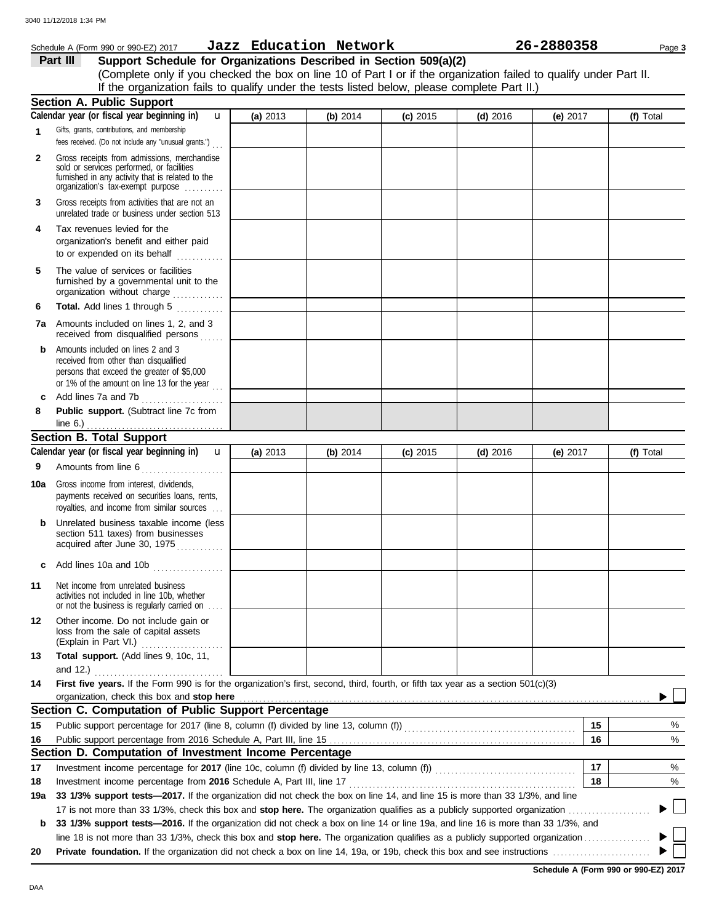#### Schedule A (Form 990 or 990-EZ) 2017 Page **3 Jazz Education Network 26-2880358 Part III Support Schedule for Organizations Described in Section 509(a)(2)** (Complete only if you checked the box on line 10 of Part I or if the organization failed to qualify under Part II. If the organization fails to qualify under the tests listed below, please complete Part II.) **Section A. Public Support Calendar year (or fiscal year beginning in)**  u **(a)** 2013 **(b)** 2014 **(c)** 2015 **(d)** 2016 **(e)** 2017 **(f)** Total Gifts, grants, contributions, and membership **1** fees received. (Do not include any "unusual grants.") . . . **2** Gross receipts from admissions, merchandise sold or services performed, or facilities furnished in any activity that is related to the organization's tax-exempt purpose .......... **3** Gross receipts from activities that are not an unrelated trade or business under section 513 **4** Tax revenues levied for the organization's benefit and either paid to or expended on its behalf when  $\cdots$ **5** The value of services or facilities furnished by a governmental unit to the organization without charge .............. **Total.** Add lines 1 through 5 **6 7a** Amounts included on lines 1, 2, and 3 received from disqualified persons **b** Amounts included on lines 2 and 3 received from other than disqualified persons that exceed the greater of \$5,000 or 1% of the amount on line 13 for the year  $\ldots$ **c** Add lines 7a and 7b . . . . . . . . . . . . . . . . . . . . . **8 Public support.** (Subtract line 7c from line 6.) . . . . . . . . . . . . . . . . . . . . . . . . . . . . . . . . . . . **Section B. Total Support** Calendar year (or fiscal year beginning in) **u (a)** 2013 **(b)** 2014 **(c)** 2015 **(d)** 2016 **(e)** 2017 **(f)** Total Amounts from line 6 . . . . . . . . . . . . . . . . . . . . . **9 10a** Gross income from interest, dividends, payments received on securities loans, rents, royalties, and income from similar sources . . . **b** Unrelated business taxable income (less section 511 taxes) from businesses acquired after June 30, 1975 **c** Add lines 10a and 10b . . . . . . . . . . . . . . . . . . **11** Net income from unrelated business activities not included in line 10b, whether or not the business is regularly carried on . . . . **12** Other income. Do not include gain or loss from the sale of capital assets (Explain in Part VI.) . . . . . . . . . . . . . . . . . . . . . **13 Total support.** (Add lines 9, 10c, 11, and 12.) . . . . . . . . . . . . . . . . . . . . . . . . . . . . . . . . . **14 First five years.** If the Form 990 is for the organization's first, second, third, fourth, or fifth tax year as a section 501(c)(3) organization, check this box and stop here **Section C. Computation of Public Support Percentage**  $\frac{1}{2}$ **15 15** Public support percentage for 2017 (line 8, column (f) divided by line 13, column (f)) . . . . . . . . . . . . . . . . . . . . . . . . . . . . . . . . . . . . . . . . . . . . Public support percentage from 2016 Schedule A, Part III, line 15 . . . . . . . . . . . . . . . . . . . . . . . . . . . . . . . . . . . . . . . . . . . . . . . . . . . . . . . . . . . . . . . **16** % **16 Section D. Computation of Investment Income Percentage 17 17** % Investment income percentage for **2017** (line 10c, column (f) divided by line 13, column (f)) . . . . . . . . . . . . . . . . . . . . . . . . . . . . . . . . . . . . Investment income percentage from **2016** Schedule A, Part III, line 17 . . . . . . . . . . . . . . . . . . . . . . . . . . . . . . . . . . . . . . . . . . . . . . . . . . . . . . . . . . **18** % **18 19a 33 1/3% support tests—2017.** If the organization did not check the box on line 14, and line 15 is more than 33 1/3%, and line 17 is not more than 33 1/3%, check this box and **stop here.** The organization qualifies as a publicly supported organization . . . . . . . . . . . . . . . . . . . . . ▶ **b 33 1/3% support tests—2016.** If the organization did not check a box on line 14 or line 19a, and line 16 is more than 33 1/3%, and

line 18 is not more than 33 1/3%, check this box and **stop here.** The organization qualifies as a publicly supported organization . . . . . . . . . . . . . . . . . **20 Private foundation.** If the organization did not check a box on line 14, 19a, or 19b, check this box and see instructions . . . . . . . . . . . . . . . . . . . . . . . . .

**Schedule A (Form 990 or 990-EZ) 2017**

DAA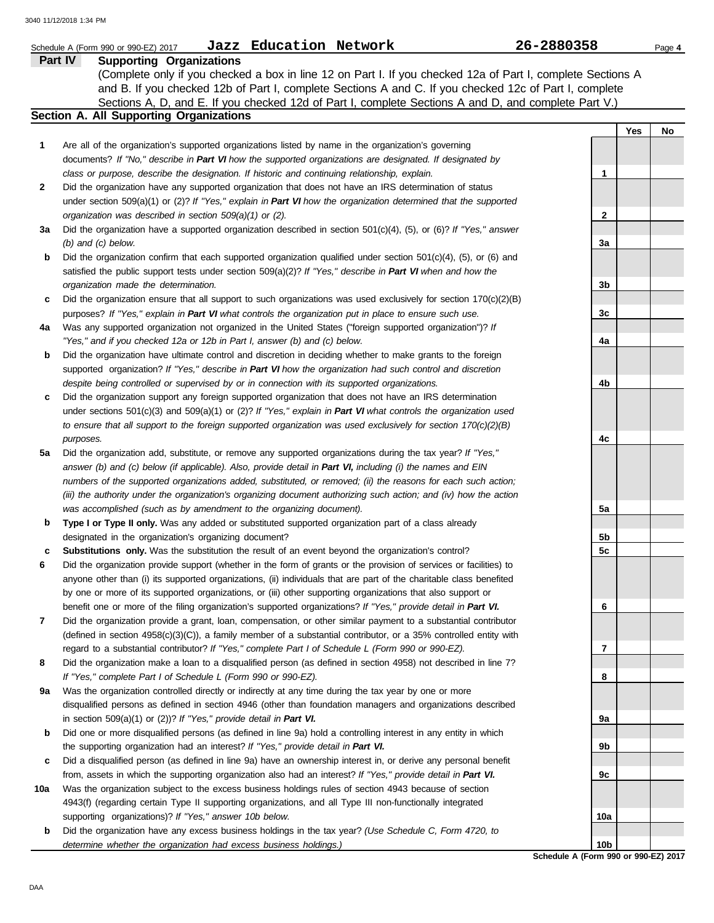|     | Jazz Education Network<br>Schedule A (Form 990 or 990-EZ) 2017                                                                                                                                                             | 26-2880358      |     | Page 4 |
|-----|----------------------------------------------------------------------------------------------------------------------------------------------------------------------------------------------------------------------------|-----------------|-----|--------|
|     | <b>Supporting Organizations</b><br><b>Part IV</b>                                                                                                                                                                          |                 |     |        |
|     | (Complete only if you checked a box in line 12 on Part I. If you checked 12a of Part I, complete Sections A                                                                                                                |                 |     |        |
|     | and B. If you checked 12b of Part I, complete Sections A and C. If you checked 12c of Part I, complete                                                                                                                     |                 |     |        |
|     | Sections A, D, and E. If you checked 12d of Part I, complete Sections A and D, and complete Part V.)                                                                                                                       |                 |     |        |
|     | Section A. All Supporting Organizations                                                                                                                                                                                    |                 |     |        |
|     |                                                                                                                                                                                                                            |                 | Yes | No     |
| 1   | Are all of the organization's supported organizations listed by name in the organization's governing                                                                                                                       |                 |     |        |
|     | documents? If "No," describe in Part VI how the supported organizations are designated. If designated by                                                                                                                   |                 |     |        |
|     | class or purpose, describe the designation. If historic and continuing relationship, explain.                                                                                                                              | 1               |     |        |
| 2   | Did the organization have any supported organization that does not have an IRS determination of status                                                                                                                     |                 |     |        |
|     | under section 509(a)(1) or (2)? If "Yes," explain in Part VI how the organization determined that the supported                                                                                                            |                 |     |        |
|     | organization was described in section 509(a)(1) or (2).                                                                                                                                                                    | 2               |     |        |
| За  | Did the organization have a supported organization described in section $501(c)(4)$ , (5), or (6)? If "Yes," answer                                                                                                        |                 |     |        |
|     | $(b)$ and $(c)$ below.                                                                                                                                                                                                     | 3a              |     |        |
| b   | Did the organization confirm that each supported organization qualified under section $501(c)(4)$ , $(5)$ , or $(6)$ and                                                                                                   |                 |     |        |
|     | satisfied the public support tests under section 509(a)(2)? If "Yes," describe in Part VI when and how the                                                                                                                 |                 |     |        |
|     | organization made the determination.                                                                                                                                                                                       | 3b              |     |        |
| c   | Did the organization ensure that all support to such organizations was used exclusively for section $170(c)(2)(B)$                                                                                                         |                 |     |        |
|     | purposes? If "Yes," explain in Part VI what controls the organization put in place to ensure such use.                                                                                                                     | 3c              |     |        |
| 4a  | Was any supported organization not organized in the United States ("foreign supported organization")? If                                                                                                                   |                 |     |        |
|     | "Yes," and if you checked 12a or 12b in Part I, answer (b) and (c) below.                                                                                                                                                  | 4a              |     |        |
| b   | Did the organization have ultimate control and discretion in deciding whether to make grants to the foreign                                                                                                                |                 |     |        |
|     | supported organization? If "Yes," describe in Part VI how the organization had such control and discretion                                                                                                                 |                 |     |        |
|     | despite being controlled or supervised by or in connection with its supported organizations.                                                                                                                               | 4b              |     |        |
| c   | Did the organization support any foreign supported organization that does not have an IRS determination                                                                                                                    |                 |     |        |
|     | under sections $501(c)(3)$ and $509(a)(1)$ or (2)? If "Yes," explain in Part VI what controls the organization used                                                                                                        |                 |     |        |
|     | to ensure that all support to the foreign supported organization was used exclusively for section $170(c)(2)(B)$                                                                                                           |                 |     |        |
|     | purposes.                                                                                                                                                                                                                  | 4c              |     |        |
| 5a  | Did the organization add, substitute, or remove any supported organizations during the tax year? If "Yes,"                                                                                                                 |                 |     |        |
|     | answer (b) and (c) below (if applicable). Also, provide detail in Part VI, including (i) the names and EIN                                                                                                                 |                 |     |        |
|     | numbers of the supported organizations added, substituted, or removed; (ii) the reasons for each such action;                                                                                                              |                 |     |        |
|     | (iii) the authority under the organization's organizing document authorizing such action; and (iv) how the action                                                                                                          |                 |     |        |
|     | was accomplished (such as by amendment to the organizing document).                                                                                                                                                        | 5а              |     |        |
| b   | Type I or Type II only. Was any added or substituted supported organization part of a class already                                                                                                                        |                 |     |        |
|     | designated in the organization's organizing document?                                                                                                                                                                      | 5 <sub>b</sub>  |     |        |
|     | <b>Substitutions only.</b> Was the substitution the result of an event beyond the organization's control?                                                                                                                  | 5c              |     |        |
| 6   | Did the organization provide support (whether in the form of grants or the provision of services or facilities) to                                                                                                         |                 |     |        |
|     | anyone other than (i) its supported organizations, (ii) individuals that are part of the charitable class benefited                                                                                                        |                 |     |        |
|     | by one or more of its supported organizations, or (iii) other supporting organizations that also support or                                                                                                                |                 |     |        |
|     | benefit one or more of the filing organization's supported organizations? If "Yes," provide detail in Part VI.                                                                                                             | 6               |     |        |
| 7   | Did the organization provide a grant, loan, compensation, or other similar payment to a substantial contributor                                                                                                            |                 |     |        |
|     | (defined in section $4958(c)(3)(C)$ ), a family member of a substantial contributor, or a 35% controlled entity with<br>regard to a substantial contributor? If "Yes," complete Part I of Schedule L (Form 990 or 990-EZ). | 7               |     |        |
| 8   | Did the organization make a loan to a disqualified person (as defined in section 4958) not described in line 7?                                                                                                            |                 |     |        |
|     | If "Yes," complete Part I of Schedule L (Form 990 or 990-EZ).                                                                                                                                                              | 8               |     |        |
| 9a  | Was the organization controlled directly or indirectly at any time during the tax year by one or more                                                                                                                      |                 |     |        |
|     | disqualified persons as defined in section 4946 (other than foundation managers and organizations described                                                                                                                |                 |     |        |
|     | in section $509(a)(1)$ or (2))? If "Yes," provide detail in Part VI.                                                                                                                                                       | 9а              |     |        |
| b   | Did one or more disqualified persons (as defined in line 9a) hold a controlling interest in any entity in which                                                                                                            |                 |     |        |
|     | the supporting organization had an interest? If "Yes," provide detail in Part VI.                                                                                                                                          | 9b              |     |        |
| c   | Did a disqualified person (as defined in line 9a) have an ownership interest in, or derive any personal benefit                                                                                                            |                 |     |        |
|     | from, assets in which the supporting organization also had an interest? If "Yes," provide detail in Part VI.                                                                                                               | 9с              |     |        |
| 10a | Was the organization subject to the excess business holdings rules of section 4943 because of section                                                                                                                      |                 |     |        |
|     | 4943(f) (regarding certain Type II supporting organizations, and all Type III non-functionally integrated                                                                                                                  |                 |     |        |
|     | supporting organizations)? If "Yes," answer 10b below.                                                                                                                                                                     | 10a             |     |        |
| b   | Did the organization have any excess business holdings in the tax year? (Use Schedule C, Form 4720, to                                                                                                                     |                 |     |        |
|     | determine whether the organization had excess business holdings.)                                                                                                                                                          | 10 <sub>b</sub> |     |        |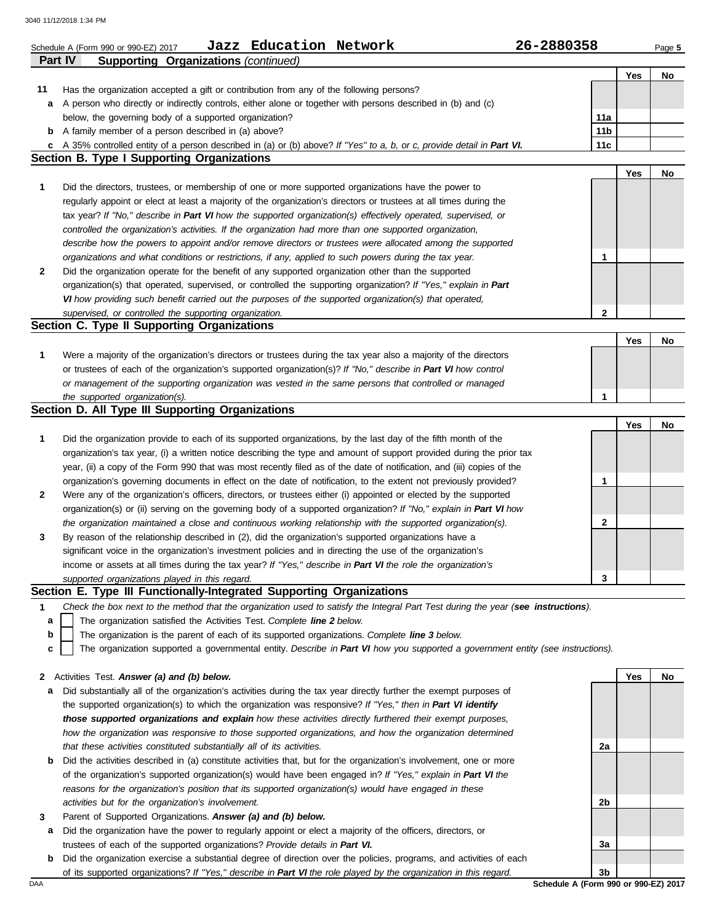|         | Jazz Education Network<br>Schedule A (Form 990 or 990-EZ) 2017                                                                    | 26-2880358      |     | Page 5 |
|---------|-----------------------------------------------------------------------------------------------------------------------------------|-----------------|-----|--------|
| Part IV | <b>Supporting Organizations (continued)</b>                                                                                       |                 |     |        |
|         |                                                                                                                                   |                 | Yes | No     |
| 11      | Has the organization accepted a gift or contribution from any of the following persons?                                           |                 |     |        |
|         | a A person who directly or indirectly controls, either alone or together with persons described in (b) and (c)                    |                 |     |        |
|         | below, the governing body of a supported organization?                                                                            | 11a             |     |        |
|         | <b>b</b> A family member of a person described in (a) above?                                                                      | 11 <sub>b</sub> |     |        |
|         | c A 35% controlled entity of a person described in (a) or (b) above? If "Yes" to a, b, or c, provide detail in Part VI.           | 11c             |     |        |
|         | <b>Section B. Type I Supporting Organizations</b>                                                                                 |                 |     |        |
|         |                                                                                                                                   |                 | Yes | No     |
| 1       | Did the directors, trustees, or membership of one or more supported organizations have the power to                               |                 |     |        |
|         | regularly appoint or elect at least a majority of the organization's directors or trustees at all times during the                |                 |     |        |
|         | tax year? If "No," describe in Part VI how the supported organization(s) effectively operated, supervised, or                     |                 |     |        |
|         | controlled the organization's activities. If the organization had more than one supported organization,                           |                 |     |        |
|         | describe how the powers to appoint and/or remove directors or trustees were allocated among the supported                         |                 |     |        |
|         | organizations and what conditions or restrictions, if any, applied to such powers during the tax year.                            | 1               |     |        |
| 2       | Did the organization operate for the benefit of any supported organization other than the supported                               |                 |     |        |
|         | organization(s) that operated, supervised, or controlled the supporting organization? If "Yes," explain in Part                   |                 |     |        |
|         | VI how providing such benefit carried out the purposes of the supported organization(s) that operated,                            |                 |     |        |
|         | supervised, or controlled the supporting organization.<br>Section C. Type II Supporting Organizations                             | $\mathbf{2}$    |     |        |
|         |                                                                                                                                   |                 | Yes | No     |
| 1       | Were a majority of the organization's directors or trustees during the tax year also a majority of the directors                  |                 |     |        |
|         | or trustees of each of the organization's supported organization(s)? If "No," describe in Part VI how control                     |                 |     |        |
|         | or management of the supporting organization was vested in the same persons that controlled or managed                            |                 |     |        |
|         | the supported organization(s).                                                                                                    | $\mathbf{1}$    |     |        |
|         | Section D. All Type III Supporting Organizations                                                                                  |                 |     |        |
|         |                                                                                                                                   |                 | Yes | No     |
| 1       | Did the organization provide to each of its supported organizations, by the last day of the fifth month of the                    |                 |     |        |
|         | organization's tax year, (i) a written notice describing the type and amount of support provided during the prior tax             |                 |     |        |
|         | year, (ii) a copy of the Form 990 that was most recently filed as of the date of notification, and (iii) copies of the            |                 |     |        |
|         | organization's governing documents in effect on the date of notification, to the extent not previously provided?                  | 1               |     |        |
| 2       | Were any of the organization's officers, directors, or trustees either (i) appointed or elected by the supported                  |                 |     |        |
|         | organization(s) or (ii) serving on the governing body of a supported organization? If "No," explain in Part VI how                |                 |     |        |
|         | the organization maintained a close and continuous working relationship with the supported organization(s).                       | 2               |     |        |
| 3       | By reason of the relationship described in (2), did the organization's supported organizations have a                             |                 |     |        |
|         | significant voice in the organization's investment policies and in directing the use of the organization's                        |                 |     |        |
|         | income or assets at all times during the tax year? If "Yes," describe in Part VI the role the organization's                      |                 |     |        |
|         | supported organizations played in this regard.                                                                                    | 3               |     |        |
|         | Section E. Type III Functionally-Integrated Supporting Organizations                                                              |                 |     |        |
| 1       | Check the box next to the method that the organization used to satisfy the Integral Part Test during the year (see instructions). |                 |     |        |
| a       | The organization satisfied the Activities Test. Complete line 2 below.                                                            |                 |     |        |
| b       | The organization is the parent of each of its supported organizations. Complete line 3 below.                                     |                 |     |        |
| c       | The organization supported a governmental entity. Describe in Part VI how you supported a government entity (see instructions).   |                 |     |        |
|         |                                                                                                                                   |                 |     |        |
| 2       | Activities Test. Answer (a) and (b) below.                                                                                        |                 | Yes | No     |
| а       | Did substantially all of the organization's activities during the tax year directly further the exempt purposes of                |                 |     |        |
|         | the supported organization(s) to which the organization was responsive? If "Yes," then in Part VI identify                        |                 |     |        |
|         | those supported organizations and explain how these activities directly furthered their exempt purposes,                          |                 |     |        |
|         | how the organization was responsive to those supported organizations, and how the organization determined                         |                 |     |        |
|         | that these activities constituted substantially all of its activities.                                                            | 2a              |     |        |
| b       | Did the activities described in (a) constitute activities that, but for the organization's involvement, one or more               |                 |     |        |
|         | of the organization's supported organization(s) would have been engaged in? If "Yes," explain in Part VI the                      |                 |     |        |
|         | reasons for the organization's position that its supported organization(s) would have engaged in these                            |                 |     |        |
|         | activities but for the organization's involvement.                                                                                | 2b              |     |        |
| 3       | Parent of Supported Organizations. Answer (a) and (b) below.                                                                      |                 |     |        |
| а       | Did the organization have the power to regularly appoint or elect a majority of the officers, directors, or                       |                 |     |        |
|         | trustees of each of the supported organizations? Provide details in Part VI.                                                      | За              |     |        |
| b       | Did the organization exercise a substantial degree of direction over the policies, programs, and activities of each               |                 |     |        |

of its supported organizations? *If "Yes," describe in Part VI the role played by the organization in this regard.*

DAA **Schedule A (Form 990 or 990-EZ) 2017 3b**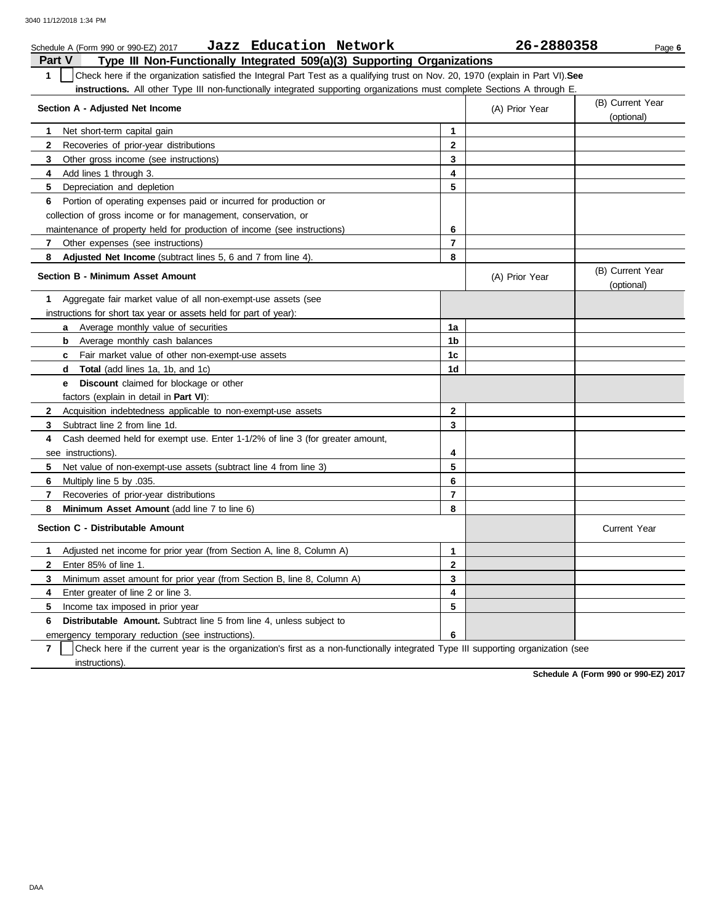|               | Jazz Education Network<br>Schedule A (Form 990 or 990-EZ) 2017                                                                   |                | 26-2880358     | Page 6                         |
|---------------|----------------------------------------------------------------------------------------------------------------------------------|----------------|----------------|--------------------------------|
| <b>Part V</b> | Type III Non-Functionally Integrated 509(a)(3) Supporting Organizations                                                          |                |                |                                |
| $\mathbf{1}$  | Check here if the organization satisfied the Integral Part Test as a qualifying trust on Nov. 20, 1970 (explain in Part VI). See |                |                |                                |
|               | instructions. All other Type III non-functionally integrated supporting organizations must complete Sections A through E.        |                |                |                                |
|               | Section A - Adjusted Net Income                                                                                                  |                | (A) Prior Year | (B) Current Year               |
|               |                                                                                                                                  |                |                | (optional)                     |
| 1             | Net short-term capital gain                                                                                                      | $\mathbf{1}$   |                |                                |
| $\mathbf{2}$  | Recoveries of prior-year distributions                                                                                           | $\mathbf{2}$   |                |                                |
| 3             | Other gross income (see instructions)                                                                                            | 3              |                |                                |
| 4             | Add lines 1 through 3.                                                                                                           | 4              |                |                                |
| 5             | Depreciation and depletion                                                                                                       | 5              |                |                                |
| 6             | Portion of operating expenses paid or incurred for production or                                                                 |                |                |                                |
|               | collection of gross income or for management, conservation, or                                                                   |                |                |                                |
|               | maintenance of property held for production of income (see instructions)                                                         | 6              |                |                                |
| 7             | Other expenses (see instructions)                                                                                                | $\overline{7}$ |                |                                |
| 8             | Adjusted Net Income (subtract lines 5, 6 and 7 from line 4).                                                                     | 8              |                |                                |
|               | <b>Section B - Minimum Asset Amount</b>                                                                                          |                | (A) Prior Year | (B) Current Year<br>(optional) |
| 1             | Aggregate fair market value of all non-exempt-use assets (see                                                                    |                |                |                                |
|               | instructions for short tax year or assets held for part of year):                                                                |                |                |                                |
|               | <b>a</b> Average monthly value of securities                                                                                     | 1a             |                |                                |
|               | Average monthly cash balances<br>b                                                                                               | 1 <sub>b</sub> |                |                                |
|               | Fair market value of other non-exempt-use assets<br>$\mathbf{c}$                                                                 | 1 <sub>c</sub> |                |                                |
|               | <b>Total</b> (add lines 1a, 1b, and 1c)<br>d.                                                                                    | 1d             |                |                                |
|               | <b>Discount</b> claimed for blockage or other<br>e –                                                                             |                |                |                                |
|               | factors (explain in detail in Part VI):                                                                                          |                |                |                                |
| $\mathbf{2}$  | Acquisition indebtedness applicable to non-exempt-use assets                                                                     | $\mathbf{2}$   |                |                                |
| 3             | Subtract line 2 from line 1d.                                                                                                    | 3              |                |                                |
| 4             | Cash deemed held for exempt use. Enter 1-1/2% of line 3 (for greater amount,                                                     |                |                |                                |
|               | see instructions).                                                                                                               | 4              |                |                                |
| 5             | Net value of non-exempt-use assets (subtract line 4 from line 3)                                                                 | 5              |                |                                |
| 6             | Multiply line 5 by .035.                                                                                                         | 6              |                |                                |
| 7             | Recoveries of prior-year distributions                                                                                           | $\overline{7}$ |                |                                |
| 8             | Minimum Asset Amount (add line 7 to line 6)                                                                                      | 8              |                |                                |
|               | Section C - Distributable Amount                                                                                                 |                |                | <b>Current Year</b>            |
| 1             | Adjusted net income for prior year (from Section A, line 8, Column A)                                                            | $\mathbf{1}$   |                |                                |
| $\mathbf{2}$  | Enter 85% of line 1.                                                                                                             | $\mathbf{2}$   |                |                                |
| 3             | Minimum asset amount for prior year (from Section B, line 8, Column A)                                                           | 3              |                |                                |
| 4             | Enter greater of line 2 or line 3.                                                                                               | 4              |                |                                |
| 5             | Income tax imposed in prior year                                                                                                 | 5              |                |                                |
| 6             | <b>Distributable Amount.</b> Subtract line 5 from line 4, unless subject to                                                      |                |                |                                |
|               | emergency temporary reduction (see instructions).                                                                                | 6              |                |                                |

**7** instructions). Check here if the current year is the organization's first as a non-functionally integrated Type III supporting organization (see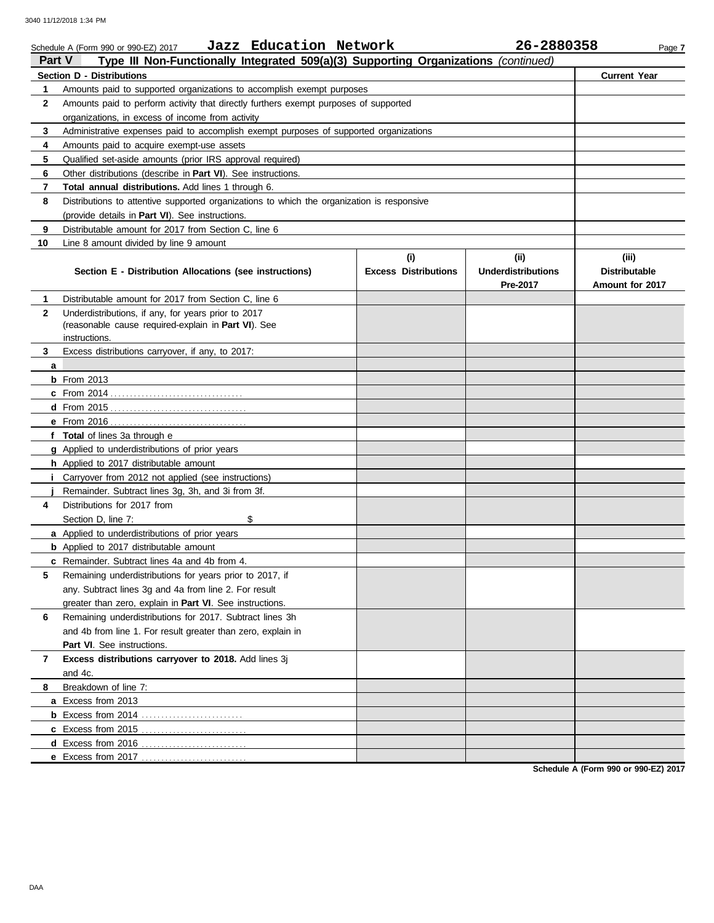| Type III Non-Functionally Integrated 509(a)(3) Supporting Organizations (continued)<br><b>Section D - Distributions</b> | <b>Current Year</b>  |
|-------------------------------------------------------------------------------------------------------------------------|----------------------|
|                                                                                                                         |                      |
| Amounts paid to supported organizations to accomplish exempt purposes<br>1                                              |                      |
| Amounts paid to perform activity that directly furthers exempt purposes of supported<br>$\mathbf{2}$                    |                      |
| organizations, in excess of income from activity                                                                        |                      |
| 3<br>Administrative expenses paid to accomplish exempt purposes of supported organizations                              |                      |
| 4<br>Amounts paid to acquire exempt-use assets                                                                          |                      |
| 5<br>Qualified set-aside amounts (prior IRS approval required)                                                          |                      |
| 6<br>Other distributions (describe in Part VI). See instructions.                                                       |                      |
| 7<br>Total annual distributions. Add lines 1 through 6.                                                                 |                      |
| 8<br>Distributions to attentive supported organizations to which the organization is responsive                         |                      |
| (provide details in Part VI). See instructions.                                                                         |                      |
| Distributable amount for 2017 from Section C, line 6<br>9                                                               |                      |
| 10<br>Line 8 amount divided by line 9 amount                                                                            |                      |
| (i)<br>(ii)                                                                                                             | (iii)                |
| <b>Underdistributions</b><br>Section E - Distribution Allocations (see instructions)<br><b>Excess Distributions</b>     | <b>Distributable</b> |
| Pre-2017                                                                                                                | Amount for 2017      |
| Distributable amount for 2017 from Section C, line 6<br>1.                                                              |                      |
| $\mathbf{2}$<br>Underdistributions, if any, for years prior to 2017                                                     |                      |
| (reasonable cause required-explain in Part VI). See                                                                     |                      |
| instructions.                                                                                                           |                      |
| 3<br>Excess distributions carryover, if any, to 2017:                                                                   |                      |
| a<br>$b$ From 2013                                                                                                      |                      |
|                                                                                                                         |                      |
|                                                                                                                         |                      |
|                                                                                                                         |                      |
| f Total of lines 3a through e                                                                                           |                      |
| g Applied to underdistributions of prior years                                                                          |                      |
| h Applied to 2017 distributable amount                                                                                  |                      |
| Carryover from 2012 not applied (see instructions)                                                                      |                      |
| Remainder. Subtract lines 3g, 3h, and 3i from 3f.                                                                       |                      |
| Distributions for 2017 from<br>4                                                                                        |                      |
| \$<br>Section D, line 7:                                                                                                |                      |
| a Applied to underdistributions of prior years                                                                          |                      |
| <b>b</b> Applied to 2017 distributable amount                                                                           |                      |
| c Remainder. Subtract lines 4a and 4b from 4.                                                                           |                      |
| Remaining underdistributions for years prior to 2017, if<br>5                                                           |                      |
| any. Subtract lines 3g and 4a from line 2. For result                                                                   |                      |
| greater than zero, explain in Part VI. See instructions.                                                                |                      |
| Remaining underdistributions for 2017. Subtract lines 3h<br>6                                                           |                      |
| and 4b from line 1. For result greater than zero, explain in                                                            |                      |
| Part VI. See instructions.                                                                                              |                      |
| Excess distributions carryover to 2018. Add lines 3j<br>7                                                               |                      |
| and 4c.                                                                                                                 |                      |
| Breakdown of line 7:<br>8                                                                                               |                      |
| a Excess from 2013                                                                                                      |                      |
|                                                                                                                         |                      |
| c Excess from 2015                                                                                                      |                      |
| d Excess from 2016                                                                                                      |                      |
| e Excess from 2017.<br>. <b>.</b> .                                                                                     |                      |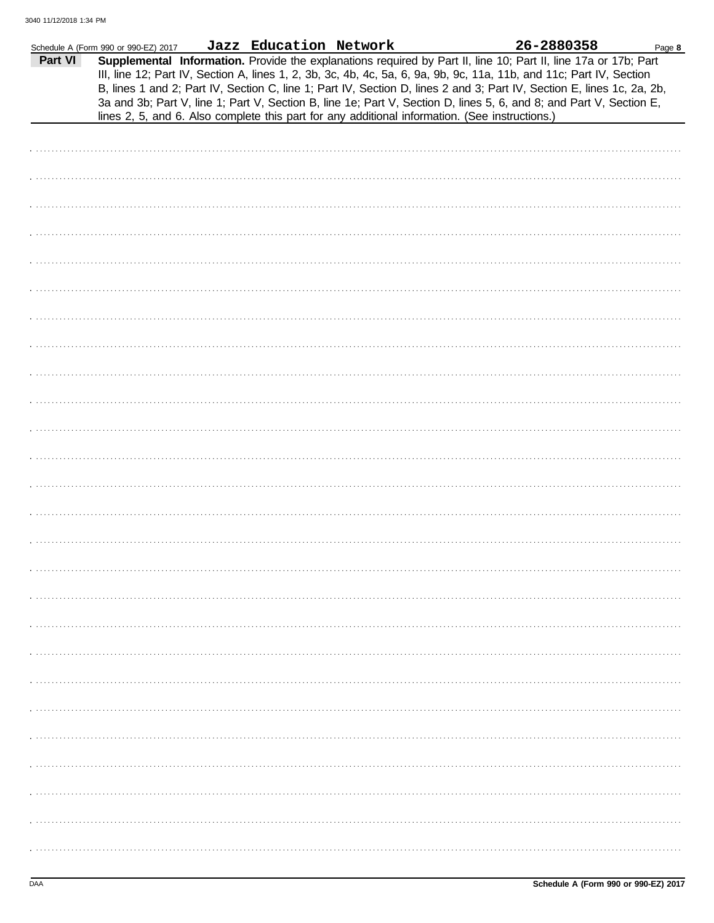|         | Schedule A (Form 990 or 990-EZ) 2017 | Jazz Education Network |                                                                                                | 26-2880358                                                                                                             | Page 8 |
|---------|--------------------------------------|------------------------|------------------------------------------------------------------------------------------------|------------------------------------------------------------------------------------------------------------------------|--------|
| Part VI |                                      |                        |                                                                                                | Supplemental Information. Provide the explanations required by Part II, line 10; Part II, line 17a or 17b; Part        |        |
|         |                                      |                        |                                                                                                |                                                                                                                        |        |
|         |                                      |                        |                                                                                                | III, line 12; Part IV, Section A, lines 1, 2, 3b, 3c, 4b, 4c, 5a, 6, 9a, 9b, 9c, 11a, 11b, and 11c; Part IV, Section   |        |
|         |                                      |                        |                                                                                                | B, lines 1 and 2; Part IV, Section C, line 1; Part IV, Section D, lines 2 and 3; Part IV, Section E, lines 1c, 2a, 2b, |        |
|         |                                      |                        |                                                                                                | 3a and 3b; Part V, line 1; Part V, Section B, line 1e; Part V, Section D, lines 5, 6, and 8; and Part V, Section E,    |        |
|         |                                      |                        | lines 2, 5, and 6. Also complete this part for any additional information. (See instructions.) |                                                                                                                        |        |
|         |                                      |                        |                                                                                                |                                                                                                                        |        |
|         |                                      |                        |                                                                                                |                                                                                                                        |        |
|         |                                      |                        |                                                                                                |                                                                                                                        |        |
|         |                                      |                        |                                                                                                |                                                                                                                        |        |
|         |                                      |                        |                                                                                                |                                                                                                                        |        |
|         |                                      |                        |                                                                                                |                                                                                                                        |        |
|         |                                      |                        |                                                                                                |                                                                                                                        |        |
|         |                                      |                        |                                                                                                |                                                                                                                        |        |
|         |                                      |                        |                                                                                                |                                                                                                                        |        |
|         |                                      |                        |                                                                                                |                                                                                                                        |        |
|         |                                      |                        |                                                                                                |                                                                                                                        |        |
|         |                                      |                        |                                                                                                |                                                                                                                        |        |
|         |                                      |                        |                                                                                                |                                                                                                                        |        |
|         |                                      |                        |                                                                                                |                                                                                                                        |        |
|         |                                      |                        |                                                                                                |                                                                                                                        |        |
|         |                                      |                        |                                                                                                |                                                                                                                        |        |
|         |                                      |                        |                                                                                                |                                                                                                                        |        |
|         |                                      |                        |                                                                                                |                                                                                                                        |        |
|         |                                      |                        |                                                                                                |                                                                                                                        |        |
|         |                                      |                        |                                                                                                |                                                                                                                        |        |
|         |                                      |                        |                                                                                                |                                                                                                                        |        |
|         |                                      |                        |                                                                                                |                                                                                                                        |        |
|         |                                      |                        |                                                                                                |                                                                                                                        |        |
|         |                                      |                        |                                                                                                |                                                                                                                        |        |
|         |                                      |                        |                                                                                                |                                                                                                                        |        |
|         |                                      |                        |                                                                                                |                                                                                                                        |        |
|         |                                      |                        |                                                                                                |                                                                                                                        |        |
|         |                                      |                        |                                                                                                |                                                                                                                        |        |
|         |                                      |                        |                                                                                                |                                                                                                                        |        |
|         |                                      |                        |                                                                                                |                                                                                                                        |        |
|         |                                      |                        |                                                                                                |                                                                                                                        |        |
|         |                                      |                        |                                                                                                |                                                                                                                        |        |
|         |                                      |                        |                                                                                                |                                                                                                                        |        |
|         |                                      |                        |                                                                                                |                                                                                                                        |        |
|         |                                      |                        |                                                                                                |                                                                                                                        |        |
|         |                                      |                        |                                                                                                |                                                                                                                        |        |
|         |                                      |                        |                                                                                                |                                                                                                                        |        |
|         |                                      |                        |                                                                                                |                                                                                                                        |        |
|         |                                      |                        |                                                                                                |                                                                                                                        |        |
|         |                                      |                        |                                                                                                |                                                                                                                        |        |
|         |                                      |                        |                                                                                                |                                                                                                                        |        |
|         |                                      |                        |                                                                                                |                                                                                                                        |        |
|         |                                      |                        |                                                                                                |                                                                                                                        |        |
|         |                                      |                        |                                                                                                |                                                                                                                        |        |
|         |                                      |                        |                                                                                                |                                                                                                                        |        |
|         |                                      |                        |                                                                                                |                                                                                                                        |        |
|         |                                      |                        |                                                                                                |                                                                                                                        |        |
|         |                                      |                        |                                                                                                |                                                                                                                        |        |
|         |                                      |                        |                                                                                                |                                                                                                                        |        |
|         |                                      |                        |                                                                                                |                                                                                                                        |        |
|         |                                      |                        |                                                                                                |                                                                                                                        |        |
|         |                                      |                        |                                                                                                |                                                                                                                        |        |
|         |                                      |                        |                                                                                                |                                                                                                                        |        |
|         |                                      |                        |                                                                                                |                                                                                                                        |        |
|         |                                      |                        |                                                                                                |                                                                                                                        |        |
|         |                                      |                        |                                                                                                |                                                                                                                        |        |
|         |                                      |                        |                                                                                                |                                                                                                                        |        |
|         |                                      |                        |                                                                                                |                                                                                                                        |        |
|         |                                      |                        |                                                                                                |                                                                                                                        |        |
|         |                                      |                        |                                                                                                |                                                                                                                        |        |
|         |                                      |                        |                                                                                                |                                                                                                                        |        |
|         |                                      |                        |                                                                                                |                                                                                                                        |        |
|         |                                      |                        |                                                                                                |                                                                                                                        |        |
|         |                                      |                        |                                                                                                |                                                                                                                        |        |
|         |                                      |                        |                                                                                                |                                                                                                                        |        |
|         |                                      |                        |                                                                                                |                                                                                                                        |        |
|         |                                      |                        |                                                                                                |                                                                                                                        |        |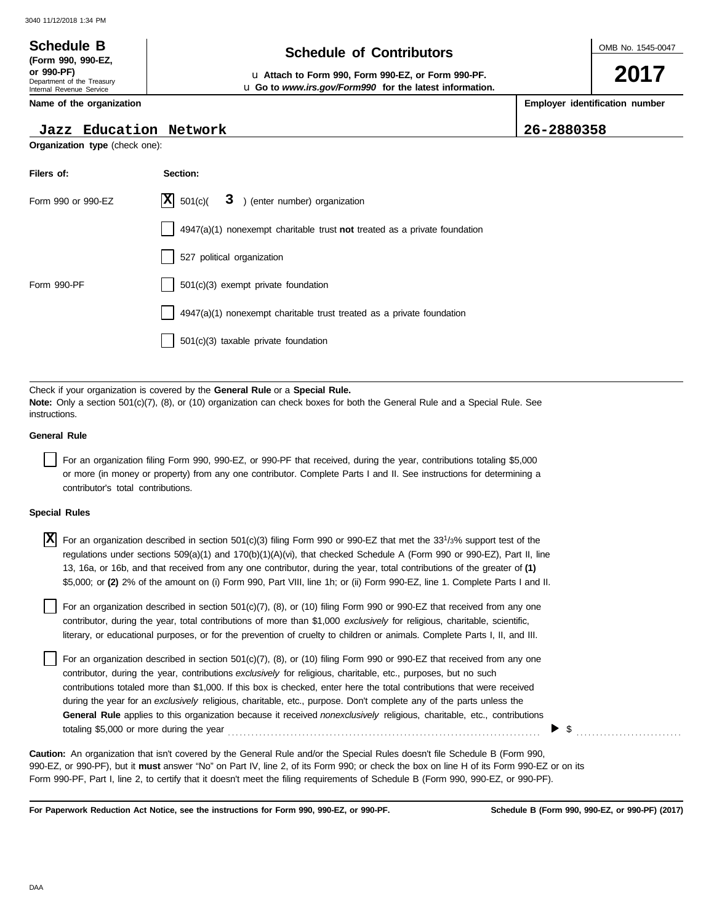Department of the Treasury Internal Revenue Service **Name of the organization**

**(Form 990, 990-EZ,**

# **Schedule of Contributors Schedule B**

**or 990-PF)** u **Attach to Form 990, Form 990-EZ, or Form 990-PF.** u **Go to** *www.irs.gov/Form990* **for the latest information.** OMB No. 1545-0047

**2017**

**Employer identification number**

| $ 26 - 2880358$<br>Jazz Education Network |  |
|-------------------------------------------|--|
|-------------------------------------------|--|

**Organization type** (check one):

| Filers of:         | Section:                                                                    |
|--------------------|-----------------------------------------------------------------------------|
| Form 990 or 990-EZ | $ \mathbf{X} $ 501(c)( 3) (enter number) organization                       |
|                    | $4947(a)(1)$ nonexempt charitable trust not treated as a private foundation |
|                    | 527 political organization                                                  |
| Form 990-PF        | 501(c)(3) exempt private foundation                                         |
|                    | 4947(a)(1) nonexempt charitable trust treated as a private foundation       |
|                    | 501(c)(3) taxable private foundation                                        |

Check if your organization is covered by the **General Rule** or a **Special Rule. Note:** Only a section 501(c)(7), (8), or (10) organization can check boxes for both the General Rule and a Special Rule. See instructions.

#### **General Rule**

For an organization filing Form 990, 990-EZ, or 990-PF that received, during the year, contributions totaling \$5,000 or more (in money or property) from any one contributor. Complete Parts I and II. See instructions for determining a contributor's total contributions.

#### **Special Rules**

| $\boxed{\mathrm{X}}$ For an organization described in section 501(c)(3) filing Form 990 or 990-EZ that met the 33 <sup>1</sup> /3% support test of the |
|--------------------------------------------------------------------------------------------------------------------------------------------------------|
| regulations under sections 509(a)(1) and 170(b)(1)(A)(vi), that checked Schedule A (Form 990 or 990-EZ), Part II, line                                 |
| 13, 16a, or 16b, and that received from any one contributor, during the year, total contributions of the greater of (1)                                |
| \$5,000; or (2) 2% of the amount on (i) Form 990, Part VIII, line 1h; or (ii) Form 990-EZ, line 1. Complete Parts I and II.                            |
|                                                                                                                                                        |

literary, or educational purposes, or for the prevention of cruelty to children or animals. Complete Parts I, II, and III. For an organization described in section  $501(c)(7)$ ,  $(8)$ , or  $(10)$  filing Form 990 or 990-EZ that received from any one contributor, during the year, total contributions of more than \$1,000 *exclusively* for religious, charitable, scientific,

For an organization described in section 501(c)(7), (8), or (10) filing Form 990 or 990-EZ that received from any one contributor, during the year, contributions *exclusively* for religious, charitable, etc., purposes, but no such contributions totaled more than \$1,000. If this box is checked, enter here the total contributions that were received during the year for an *exclusively* religious, charitable, etc., purpose. Don't complete any of the parts unless the **General Rule** applies to this organization because it received *nonexclusively* religious, charitable, etc., contributions totaling \$5,000 or more during the year . . . . . . . . . . . . . . . . . . . . . . . . . . . . . . . . . . . . . . . . . . . . . . . . . . . . . . . . . . . . . . . . . . . . . . . . . . . . . . . .

990-EZ, or 990-PF), but it **must** answer "No" on Part IV, line 2, of its Form 990; or check the box on line H of its Form 990-EZ or on its Form 990-PF, Part I, line 2, to certify that it doesn't meet the filing requirements of Schedule B (Form 990, 990-EZ, or 990-PF). **Caution:** An organization that isn't covered by the General Rule and/or the Special Rules doesn't file Schedule B (Form 990,

**For Paperwork Reduction Act Notice, see the instructions for Form 990, 990-EZ, or 990-PF.**

\$ . . . . . . . . . . . . . . . . . . . . . . . . . . .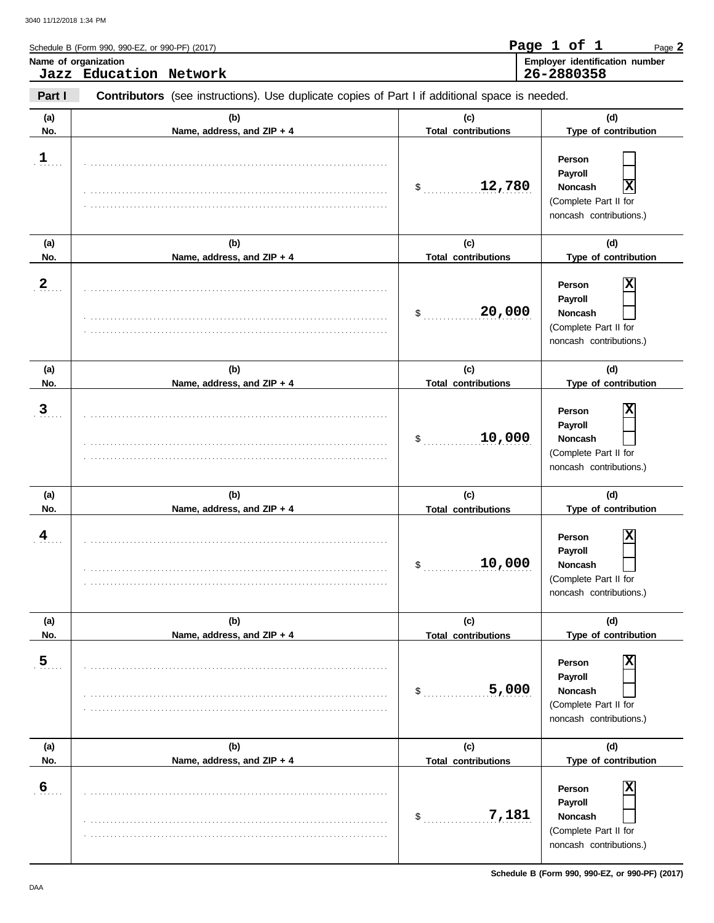|                       | Schedule B (Form 990, 990-EZ, or 990-PF) (2017)                                                |                                            | Page 1 of 1<br>Page 2                                                                                                |
|-----------------------|------------------------------------------------------------------------------------------------|--------------------------------------------|----------------------------------------------------------------------------------------------------------------------|
|                       | Name of organization<br>Jazz Education Network                                                 |                                            | Employer identification number<br>26-2880358                                                                         |
| Part I                | Contributors (see instructions). Use duplicate copies of Part I if additional space is needed. |                                            |                                                                                                                      |
| (a)<br>No.            | (b)<br>Name, address, and ZIP + 4                                                              | (c)<br><b>Total contributions</b>          | (d)<br>Type of contribution                                                                                          |
| $\frac{1}{2}$         |                                                                                                | 12,780<br>\$                               | Person<br>Payroll<br> X<br><b>Noncash</b><br>(Complete Part II for<br>noncash contributions.)                        |
| (a)<br>No.            | (b)<br>Name, address, and ZIP + 4                                                              | (c)<br><b>Total contributions</b>          | (d)<br>Type of contribution                                                                                          |
| $\frac{2}{3}$         |                                                                                                | 20,000<br>\$                               | х<br>Person<br>Payroll<br><b>Noncash</b><br>(Complete Part II for<br>noncash contributions.)                         |
| (a)                   | (b)                                                                                            | (c)                                        | (d)                                                                                                                  |
| No.<br>$\overline{3}$ | Name, address, and ZIP + 4                                                                     | <b>Total contributions</b><br>10,000<br>\$ | Type of contribution<br>х<br>Person<br>Payroll<br><b>Noncash</b><br>(Complete Part II for<br>noncash contributions.) |
| (a)<br>No.            | (b)<br>Name, address, and ZIP + 4                                                              | (c)<br><b>Total contributions</b>          | (d)<br>Type of contribution                                                                                          |
| 4                     |                                                                                                | 10,000<br>\$                               | X<br>Person<br>Payroll<br>Noncash<br>(Complete Part II for<br>noncash contributions.)                                |
| (a)<br>No.            | (b)<br>Name, address, and ZIP + 4                                                              | (c)<br><b>Total contributions</b>          | (d)<br>Type of contribution                                                                                          |
| $\overline{5}$        |                                                                                                | 5,000<br>\$                                | X<br>Person<br>Payroll<br><b>Noncash</b><br>(Complete Part II for<br>noncash contributions.)                         |
| (a)<br>No.            | (b)<br>Name, address, and ZIP + 4                                                              | (c)<br><b>Total contributions</b>          | (d)<br>Type of contribution                                                                                          |
| $6 \overline{6}$      |                                                                                                | 7,181<br>\$                                | X<br>Person<br>Payroll<br><b>Noncash</b><br>(Complete Part II for<br>noncash contributions.)                         |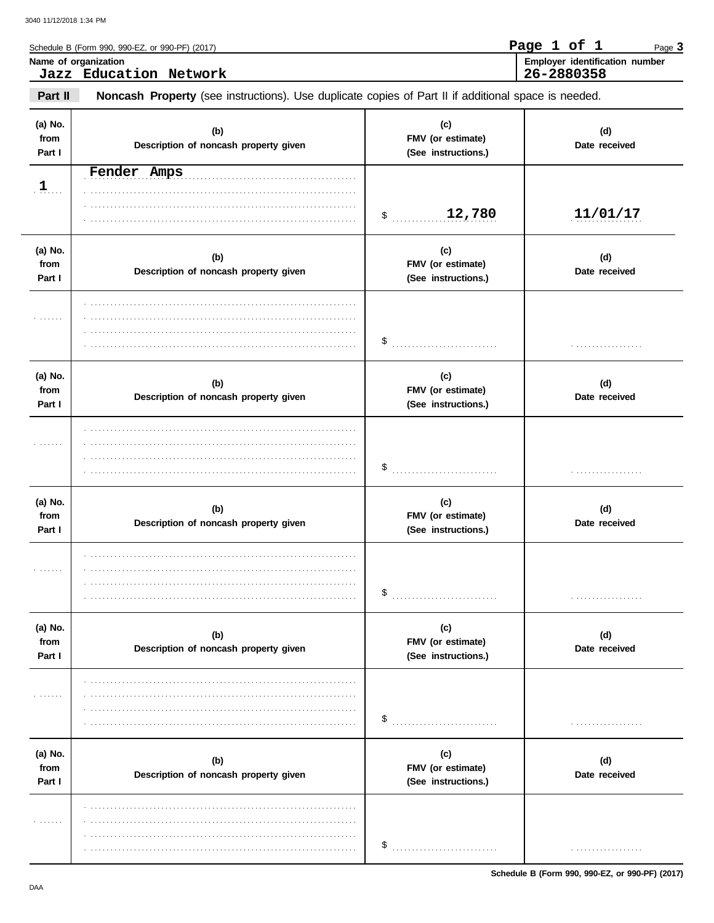|                           | Schedule B (Form 990, 990-EZ, or 990-PF) (2017)                                                     |                                                 | Page 1 of 1<br>Page 3                        |
|---------------------------|-----------------------------------------------------------------------------------------------------|-------------------------------------------------|----------------------------------------------|
|                           | Name of organization<br>Jazz Education Network                                                      |                                                 | Employer identification number<br>26-2880358 |
| Part II                   | Noncash Property (see instructions). Use duplicate copies of Part II if additional space is needed. |                                                 |                                              |
| (a) No.<br>from<br>Part I | (b)<br>Description of noncash property given                                                        | (c)<br>FMV (or estimate)<br>(See instructions.) | (d)<br>Date received                         |
| 1                         | Fender Amps                                                                                         | 12,780<br>$\frac{1}{2}$                         | 11/01/17                                     |
| (a) No.<br>from<br>Part I | (b)<br>Description of noncash property given                                                        | (c)<br>FMV (or estimate)<br>(See instructions.) | (d)<br>Date received                         |
|                           |                                                                                                     | \$                                              |                                              |
| (a) No.<br>from<br>Part I | (b)<br>Description of noncash property given                                                        | (c)<br>FMV (or estimate)<br>(See instructions.) | (d)<br>Date received                         |
|                           |                                                                                                     | \$                                              |                                              |
| (a) No.<br>from<br>Part I | (b)<br>Description of noncash property given                                                        | (c)<br>FMV (or estimate)<br>(See instructions.) | (d)<br>Date received                         |
| .                         |                                                                                                     | \$                                              |                                              |
| (a) No.<br>from<br>Part I | (b)<br>Description of noncash property given                                                        | (c)<br>FMV (or estimate)<br>(See instructions.) | (d)<br>Date received                         |
| 1.1.1.1.1                 |                                                                                                     | \$                                              |                                              |
| (a) No.<br>from<br>Part I | (b)<br>Description of noncash property given                                                        | (c)<br>FMV (or estimate)<br>(See instructions.) | (d)<br>Date received                         |
| .                         |                                                                                                     | \$                                              |                                              |

Schedule B (Form 990, 990-EZ, or 990-PF) (2017)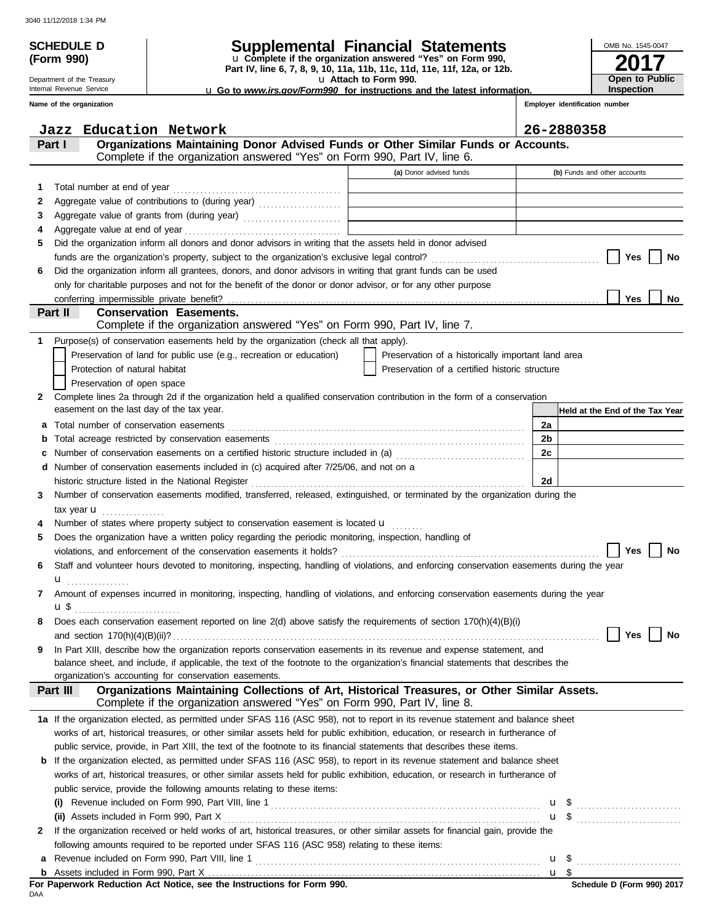|            | <b>SCHEDULE D</b>                                      |                                                                                                                                                                                                                                |                                                                                                          | OMB No. 1545-0047               |
|------------|--------------------------------------------------------|--------------------------------------------------------------------------------------------------------------------------------------------------------------------------------------------------------------------------------|----------------------------------------------------------------------------------------------------------|---------------------------------|
| (Form 990) |                                                        |                                                                                                                                                                                                                                | Supplemental Financial Statements<br>u Complete if the organization answered "Yes" on Form 990,          |                                 |
|            |                                                        |                                                                                                                                                                                                                                | Part IV, line 6, 7, 8, 9, 10, 11a, 11b, 11c, 11d, 11e, 11f, 12a, or 12b.                                 |                                 |
|            | Department of the Treasury<br>Internal Revenue Service |                                                                                                                                                                                                                                | u Attach to Form 990.<br><b>u</b> Go to www.irs.gov/Form990 for instructions and the latest information. | Open to Public<br>Inspection    |
|            | Name of the organization                               |                                                                                                                                                                                                                                |                                                                                                          | Employer identification number  |
| Jazz       |                                                        | Education Network                                                                                                                                                                                                              |                                                                                                          | 26-2880358                      |
| Part I     |                                                        | Organizations Maintaining Donor Advised Funds or Other Similar Funds or Accounts.                                                                                                                                              |                                                                                                          |                                 |
|            |                                                        | Complete if the organization answered "Yes" on Form 990, Part IV, line 6.                                                                                                                                                      |                                                                                                          |                                 |
|            |                                                        |                                                                                                                                                                                                                                | (a) Donor advised funds                                                                                  | (b) Funds and other accounts    |
| 1          |                                                        |                                                                                                                                                                                                                                |                                                                                                          |                                 |
| 2          |                                                        |                                                                                                                                                                                                                                |                                                                                                          |                                 |
| 3          |                                                        | Aggregate value of grants from (during year)                                                                                                                                                                                   | <u> 1989 - Johann Stein, mars an de Frankryk († 1958)</u>                                                |                                 |
| 4<br>5     |                                                        | Did the organization inform all donors and donor advisors in writing that the assets held in donor advised                                                                                                                     |                                                                                                          |                                 |
|            |                                                        |                                                                                                                                                                                                                                |                                                                                                          | Yes<br>No                       |
| 6          |                                                        | Did the organization inform all grantees, donors, and donor advisors in writing that grant funds can be used                                                                                                                   |                                                                                                          |                                 |
|            |                                                        | only for charitable purposes and not for the benefit of the donor or donor advisor, or for any other purpose                                                                                                                   |                                                                                                          |                                 |
|            |                                                        |                                                                                                                                                                                                                                |                                                                                                          | Yes<br>No                       |
| Part II    |                                                        | <b>Conservation Easements.</b>                                                                                                                                                                                                 |                                                                                                          |                                 |
|            |                                                        | Complete if the organization answered "Yes" on Form 990, Part IV, line 7.                                                                                                                                                      |                                                                                                          |                                 |
| 1          |                                                        | Purpose(s) of conservation easements held by the organization (check all that apply).                                                                                                                                          |                                                                                                          |                                 |
|            |                                                        | Preservation of land for public use (e.g., recreation or education)                                                                                                                                                            | Preservation of a historically important land area                                                       |                                 |
|            | Protection of natural habitat                          |                                                                                                                                                                                                                                | Preservation of a certified historic structure                                                           |                                 |
|            | Preservation of open space                             |                                                                                                                                                                                                                                |                                                                                                          |                                 |
| 2          | easement on the last day of the tax year.              | Complete lines 2a through 2d if the organization held a qualified conservation contribution in the form of a conservation                                                                                                      |                                                                                                          | Held at the End of the Tax Year |
| а          |                                                        |                                                                                                                                                                                                                                |                                                                                                          | 2a                              |
|            |                                                        |                                                                                                                                                                                                                                |                                                                                                          | 2b                              |
|            |                                                        | Number of conservation easements on a certified historic structure included in (a) [[[[[[[[[[[[[[[[[[[[[[[[]]]]]]]                                                                                                             |                                                                                                          | 2c                              |
| d          |                                                        | Number of conservation easements included in (c) acquired after 7/25/06, and not on a                                                                                                                                          |                                                                                                          |                                 |
|            |                                                        | historic structure listed in the National Register [111] Allen Contains and Allen Contains and Allen Contains and Allen Contains and Allen Contains and Allen Contains and Allen Contains and Allen Contains and Allen Contain |                                                                                                          | 2d                              |
| 3          |                                                        | Number of conservation easements modified, transferred, released, extinguished, or terminated by the organization during the                                                                                                   |                                                                                                          |                                 |
|            | tax year $\mathbf{u}$                                  |                                                                                                                                                                                                                                |                                                                                                          |                                 |
|            |                                                        | Number of states where property subject to conservation easement is located <b>u</b>                                                                                                                                           |                                                                                                          |                                 |
| 5          |                                                        | Does the organization have a written policy regarding the periodic monitoring, inspection, handling of                                                                                                                         |                                                                                                          |                                 |
|            |                                                        |                                                                                                                                                                                                                                |                                                                                                          | Yes $ $<br>No                   |
| 6          |                                                        | Staff and volunteer hours devoted to monitoring, inspecting, handling of violations, and enforcing conservation easements during the year                                                                                      |                                                                                                          |                                 |
|            | <b>u</b>                                               | Amount of expenses incurred in monitoring, inspecting, handling of violations, and enforcing conservation easements during the year                                                                                            |                                                                                                          |                                 |
| 7          |                                                        |                                                                                                                                                                                                                                |                                                                                                          |                                 |
| 8          |                                                        | Does each conservation easement reported on line 2(d) above satisfy the requirements of section 170(h)(4)(B)(i)                                                                                                                |                                                                                                          |                                 |
|            |                                                        |                                                                                                                                                                                                                                |                                                                                                          | Yes<br>No                       |
| 9          |                                                        | In Part XIII, describe how the organization reports conservation easements in its revenue and expense statement, and                                                                                                           |                                                                                                          |                                 |
|            |                                                        | balance sheet, and include, if applicable, the text of the footnote to the organization's financial statements that describes the                                                                                              |                                                                                                          |                                 |
|            |                                                        | organization's accounting for conservation easements.                                                                                                                                                                          |                                                                                                          |                                 |
| Part III   |                                                        | Organizations Maintaining Collections of Art, Historical Treasures, or Other Similar Assets.<br>Complete if the organization answered "Yes" on Form 990, Part IV, line 8.                                                      |                                                                                                          |                                 |
|            |                                                        | 1a If the organization elected, as permitted under SFAS 116 (ASC 958), not to report in its revenue statement and balance sheet                                                                                                |                                                                                                          |                                 |
|            |                                                        | works of art, historical treasures, or other similar assets held for public exhibition, education, or research in furtherance of                                                                                               |                                                                                                          |                                 |
|            |                                                        | public service, provide, in Part XIII, the text of the footnote to its financial statements that describes these items.                                                                                                        |                                                                                                          |                                 |
|            |                                                        | <b>b</b> If the organization elected, as permitted under SFAS 116 (ASC 958), to report in its revenue statement and balance sheet                                                                                              |                                                                                                          |                                 |
|            |                                                        | works of art, historical treasures, or other similar assets held for public exhibition, education, or research in furtherance of                                                                                               |                                                                                                          |                                 |
|            |                                                        | public service, provide the following amounts relating to these items:                                                                                                                                                         |                                                                                                          |                                 |
|            |                                                        |                                                                                                                                                                                                                                |                                                                                                          | $\mathbf{u}$ \$                 |
|            |                                                        |                                                                                                                                                                                                                                |                                                                                                          |                                 |
| 2          |                                                        | If the organization received or held works of art, historical treasures, or other similar assets for financial gain, provide the                                                                                               |                                                                                                          |                                 |
|            |                                                        | following amounts required to be reported under SFAS 116 (ASC 958) relating to these items:                                                                                                                                    |                                                                                                          |                                 |
| а          |                                                        |                                                                                                                                                                                                                                |                                                                                                          |                                 |
|            |                                                        |                                                                                                                                                                                                                                |                                                                                                          |                                 |

| For Paperwork Reduction Act Notice, see the Instructions for Form 990. |  |  |  |  |
|------------------------------------------------------------------------|--|--|--|--|
| DAA                                                                    |  |  |  |  |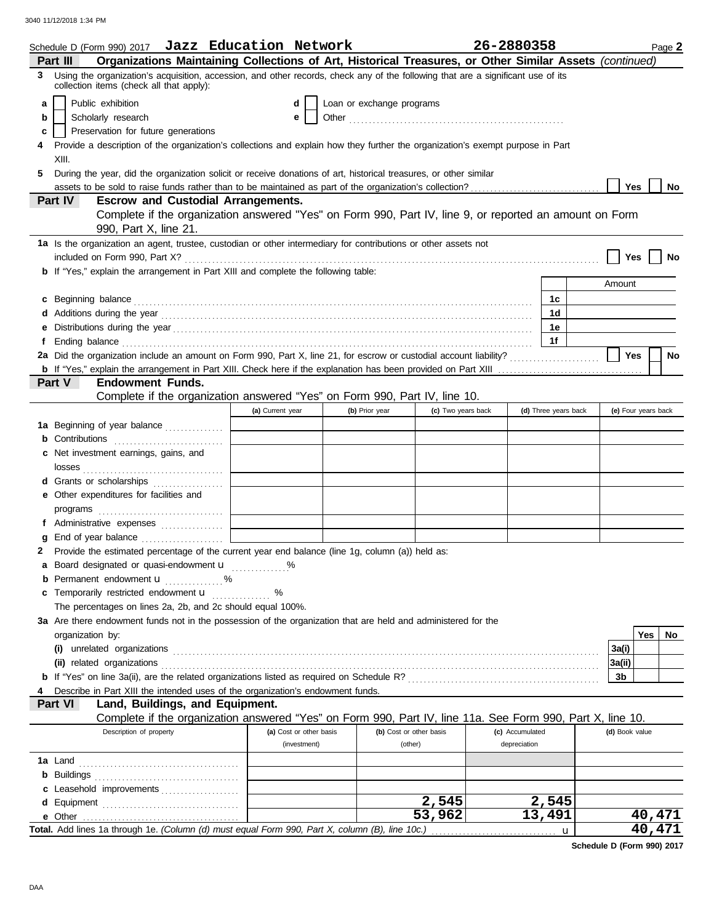|          | Schedule D (Form 990) 2017 <b>Jazz Education Network</b>                                                                                                                                                                             |                         |                           |                         | 26-2880358      |                      |                | Page 2              |
|----------|--------------------------------------------------------------------------------------------------------------------------------------------------------------------------------------------------------------------------------------|-------------------------|---------------------------|-------------------------|-----------------|----------------------|----------------|---------------------|
| Part III | Organizations Maintaining Collections of Art, Historical Treasures, or Other Similar Assets (continued)                                                                                                                              |                         |                           |                         |                 |                      |                |                     |
| 3        | Using the organization's acquisition, accession, and other records, check any of the following that are a significant use of its<br>collection items (check all that apply):                                                         |                         |                           |                         |                 |                      |                |                     |
| a        | Public exhibition                                                                                                                                                                                                                    | d                       | Loan or exchange programs |                         |                 |                      |                |                     |
| b        | Scholarly research                                                                                                                                                                                                                   | е                       |                           |                         |                 |                      |                |                     |
| с        | Preservation for future generations                                                                                                                                                                                                  |                         |                           |                         |                 |                      |                |                     |
|          | Provide a description of the organization's collections and explain how they further the organization's exempt purpose in Part                                                                                                       |                         |                           |                         |                 |                      |                |                     |
|          | XIII.                                                                                                                                                                                                                                |                         |                           |                         |                 |                      |                |                     |
| 5        | During the year, did the organization solicit or receive donations of art, historical treasures, or other similar                                                                                                                    |                         |                           |                         |                 |                      |                |                     |
|          |                                                                                                                                                                                                                                      |                         |                           |                         |                 |                      | Yes            | No                  |
| Part IV  | <b>Escrow and Custodial Arrangements.</b>                                                                                                                                                                                            |                         |                           |                         |                 |                      |                |                     |
|          | Complete if the organization answered "Yes" on Form 990, Part IV, line 9, or reported an amount on Form<br>990, Part X, line 21.                                                                                                     |                         |                           |                         |                 |                      |                |                     |
|          | 1a Is the organization an agent, trustee, custodian or other intermediary for contributions or other assets not                                                                                                                      |                         |                           |                         |                 |                      |                |                     |
|          |                                                                                                                                                                                                                                      |                         |                           |                         |                 |                      | Yes            | No                  |
|          | b If "Yes," explain the arrangement in Part XIII and complete the following table:                                                                                                                                                   |                         |                           |                         |                 |                      |                |                     |
|          |                                                                                                                                                                                                                                      |                         |                           |                         |                 |                      | Amount         |                     |
|          | c Beginning balance <b>contract the contract of the contract of the contract of the contract of the contract of the contract of the contract of the contract of the contract of the contract of the contract of the contract of </b> |                         |                           |                         |                 | 1c                   |                |                     |
|          |                                                                                                                                                                                                                                      |                         |                           |                         |                 | 1d                   |                |                     |
| е        | Distributions during the year manufactured and contact the year manufactured and properties are all the year manufactured and all the year manufactured and all the year manufactured and all the year manufactured and all th       |                         |                           |                         |                 | 1е                   |                |                     |
| f        |                                                                                                                                                                                                                                      |                         |                           |                         |                 | 1f                   |                |                     |
|          |                                                                                                                                                                                                                                      |                         |                           |                         |                 |                      | Yes            | <b>No</b>           |
|          |                                                                                                                                                                                                                                      |                         |                           |                         |                 |                      |                |                     |
| Part V   | <b>Endowment Funds.</b>                                                                                                                                                                                                              |                         |                           |                         |                 |                      |                |                     |
|          | Complete if the organization answered "Yes" on Form 990, Part IV, line 10.                                                                                                                                                           |                         |                           |                         |                 |                      |                |                     |
|          |                                                                                                                                                                                                                                      | (a) Current year        | (b) Prior year            | (c) Two years back      |                 | (d) Three years back |                | (e) Four years back |
|          | 1a Beginning of year balance                                                                                                                                                                                                         |                         |                           |                         |                 |                      |                |                     |
|          | <b>b</b> Contributions <b>contributions</b>                                                                                                                                                                                          |                         |                           |                         |                 |                      |                |                     |
|          | c Net investment earnings, gains, and                                                                                                                                                                                                |                         |                           |                         |                 |                      |                |                     |
|          |                                                                                                                                                                                                                                      |                         |                           |                         |                 |                      |                |                     |
|          | d Grants or scholarships                                                                                                                                                                                                             |                         |                           |                         |                 |                      |                |                     |
|          | e Other expenditures for facilities and                                                                                                                                                                                              |                         |                           |                         |                 |                      |                |                     |
|          |                                                                                                                                                                                                                                      |                         |                           |                         |                 |                      |                |                     |
|          | f Administrative expenses                                                                                                                                                                                                            |                         |                           |                         |                 |                      |                |                     |
| a        | 2 Provide the estimated percentage of the current year end balance (line 1g, column (a)) held as:                                                                                                                                    |                         |                           |                         |                 |                      |                |                     |
|          | a Board designated or quasi-endowment <b>u</b> %                                                                                                                                                                                     |                         |                           |                         |                 |                      |                |                     |
| b        | Permanent endowment <b>u</b>                                                                                                                                                                                                         |                         |                           |                         |                 |                      |                |                     |
| c        | Temporarily restricted endowment <b>u</b>                                                                                                                                                                                            | %                       |                           |                         |                 |                      |                |                     |
|          | The percentages on lines 2a, 2b, and 2c should equal 100%.                                                                                                                                                                           |                         |                           |                         |                 |                      |                |                     |
|          | 3a Are there endowment funds not in the possession of the organization that are held and administered for the                                                                                                                        |                         |                           |                         |                 |                      |                |                     |
|          | organization by:                                                                                                                                                                                                                     |                         |                           |                         |                 |                      |                | Yes<br>No           |
|          |                                                                                                                                                                                                                                      |                         |                           |                         |                 |                      | 3a(i)          |                     |
|          |                                                                                                                                                                                                                                      |                         |                           |                         |                 |                      | 3a(ii)         |                     |
|          |                                                                                                                                                                                                                                      |                         |                           |                         |                 |                      | 3b             |                     |
|          | Describe in Part XIII the intended uses of the organization's endowment funds.                                                                                                                                                       |                         |                           |                         |                 |                      |                |                     |
| Part VI  | Land, Buildings, and Equipment.                                                                                                                                                                                                      |                         |                           |                         |                 |                      |                |                     |
|          | Complete if the organization answered "Yes" on Form 990, Part IV, line 11a. See Form 990, Part X, line 10.                                                                                                                           |                         |                           |                         |                 |                      |                |                     |
|          | Description of property                                                                                                                                                                                                              | (a) Cost or other basis |                           | (b) Cost or other basis | (c) Accumulated |                      | (d) Book value |                     |
|          |                                                                                                                                                                                                                                      | (investment)            |                           | (other)                 | depreciation    |                      |                |                     |
|          |                                                                                                                                                                                                                                      |                         |                           |                         |                 |                      |                |                     |
|          |                                                                                                                                                                                                                                      |                         |                           |                         |                 |                      |                |                     |
|          | c Leasehold improvements                                                                                                                                                                                                             |                         |                           |                         |                 |                      |                |                     |
|          |                                                                                                                                                                                                                                      |                         |                           | 2,545                   |                 | 2,545                |                |                     |
|          |                                                                                                                                                                                                                                      |                         |                           | 53,962                  |                 | 13,491               |                | 40,471              |
|          | Total. Add lines 1a through 1e. (Column (d) must equal Form 990, Part X, column (B), line 10c.)                                                                                                                                      |                         |                           |                         |                 | u                    |                | 40,471              |

**Schedule D (Form 990) 2017**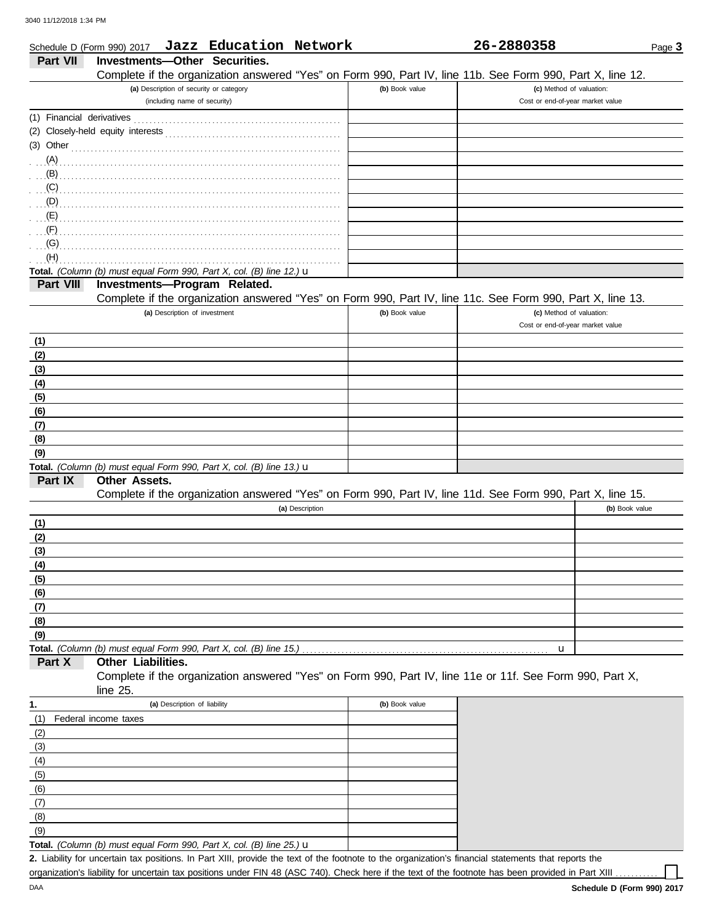|                           | Schedule D (Form 990) 2017 Jazz Education Network                                                          |                | 26-2880358                       | Page 3         |
|---------------------------|------------------------------------------------------------------------------------------------------------|----------------|----------------------------------|----------------|
| Part VII                  | <b>Investments-Other Securities.</b>                                                                       |                |                                  |                |
|                           | Complete if the organization answered "Yes" on Form 990, Part IV, line 11b. See Form 990, Part X, line 12. |                |                                  |                |
|                           | (a) Description of security or category                                                                    | (b) Book value | (c) Method of valuation:         |                |
|                           | (including name of security)                                                                               |                | Cost or end-of-year market value |                |
| (1) Financial derivatives |                                                                                                            |                |                                  |                |
|                           |                                                                                                            |                |                                  |                |
| $(3)$ Other               |                                                                                                            |                |                                  |                |
| (A)                       |                                                                                                            |                |                                  |                |
| (B)                       |                                                                                                            |                |                                  |                |
| (C)                       |                                                                                                            |                |                                  |                |
| (D)                       |                                                                                                            |                |                                  |                |
| (E)                       |                                                                                                            |                |                                  |                |
| (F)                       |                                                                                                            |                |                                  |                |
| (G)                       |                                                                                                            |                |                                  |                |
| (H)                       |                                                                                                            |                |                                  |                |
|                           | Total. (Column (b) must equal Form 990, Part X, col. (B) line 12.) $\mathbf u$                             |                |                                  |                |
| Part VIII                 | Investments-Program Related.                                                                               |                |                                  |                |
|                           | Complete if the organization answered "Yes" on Form 990, Part IV, line 11c. See Form 990, Part X, line 13. |                |                                  |                |
|                           | (a) Description of investment                                                                              | (b) Book value | (c) Method of valuation:         |                |
|                           |                                                                                                            |                | Cost or end-of-year market value |                |
| (1)                       |                                                                                                            |                |                                  |                |
| (2)                       |                                                                                                            |                |                                  |                |
| (3)                       |                                                                                                            |                |                                  |                |
| (4)                       |                                                                                                            |                |                                  |                |
| (5)                       |                                                                                                            |                |                                  |                |
| (6)                       |                                                                                                            |                |                                  |                |
| (7)                       |                                                                                                            |                |                                  |                |
| (8)                       |                                                                                                            |                |                                  |                |
| (9)                       |                                                                                                            |                |                                  |                |
|                           | Total. (Column (b) must equal Form 990, Part X, col. (B) line 13.) u                                       |                |                                  |                |
| Part IX                   | <b>Other Assets.</b>                                                                                       |                |                                  |                |
|                           | Complete if the organization answered "Yes" on Form 990, Part IV, line 11d. See Form 990, Part X, line 15. |                |                                  |                |
|                           | (a) Description                                                                                            |                |                                  | (b) Book value |
| (1)                       |                                                                                                            |                |                                  |                |
| (2)                       |                                                                                                            |                |                                  |                |
| (3)                       |                                                                                                            |                |                                  |                |
| (4)                       |                                                                                                            |                |                                  |                |
| (5)                       |                                                                                                            |                |                                  |                |
| (6)                       |                                                                                                            |                |                                  |                |
| (7)                       |                                                                                                            |                |                                  |                |
| (8)                       |                                                                                                            |                |                                  |                |
| (9)                       |                                                                                                            |                |                                  |                |
|                           | Total. (Column (b) must equal Form 990, Part X, col. (B) line 15.)                                         |                | u                                |                |
| Part X                    | Other Liabilities.                                                                                         |                |                                  |                |
|                           | Complete if the organization answered "Yes" on Form 990, Part IV, line 11e or 11f. See Form 990, Part X,   |                |                                  |                |
|                           | line 25.                                                                                                   |                |                                  |                |
| 1.                        | (a) Description of liability                                                                               | (b) Book value |                                  |                |
| (1)                       | Federal income taxes                                                                                       |                |                                  |                |
| (2)                       |                                                                                                            |                |                                  |                |
| (3)                       |                                                                                                            |                |                                  |                |
| (4)                       |                                                                                                            |                |                                  |                |
| (5)                       |                                                                                                            |                |                                  |                |
| (6)                       |                                                                                                            |                |                                  |                |
| (7)                       |                                                                                                            |                |                                  |                |
| (8)                       |                                                                                                            |                |                                  |                |

**Total.** *(Column (b) must equal Form 990, Part X, col. (B) line 25.)* u

Liability for uncertain tax positions. In Part XIII, provide the text of the footnote to the organization's financial statements that reports the **2.** organization's liability for uncertain tax positions under FIN 48 (ASC 740). Check here if the text of the footnote has been provided in Part XIII

 $(9)$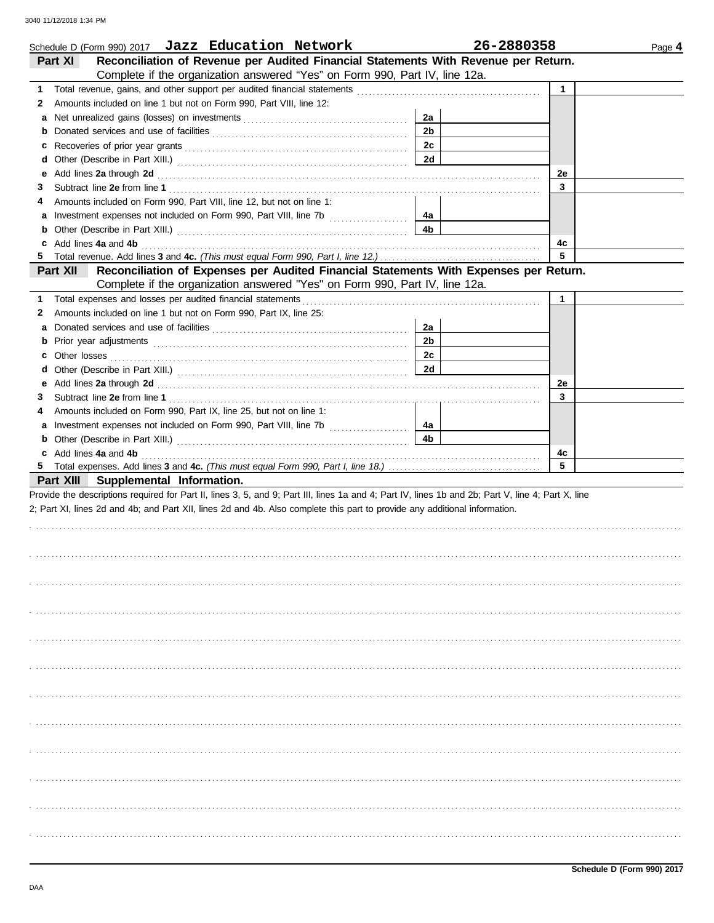|    | Schedule D (Form 990) 2017 Jazz Education Network                                                                                                                                                                              |                      | 26-2880358   | Page 4 |
|----|--------------------------------------------------------------------------------------------------------------------------------------------------------------------------------------------------------------------------------|----------------------|--------------|--------|
|    | Reconciliation of Revenue per Audited Financial Statements With Revenue per Return.<br>Part XI                                                                                                                                 |                      |              |        |
|    | Complete if the organization answered "Yes" on Form 990, Part IV, line 12a.                                                                                                                                                    |                      |              |        |
| 1. |                                                                                                                                                                                                                                |                      | $\mathbf{1}$ |        |
| 2  | Amounts included on line 1 but not on Form 990, Part VIII, line 12:                                                                                                                                                            |                      |              |        |
| а  |                                                                                                                                                                                                                                | 2a                   |              |        |
| b  |                                                                                                                                                                                                                                | 2 <sub>b</sub>       |              |        |
| c  |                                                                                                                                                                                                                                | 2c                   |              |        |
| d  |                                                                                                                                                                                                                                | 2d                   |              |        |
| е  | Add lines 2a through 2d [11] Add [12] Add [12] Add lines 2a through 2d [12] Add lines 2a through 2d [12] Add [12] Add [12] Add [12] Add [12] Add [12] Add [12] Add [12] Add [12] Add [12] Add [12] Add [12] Add [12] Add [12]  |                      | 2e           |        |
| З  |                                                                                                                                                                                                                                |                      | 3            |        |
| 4  | Amounts included on Form 990, Part VIII, line 12, but not on line 1:                                                                                                                                                           |                      |              |        |
| a  |                                                                                                                                                                                                                                | 4a                   |              |        |
| b  |                                                                                                                                                                                                                                | 4b                   |              |        |
| c  | Add lines 4a and 4b                                                                                                                                                                                                            |                      | 4c           |        |
| 5. |                                                                                                                                                                                                                                |                      | 5            |        |
|    | Part XII<br>Reconciliation of Expenses per Audited Financial Statements With Expenses per Return.                                                                                                                              |                      |              |        |
|    | Complete if the organization answered "Yes" on Form 990, Part IV, line 12a.                                                                                                                                                    |                      |              |        |
| 1  | Total expenses and losses per audited financial statements                                                                                                                                                                     |                      | $\mathbf{1}$ |        |
| 2  | Amounts included on line 1 but not on Form 990, Part IX, line 25:                                                                                                                                                              |                      |              |        |
|    |                                                                                                                                                                                                                                |                      |              |        |
| а  |                                                                                                                                                                                                                                | 2a<br>2 <sub>b</sub> |              |        |
| b  |                                                                                                                                                                                                                                |                      |              |        |
| c. |                                                                                                                                                                                                                                | 2c                   |              |        |
| d  |                                                                                                                                                                                                                                | 2d                   |              |        |
| е  | Add lines 2a through 2d [11] Additional Contract of Additional Contract of Additional Contract of Additional Contract of Additional Contract of Additional Contract of Additional Contract of Additional Contract of Additiona |                      | 2e           |        |
| 3  |                                                                                                                                                                                                                                |                      | 3            |        |
| 4  | Amounts included on Form 990, Part IX, line 25, but not on line 1:                                                                                                                                                             |                      |              |        |
| a  |                                                                                                                                                                                                                                | 4a                   |              |        |
| b  |                                                                                                                                                                                                                                | 4 <sub>b</sub>       |              |        |
|    | c Add lines 4a and 4b                                                                                                                                                                                                          |                      | 4с           |        |
|    |                                                                                                                                                                                                                                |                      | 5            |        |
|    | Part XIII Supplemental Information.                                                                                                                                                                                            |                      |              |        |
|    | Provide the descriptions required for Part II, lines 3, 5, and 9; Part III, lines 1a and 4; Part IV, lines 1b and 2b; Part V, line 4; Part X, line                                                                             |                      |              |        |
|    | 2; Part XI, lines 2d and 4b; and Part XII, lines 2d and 4b. Also complete this part to provide any additional information.                                                                                                     |                      |              |        |
|    |                                                                                                                                                                                                                                |                      |              |        |
|    |                                                                                                                                                                                                                                |                      |              |        |
|    |                                                                                                                                                                                                                                |                      |              |        |
|    |                                                                                                                                                                                                                                |                      |              |        |
|    |                                                                                                                                                                                                                                |                      |              |        |
|    |                                                                                                                                                                                                                                |                      |              |        |
|    |                                                                                                                                                                                                                                |                      |              |        |
|    |                                                                                                                                                                                                                                |                      |              |        |
|    |                                                                                                                                                                                                                                |                      |              |        |
|    |                                                                                                                                                                                                                                |                      |              |        |
|    |                                                                                                                                                                                                                                |                      |              |        |
|    |                                                                                                                                                                                                                                |                      |              |        |
|    |                                                                                                                                                                                                                                |                      |              |        |
|    |                                                                                                                                                                                                                                |                      |              |        |
|    |                                                                                                                                                                                                                                |                      |              |        |
|    |                                                                                                                                                                                                                                |                      |              |        |
|    |                                                                                                                                                                                                                                |                      |              |        |
|    |                                                                                                                                                                                                                                |                      |              |        |
|    |                                                                                                                                                                                                                                |                      |              |        |
|    |                                                                                                                                                                                                                                |                      |              |        |
|    |                                                                                                                                                                                                                                |                      |              |        |
|    |                                                                                                                                                                                                                                |                      |              |        |
|    |                                                                                                                                                                                                                                |                      |              |        |
|    |                                                                                                                                                                                                                                |                      |              |        |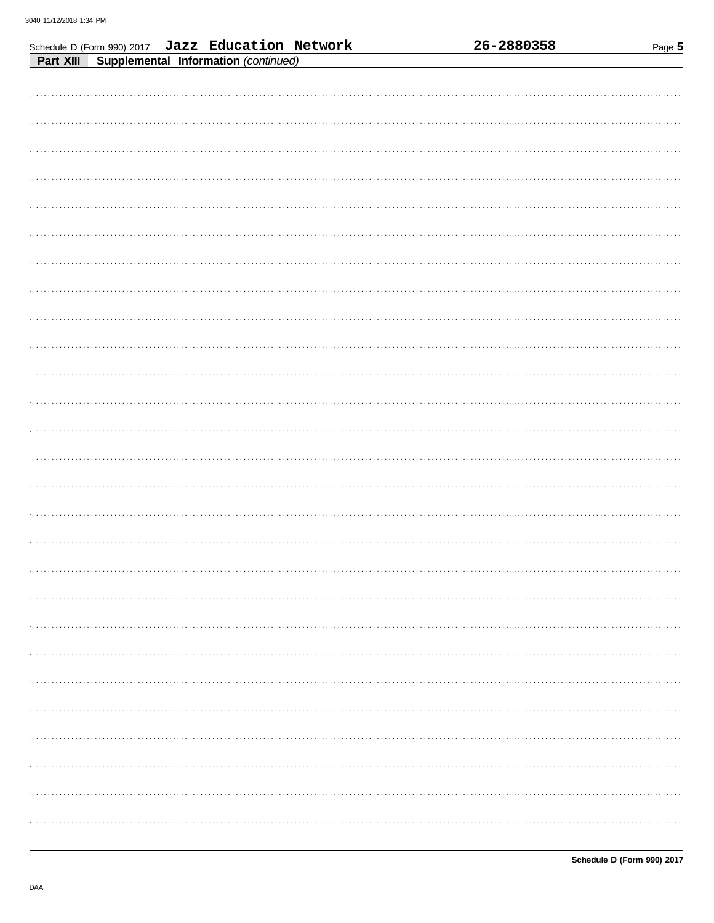|           | Schedule D (Form 990) 2017 Jazz Education Network |  |  | 26-2880358 | Page 5 |
|-----------|---------------------------------------------------|--|--|------------|--------|
| Part XIII | Supplemental Information (continued)              |  |  |            |        |
|           |                                                   |  |  |            |        |
|           |                                                   |  |  |            |        |
|           |                                                   |  |  |            |        |
|           |                                                   |  |  |            |        |
|           |                                                   |  |  |            |        |
|           |                                                   |  |  |            |        |
|           |                                                   |  |  |            |        |
|           |                                                   |  |  |            |        |
|           |                                                   |  |  |            |        |
|           |                                                   |  |  |            |        |
|           |                                                   |  |  |            |        |
|           |                                                   |  |  |            |        |
|           |                                                   |  |  |            |        |
|           |                                                   |  |  |            |        |
|           |                                                   |  |  |            |        |
|           |                                                   |  |  |            |        |
|           |                                                   |  |  |            |        |
|           |                                                   |  |  |            |        |
|           |                                                   |  |  |            |        |
|           |                                                   |  |  |            |        |
|           |                                                   |  |  |            |        |
|           |                                                   |  |  |            |        |
|           |                                                   |  |  |            |        |
|           |                                                   |  |  |            |        |
|           |                                                   |  |  |            |        |
|           |                                                   |  |  |            |        |
|           |                                                   |  |  |            |        |
|           |                                                   |  |  |            |        |
|           |                                                   |  |  |            |        |
|           |                                                   |  |  |            |        |
|           |                                                   |  |  |            |        |
|           |                                                   |  |  |            |        |
|           |                                                   |  |  |            |        |
|           |                                                   |  |  |            |        |
|           |                                                   |  |  |            |        |
|           |                                                   |  |  |            |        |
|           |                                                   |  |  |            |        |
|           |                                                   |  |  |            |        |
|           |                                                   |  |  |            |        |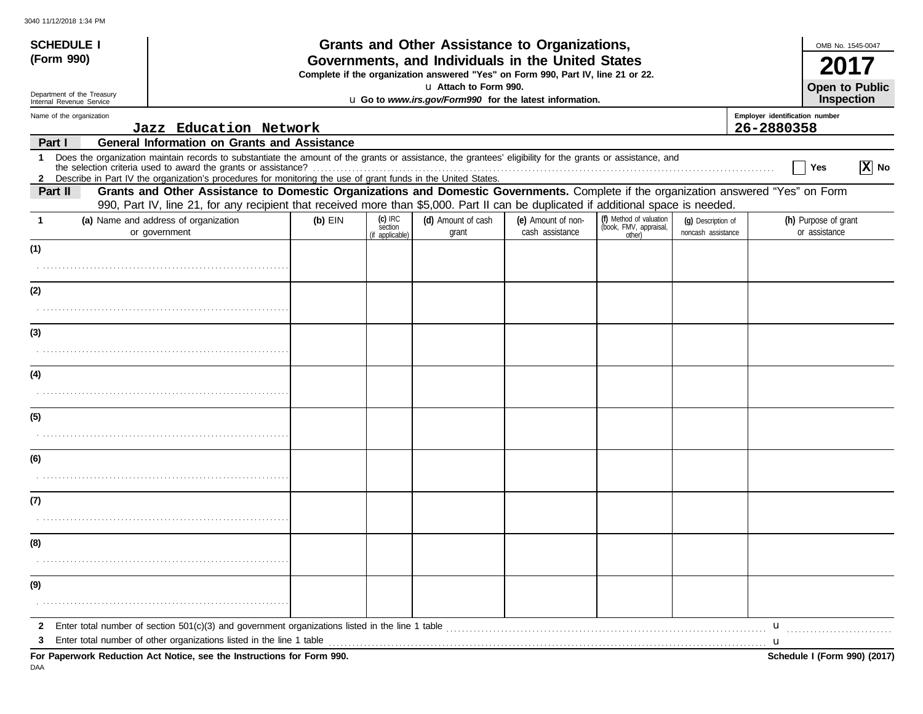| <b>SCHEDULE I</b>                                                                                               |                                                                                                                                                                                                                                                                           |           |                                       | Grants and Other Assistance to Organizations,                                                                                         |                                       |                                                             |                                          |              | OMB No. 1545-0047                            |          |  |
|-----------------------------------------------------------------------------------------------------------------|---------------------------------------------------------------------------------------------------------------------------------------------------------------------------------------------------------------------------------------------------------------------------|-----------|---------------------------------------|---------------------------------------------------------------------------------------------------------------------------------------|---------------------------------------|-------------------------------------------------------------|------------------------------------------|--------------|----------------------------------------------|----------|--|
| (Form 990)                                                                                                      |                                                                                                                                                                                                                                                                           |           |                                       | Governments, and Individuals in the United States<br>Complete if the organization answered "Yes" on Form 990, Part IV, line 21 or 22. |                                       |                                                             |                                          |              |                                              |          |  |
| Department of the Treasury                                                                                      |                                                                                                                                                                                                                                                                           |           |                                       | La Attach to Form 990.                                                                                                                |                                       |                                                             |                                          |              | <b>Open to Public</b>                        |          |  |
| u Go to www.irs.gov/Form990 for the latest information.<br>Internal Revenue Service<br>Name of the organization |                                                                                                                                                                                                                                                                           |           |                                       |                                                                                                                                       |                                       |                                                             |                                          |              | Inspection<br>Employer identification number |          |  |
|                                                                                                                 | Jazz Education Network                                                                                                                                                                                                                                                    |           |                                       |                                                                                                                                       |                                       |                                                             |                                          | 26-2880358   |                                              |          |  |
| Part I<br>$\mathbf{1}$                                                                                          | <b>General Information on Grants and Assistance</b><br>Does the organization maintain records to substantiate the amount of the grants or assistance, the grantees' eligibility for the grants or assistance, and                                                         |           |                                       |                                                                                                                                       |                                       |                                                             |                                          |              |                                              |          |  |
|                                                                                                                 | 2 Describe in Part IV the organization's procedures for monitoring the use of grant funds in the United States.                                                                                                                                                           |           |                                       |                                                                                                                                       |                                       |                                                             |                                          |              | Yes                                          | $ X $ No |  |
| Part II                                                                                                         | Grants and Other Assistance to Domestic Organizations and Domestic Governments. Complete if the organization answered "Yes" on Form<br>990, Part IV, line 21, for any recipient that received more than \$5,000. Part II can be duplicated if additional space is needed. |           |                                       |                                                                                                                                       |                                       |                                                             |                                          |              |                                              |          |  |
| -1                                                                                                              | (a) Name and address of organization<br>or government                                                                                                                                                                                                                     | $(b)$ EIN | (c) IRC<br>section<br>(if applicable) | (d) Amount of cash<br>grant                                                                                                           | (e) Amount of non-<br>cash assistance | (f) Method of valuation<br>(book, FMV, appraisal,<br>other) | (q) Description of<br>noncash assistance |              | (h) Purpose of grant<br>or assistance        |          |  |
| (1)                                                                                                             |                                                                                                                                                                                                                                                                           |           |                                       |                                                                                                                                       |                                       |                                                             |                                          |              |                                              |          |  |
|                                                                                                                 |                                                                                                                                                                                                                                                                           |           |                                       |                                                                                                                                       |                                       |                                                             |                                          |              |                                              |          |  |
| (2)                                                                                                             |                                                                                                                                                                                                                                                                           |           |                                       |                                                                                                                                       |                                       |                                                             |                                          |              |                                              |          |  |
|                                                                                                                 |                                                                                                                                                                                                                                                                           |           |                                       |                                                                                                                                       |                                       |                                                             |                                          |              |                                              |          |  |
| (3)                                                                                                             |                                                                                                                                                                                                                                                                           |           |                                       |                                                                                                                                       |                                       |                                                             |                                          |              |                                              |          |  |
|                                                                                                                 |                                                                                                                                                                                                                                                                           |           |                                       |                                                                                                                                       |                                       |                                                             |                                          |              |                                              |          |  |
| (4)                                                                                                             |                                                                                                                                                                                                                                                                           |           |                                       |                                                                                                                                       |                                       |                                                             |                                          |              |                                              |          |  |
|                                                                                                                 |                                                                                                                                                                                                                                                                           |           |                                       |                                                                                                                                       |                                       |                                                             |                                          |              |                                              |          |  |
| (5)                                                                                                             |                                                                                                                                                                                                                                                                           |           |                                       |                                                                                                                                       |                                       |                                                             |                                          |              |                                              |          |  |
|                                                                                                                 |                                                                                                                                                                                                                                                                           |           |                                       |                                                                                                                                       |                                       |                                                             |                                          |              |                                              |          |  |
| (6)                                                                                                             |                                                                                                                                                                                                                                                                           |           |                                       |                                                                                                                                       |                                       |                                                             |                                          |              |                                              |          |  |
|                                                                                                                 |                                                                                                                                                                                                                                                                           |           |                                       |                                                                                                                                       |                                       |                                                             |                                          |              |                                              |          |  |
| (7)                                                                                                             |                                                                                                                                                                                                                                                                           |           |                                       |                                                                                                                                       |                                       |                                                             |                                          |              |                                              |          |  |
|                                                                                                                 |                                                                                                                                                                                                                                                                           |           |                                       |                                                                                                                                       |                                       |                                                             |                                          |              |                                              |          |  |
| (8)                                                                                                             |                                                                                                                                                                                                                                                                           |           |                                       |                                                                                                                                       |                                       |                                                             |                                          |              |                                              |          |  |
|                                                                                                                 |                                                                                                                                                                                                                                                                           |           |                                       |                                                                                                                                       |                                       |                                                             |                                          |              |                                              |          |  |
| (9)                                                                                                             |                                                                                                                                                                                                                                                                           |           |                                       |                                                                                                                                       |                                       |                                                             |                                          |              |                                              |          |  |
|                                                                                                                 |                                                                                                                                                                                                                                                                           |           |                                       |                                                                                                                                       |                                       |                                                             |                                          |              |                                              |          |  |
| 3                                                                                                               |                                                                                                                                                                                                                                                                           |           |                                       |                                                                                                                                       |                                       |                                                             |                                          | $\mathbf{u}$ |                                              |          |  |
|                                                                                                                 | For Paperwork Reduction Act Notice, see the Instructions for Form 990.                                                                                                                                                                                                    |           |                                       |                                                                                                                                       |                                       |                                                             |                                          |              | Schedule I (Form 990) (2017)                 |          |  |

DAA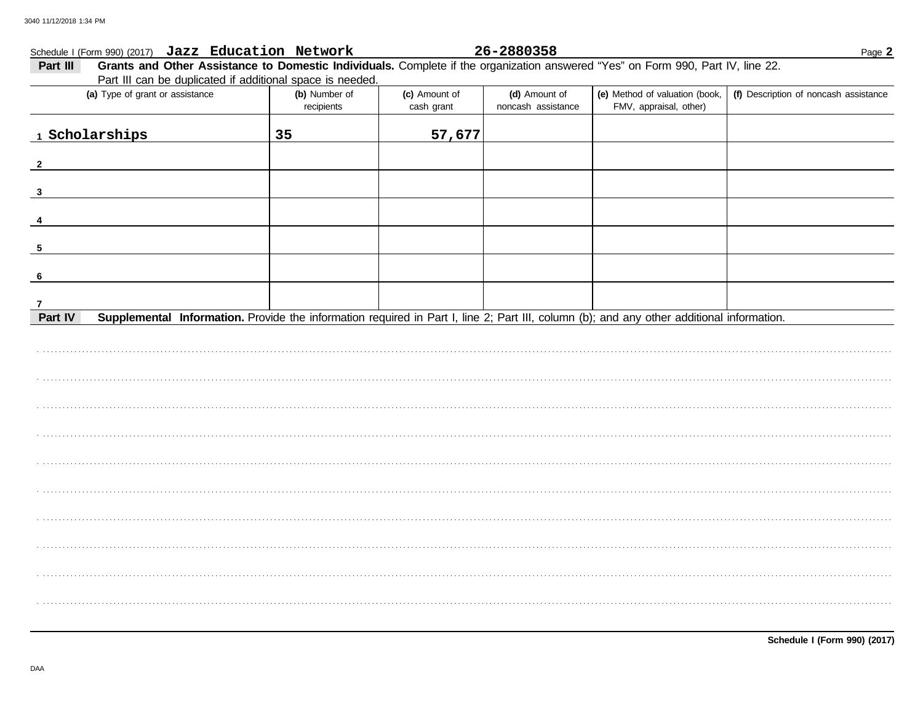## Schedule I (Form 990) (2017) Jazz Education Network

### 26-2880358

Page 2

| Grants and Other Assistance to Domestic Individuals. Complete if the organization answered "Yes" on Form 990, Part IV, line 22.<br>Part III<br>Part III can be duplicated if additional space is needed. |                             |                             |                                     |                                                          |                                       |  |  |  |
|----------------------------------------------------------------------------------------------------------------------------------------------------------------------------------------------------------|-----------------------------|-----------------------------|-------------------------------------|----------------------------------------------------------|---------------------------------------|--|--|--|
| (a) Type of grant or assistance                                                                                                                                                                          | (b) Number of<br>recipients | (c) Amount of<br>cash grant | (d) Amount of<br>noncash assistance | (e) Method of valuation (book,<br>FMV, appraisal, other) | (f) Description of noncash assistance |  |  |  |
| 1 Scholarships                                                                                                                                                                                           | 35                          | 57,677                      |                                     |                                                          |                                       |  |  |  |
| $\mathbf{2}$                                                                                                                                                                                             |                             |                             |                                     |                                                          |                                       |  |  |  |
| $\mathbf{3}$                                                                                                                                                                                             |                             |                             |                                     |                                                          |                                       |  |  |  |
|                                                                                                                                                                                                          |                             |                             |                                     |                                                          |                                       |  |  |  |
| $\sqrt{5}$                                                                                                                                                                                               |                             |                             |                                     |                                                          |                                       |  |  |  |
| 6                                                                                                                                                                                                        |                             |                             |                                     |                                                          |                                       |  |  |  |
| 7<br>Part IV<br>Supplemental Information. Provide the information required in Part I, line 2; Part III, column (b); and any other additional information.                                                |                             |                             |                                     |                                                          |                                       |  |  |  |
|                                                                                                                                                                                                          |                             |                             |                                     |                                                          |                                       |  |  |  |
|                                                                                                                                                                                                          |                             |                             |                                     |                                                          |                                       |  |  |  |
|                                                                                                                                                                                                          |                             |                             |                                     |                                                          |                                       |  |  |  |
|                                                                                                                                                                                                          |                             |                             |                                     |                                                          |                                       |  |  |  |
|                                                                                                                                                                                                          |                             |                             |                                     |                                                          |                                       |  |  |  |
|                                                                                                                                                                                                          |                             |                             |                                     |                                                          |                                       |  |  |  |
|                                                                                                                                                                                                          |                             |                             |                                     |                                                          |                                       |  |  |  |
|                                                                                                                                                                                                          |                             |                             |                                     |                                                          |                                       |  |  |  |
|                                                                                                                                                                                                          |                             |                             |                                     |                                                          |                                       |  |  |  |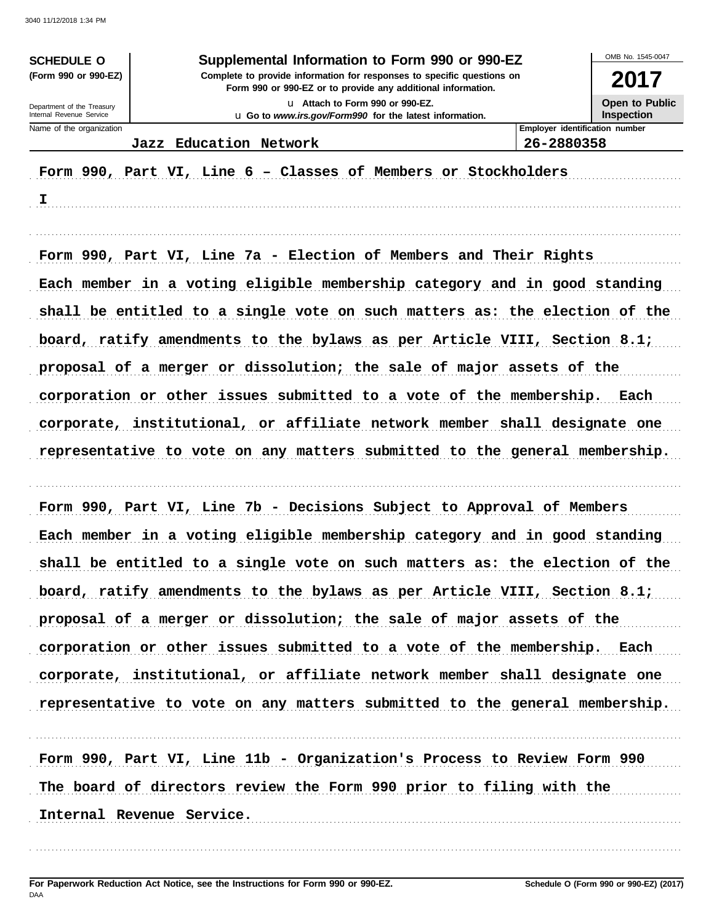| Supplemental Information to Form 990 or 990-EZ<br><b>SCHEDULE O</b>                                                                                            |                                                                                             |                                     |  |  |  |  |
|----------------------------------------------------------------------------------------------------------------------------------------------------------------|---------------------------------------------------------------------------------------------|-------------------------------------|--|--|--|--|
| Complete to provide information for responses to specific questions on<br>(Form 990 or 990-EZ)<br>Form 990 or 990-EZ or to provide any additional information. |                                                                                             |                                     |  |  |  |  |
| Department of the Treasury<br>Internal Revenue Service                                                                                                         | Lu Attach to Form 990 or 990-EZ.<br>u Go to www.irs.gov/Form990 for the latest information. | Open to Public<br><b>Inspection</b> |  |  |  |  |
| Name of the organization                                                                                                                                       |                                                                                             | Employer identification number      |  |  |  |  |
|                                                                                                                                                                | Jazz Education Network                                                                      | 26-2880358                          |  |  |  |  |
|                                                                                                                                                                | Form 990, Part VI, Line 6 - Classes of Members or Stockholders                              |                                     |  |  |  |  |

 $\mathbf{I}$  and  $\mathbf{I}$  and  $\mathbf{I}$  and  $\mathbf{I}$  and  $\mathbf{I}$  and  $\mathbf{I}$  and  $\mathbf{I}$  and  $\mathbf{I}$  and  $\mathbf{I}$  and  $\mathbf{I}$  and  $\mathbf{I}$  and  $\mathbf{I}$  and  $\mathbf{I}$  and  $\mathbf{I}$  and  $\mathbf{I}$  and  $\mathbf{I}$  and  $\mathbf{I}$  and

Form 990, Part VI, Line 7a - Election of Members and Their Rights Each member in a voting eligible membership category and in good standing shall be entitled to a single vote on such matters as: the election of the board, ratify amendments to the bylaws as per Article VIII, Section 8.1; proposal of a merger or dissolution; the sale of major assets of the corporation or other issues submitted to a vote of the membership. Each corporate, institutional, or affiliate network member shall designate one representative to vote on any matters submitted to the general membership.

Form 990, Part VI, Line 7b - Decisions Subject to Approval of Members Each member in a voting eligible membership category and in good standing shall be entitled to a single vote on such matters as: the election of the board, ratify amendments to the bylaws as per Article VIII, Section 8.1; proposal of a merger or dissolution; the sale of major assets of the corporation or other issues submitted to a vote of the membership. Each corporate, institutional, or affiliate network member shall designate one representative to vote on any matters submitted to the general membership.

Form 990, Part VI, Line 11b - Organization's Process to Review Form 990 The board of directors review the Form 990 prior to filing with the Internal Revenue Service.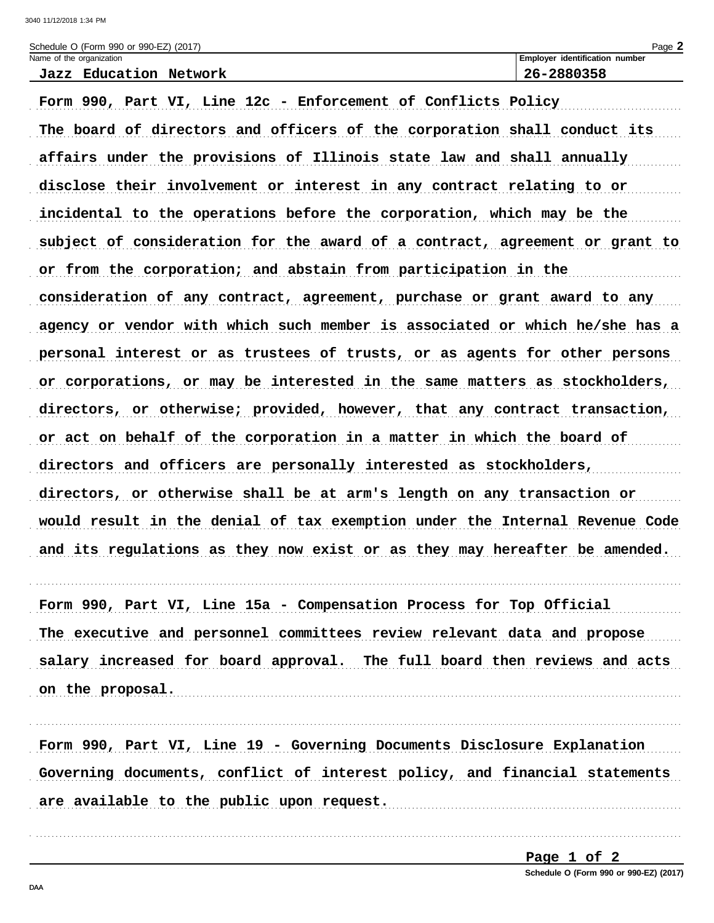| Schedule O (Form 990 or 990-EZ) (2017) |                                |  |  |  |  |  |  |
|----------------------------------------|--------------------------------|--|--|--|--|--|--|
| Name of the organization               | Employer identification number |  |  |  |  |  |  |
| Education Network<br>Jazz              | 26-2880358                     |  |  |  |  |  |  |

Form 990, Part VI, Line 12c - Enforcement of Conflicts Policy The board of directors and officers of the corporation shall conduct its affairs under the provisions of Illinois state law and shall annually disclose their involvement or interest in any contract relating to or incidental to the operations before the corporation, which may be the subject of consideration for the award of a contract, agreement or grant to or from the corporation; and abstain from participation in the consideration of any contract, agreement, purchase or grant award to any agency or vendor with which such member is associated or which he/she has a personal interest or as trustees of trusts, or as agents for other persons or corporations, or may be interested in the same matters as stockholders, directors, or otherwise; provided, however, that any contract transaction, or act on behalf of the corporation in a matter in which the board of directors and officers are personally interested as stockholders, directors, or otherwise shall be at arm's length on any transaction or would result in the denial of tax exemption under the Internal Revenue Code and its regulations as they now exist or as they may hereafter be amended.

Form 990, Part VI, Line 15a - Compensation Process for Top Official The executive and personnel committees review relevant data and propose salary increased for board approval. The full board then reviews and acts on the proposal. 

Form 990, Part VI, Line 19 - Governing Documents Disclosure Explanation Governing documents, conflict of interest policy, and financial statements are available to the public upon request.

> Page 1 of 2 Schedule O (Form 990 or 990-EZ) (2017)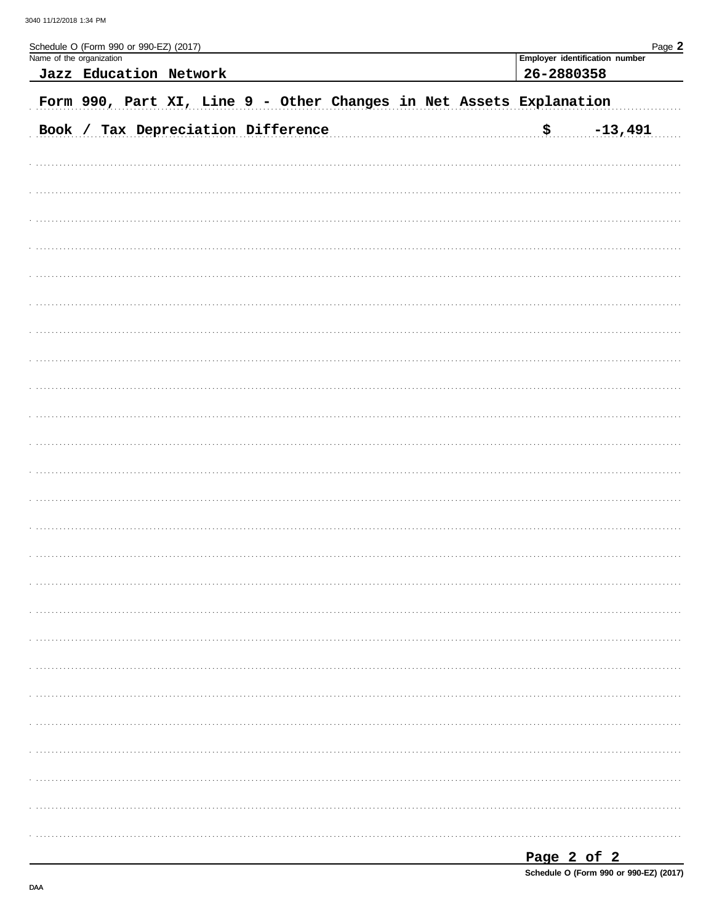| Schedule O (Form 990 or 990-EZ) (2017)<br>Name of the organization | Jazz Education Network |  |                                    |                                                                     |  | 26-2880358 | Employer identification number | Page 2 |
|--------------------------------------------------------------------|------------------------|--|------------------------------------|---------------------------------------------------------------------|--|------------|--------------------------------|--------|
|                                                                    |                        |  |                                    | Form 990, Part XI, Line 9 - Other Changes in Net Assets Explanation |  |            |                                |        |
|                                                                    |                        |  | Book / Tax Depreciation Difference |                                                                     |  | <u>\$</u>  | $-13,491$                      |        |
|                                                                    |                        |  |                                    |                                                                     |  |            |                                |        |
|                                                                    |                        |  |                                    |                                                                     |  |            |                                |        |
|                                                                    |                        |  |                                    |                                                                     |  |            |                                |        |
|                                                                    |                        |  |                                    |                                                                     |  |            |                                |        |
|                                                                    |                        |  |                                    |                                                                     |  |            |                                |        |
|                                                                    |                        |  |                                    |                                                                     |  |            |                                |        |
|                                                                    |                        |  |                                    |                                                                     |  |            |                                |        |
|                                                                    |                        |  |                                    |                                                                     |  |            |                                |        |
|                                                                    |                        |  |                                    |                                                                     |  |            |                                |        |
|                                                                    |                        |  |                                    |                                                                     |  |            |                                |        |
|                                                                    |                        |  |                                    |                                                                     |  |            |                                |        |
|                                                                    |                        |  |                                    |                                                                     |  |            |                                |        |
|                                                                    |                        |  |                                    |                                                                     |  |            |                                |        |
|                                                                    |                        |  |                                    |                                                                     |  |            |                                |        |
|                                                                    |                        |  |                                    |                                                                     |  |            |                                |        |
|                                                                    |                        |  |                                    |                                                                     |  |            |                                |        |
|                                                                    |                        |  |                                    |                                                                     |  |            |                                |        |
|                                                                    |                        |  |                                    |                                                                     |  |            |                                |        |
|                                                                    |                        |  |                                    |                                                                     |  |            |                                |        |
|                                                                    |                        |  |                                    |                                                                     |  |            |                                |        |
|                                                                    |                        |  |                                    |                                                                     |  |            |                                |        |
|                                                                    |                        |  |                                    |                                                                     |  |            |                                |        |

| Page 2 of 2                            |  |  |  |
|----------------------------------------|--|--|--|
| Schedule O (Form 990 or 990-EZ) (2017) |  |  |  |